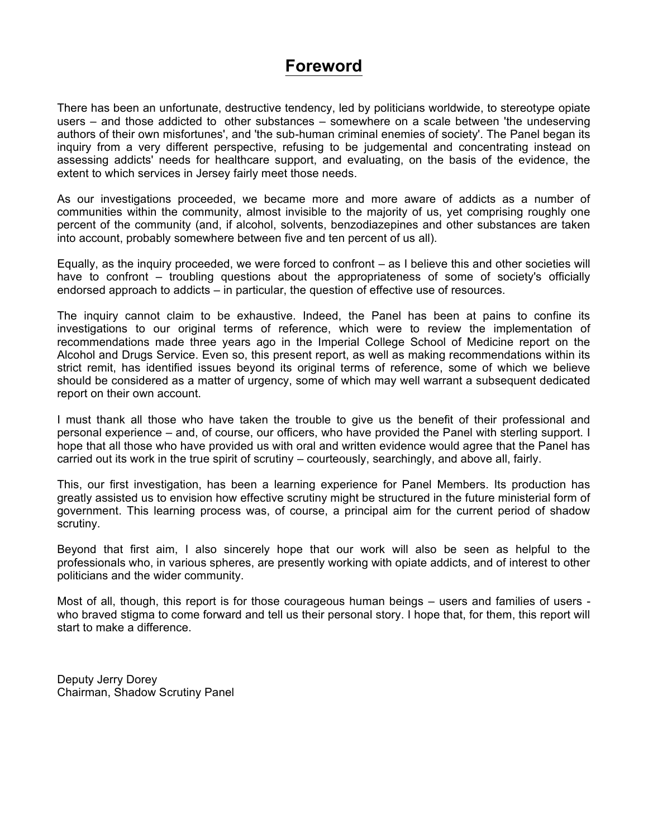# **Foreword**

There has been an unfortunate, destructive tendency, led by politicians worldwide, to stereotype opiate users – and those addicted to other substances – somewhere on a scale between 'the undeserving authors of their own misfortunes', and 'the sub-human criminal enemies of society'. The Panel began its inquiry from a very different perspective, refusing to be judgemental and concentrating instead on assessing addicts' needs for healthcare support, and evaluating, on the basis of the evidence, the extent to which services in Jersey fairly meet those needs.

As our investigations proceeded, we became more and more aware of addicts as a number of communities within the community, almost invisible to the majority of us, yet comprising roughly one percent of the community (and, if alcohol, solvents, benzodiazepines and other substances are taken into account, probably somewhere between five and ten percent of us all).

Equally, as the inquiry proceeded, we were forced to confront – as I believe this and other societies will have to confront – troubling questions about the appropriateness of some of society's officially endorsed approach to addicts – in particular, the question of effective use of resources.

The inquiry cannot claim to be exhaustive. Indeed, the Panel has been at pains to confine its investigations to our original terms of reference, which were to review the implementation of recommendations made three years ago in the Imperial College School of Medicine report on the Alcohol and Drugs Service. Even so, this present report, as well as making recommendations within its strict remit, has identified issues beyond its original terms of reference, some of which we believe should be considered as a matter of urgency, some of which may well warrant a subsequent dedicated report on their own account.

I must thank all those who have taken the trouble to give us the benefit of their professional and personal experience – and, of course, our officers, who have provided the Panel with sterling support. I hope that all those who have provided us with oral and written evidence would agree that the Panel has carried out its work in the true spirit of scrutiny – courteously, searchingly, and above all, fairly.

This, our first investigation, has been a learning experience for Panel Members. Its production has greatly assisted us to envision how effective scrutiny might be structured in the future ministerial form of government. This learning process was, of course, a principal aim for the current period of shadow scrutiny.

Beyond that first aim, I also sincerely hope that our work will also be seen as helpful to the professionals who, in various spheres, are presently working with opiate addicts, and of interest to other politicians and the wider community.

Most of all, though, this report is for those courageous human beings – users and families of users who braved stigma to come forward and tell us their personal story. I hope that, for them, this report will start to make a difference.

Deputy Jerry Dorey Chairman, Shadow Scrutiny Panel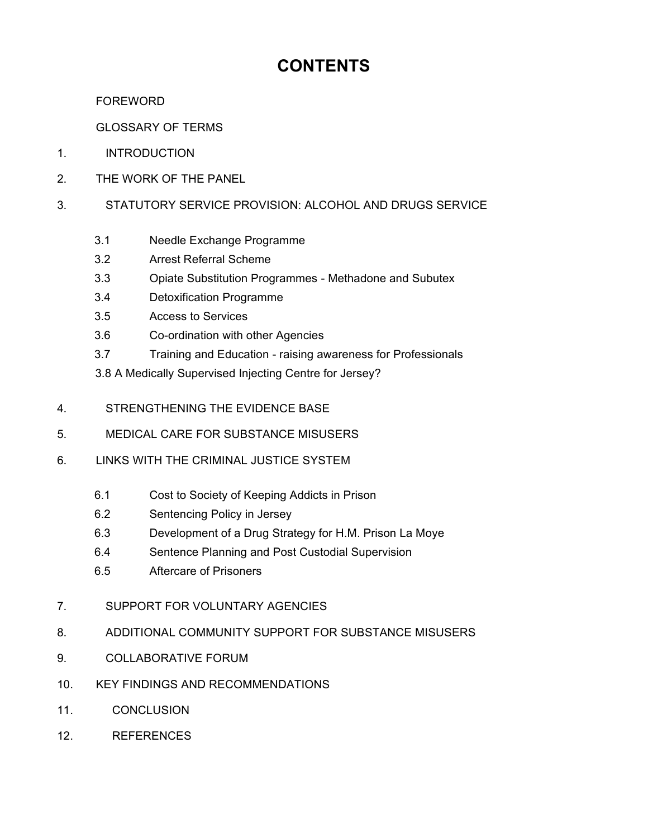# **CONTENTS**

 FOREWORD

GLOSSARY OF TERMS

- 1. INTRODUCTION
- 2. THE WORK OF THE PANEL
- 3. STATUTORY SERVICE PROVISION: ALCOHOL AND DRUGS SERVICE
	- 3.1 Needle Exchange Programme
	- 3.2 Arrest Referral Scheme
	- 3.3 Opiate Substitution Programmes Methadone and Subutex
	- 3.4 Detoxification Programme
	- 3.5 Access to Services
	- 3.6 Co-ordination with other Agencies
	- 3.7 Training and Education raising awareness for Professionals
	- 3.8 A Medically Supervised Injecting Centre for Jersey?
- 4. STRENGTHENING THE EVIDENCE BASE
- 5. MEDICAL CARE FOR SUBSTANCE MISUSERS
- 6. LINKS WITH THE CRIMINAL JUSTICE SYSTEM
	- 6.1 Cost to Society of Keeping Addicts in Prison
	- 6.2 Sentencing Policy in Jersey
	- 6.3 Development of a Drug Strategy for H.M. Prison La Moye
	- 6.4 Sentence Planning and Post Custodial Supervision
	- 6.5 Aftercare of Prisoners
- 7. SUPPORT FOR VOLUNTARY AGENCIES
- 8. ADDITIONAL COMMUNITY SUPPORT FOR SUBSTANCE MISUSERS
- 9. COLLABORATIVE FORUM
- 10. KEY FINDINGS AND RECOMMENDATIONS
- 11. CONCLUSION
- 12. REFERENCES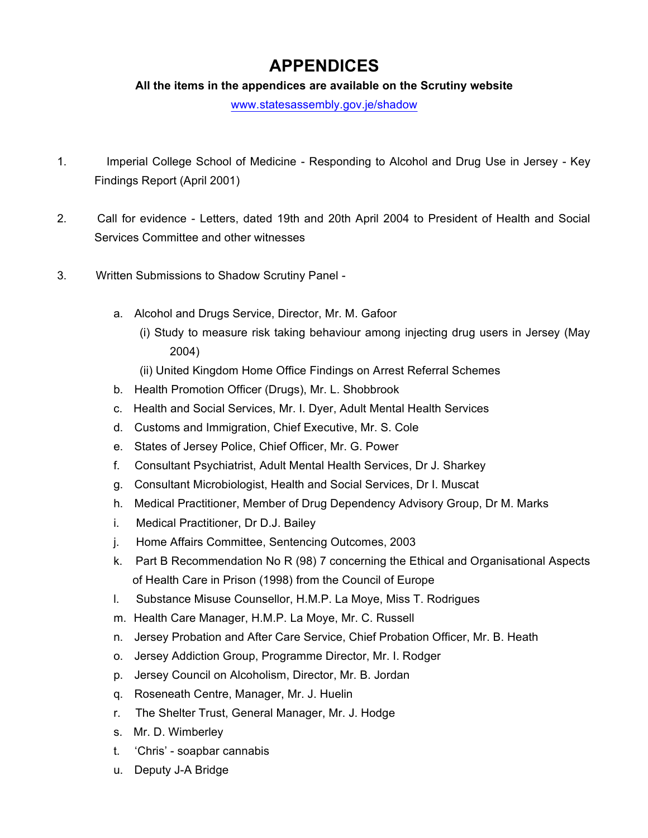# **APPENDICES**

### **All the items in the appendices are available on the Scrutiny website**

<www.statesassembly.gov.je/shadow>

- 1. Imperial College School of Medicine Responding to Alcohol and Drug Use in Jersey Key Findings Report (April 2001)
- 2. Call for evidence Letters, dated 19th and 20th April 2004 to President of Health and Social Services Committee and other witnesses
- 3. Written Submissions to Shadow Scrutiny Panel
	- a. Alcohol and Drugs Service, Director, Mr. M. Gafoor
		- (i) Study to measure risk taking behaviour among injecting drug users in Jersey (May 2004)
		- (ii) United Kingdom Home Office Findings on Arrest Referral Schemes
	- b. Health Promotion Officer (Drugs), Mr. L. Shobbrook
	- c. Health and Social Services, Mr. I. Dyer, Adult Mental Health Services
	- d. Customs and Immigration, Chief Executive, Mr. S. Cole
	- e. States of Jersey Police, Chief Officer, Mr. G. Power
	- f. Consultant Psychiatrist, Adult Mental Health Services, Dr J. Sharkey
	- g. Consultant Microbiologist, Health and Social Services, Dr I. Muscat
	- h. Medical Practitioner, Member of Drug Dependency Advisory Group, Dr M. Marks
	- i. Medical Practitioner, Dr D.J. Bailey
	- j. Home Affairs Committee, Sentencing Outcomes, 2003
	- k. Part B Recommendation No R (98) 7 concerning the Ethical and Organisational Aspects of Health Care in Prison (1998) from the Council of Europe
	- l. Substance Misuse Counsellor, H.M.P. La Moye, Miss T. Rodrigues
	- m. Health Care Manager, H.M.P. La Moye, Mr. C. Russell
	- n. Jersey Probation and After Care Service, Chief Probation Officer, Mr. B. Heath
	- o. Jersey Addiction Group, Programme Director, Mr. I. Rodger
	- p. Jersey Council on Alcoholism, Director, Mr. B. Jordan
	- q. Roseneath Centre, Manager, Mr. J. Huelin
	- r. The Shelter Trust, General Manager, Mr. J. Hodge
	- s. Mr. D. Wimberley
	- t. 'Chris' soapbar cannabis
	- u. Deputy J-A Bridge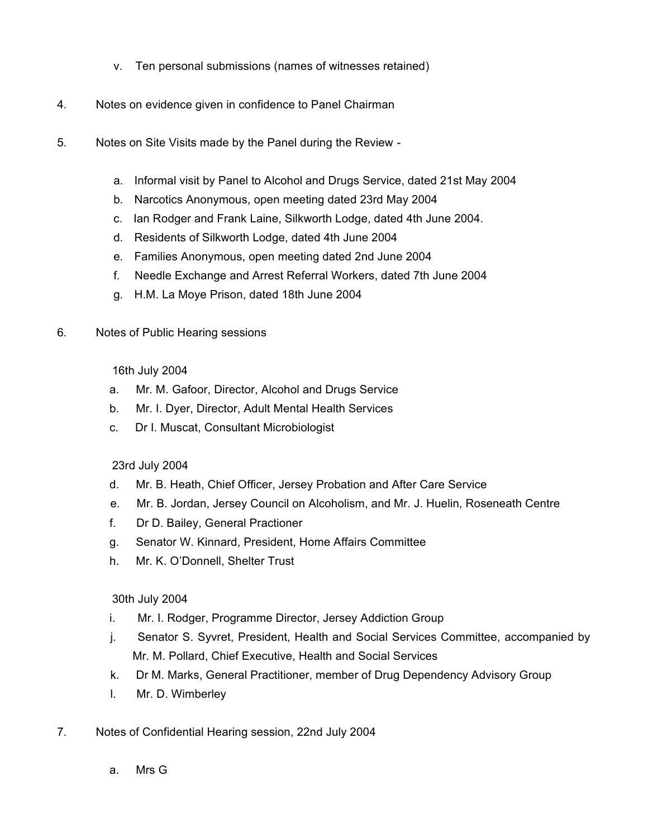- v. Ten personal submissions (names of witnesses retained)
- 4. Notes on evidence given in confidence to Panel Chairman
- 5. Notes on Site Visits made by the Panel during the Review
	- a. Informal visit by Panel to Alcohol and Drugs Service, dated 21st May 2004
	- b. Narcotics Anonymous, open meeting dated 23rd May 2004
	- c. Ian Rodger and Frank Laine, Silkworth Lodge, dated 4th June 2004.
	- d. Residents of Silkworth Lodge, dated 4th June 2004
	- e. Families Anonymous, open meeting dated 2nd June 2004
	- f. Needle Exchange and Arrest Referral Workers, dated 7th June 2004
	- g. H.M. La Moye Prison, dated 18th June 2004
- 6. Notes of Public Hearing sessions

### 16th July 2004

- a. Mr. M. Gafoor, Director, Alcohol and Drugs Service
- b. Mr. I. Dyer, Director, Adult Mental Health Services
- c. Dr I. Muscat, Consultant Microbiologist

### 23rd July 2004

- d. Mr. B. Heath, Chief Officer, Jersey Probation and After Care Service
- e. Mr. B. Jordan, Jersey Council on Alcoholism, and Mr. J. Huelin, Roseneath Centre
- f. Dr D. Bailey, General Practioner
- g. Senator W. Kinnard, President, Home Affairs Committee
- h. Mr. K. O'Donnell, Shelter Trust

### 30th July 2004

- i. Mr. I. Rodger, Programme Director, Jersey Addiction Group
- j. Senator S. Syvret, President, Health and Social Services Committee, accompanied by Mr. M. Pollard, Chief Executive, Health and Social Services
- k. Dr M. Marks, General Practitioner, member of Drug Dependency Advisory Group
- l. Mr. D. Wimberley
- 7. Notes of Confidential Hearing session, 22nd July 2004
	- a. Mrs G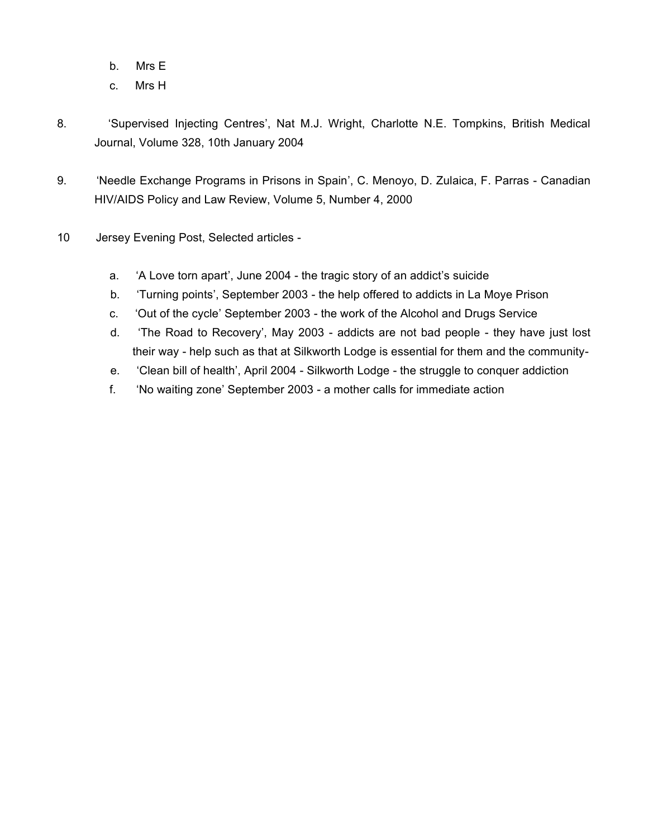- b. Mrs E
- c. Mrs H
- 8. 'Supervised Injecting Centres', Nat M.J. Wright, Charlotte N.E. Tompkins, British Medical Journal, Volume 328, 10th January 2004
- 9. 'Needle Exchange Programs in Prisons in Spain', C. Menoyo, D. Zulaica, F. Parras Canadian HIV/AIDS Policy and Law Review, Volume 5, Number 4, 2000
- 10 **Jersey Evening Post, Selected articles** 
	- a. 'A Love torn apart', June 2004 the tragic story of an addict's suicide
	- b. 'Turning points', September 2003 the help offered to addicts in La Moye Prison
	- c. 'Out of the cycle' September 2003 the work of the Alcohol and Drugs Service
	- d. 'The Road to Recovery', May 2003 addicts are not bad people they have just lost their way - help such as that at Silkworth Lodge is essential for them and the community-
	- e. 'Clean bill of health', April 2004 Silkworth Lodge the struggle to conquer addiction
	- f. 'No waiting zone' September 2003 a mother calls for immediate action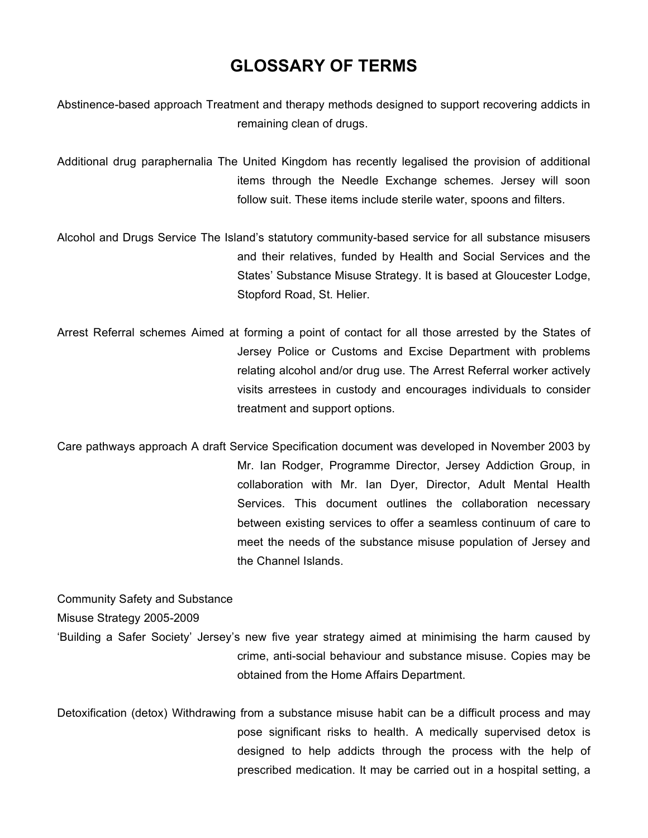# **GLOSSARY OF TERMS**

Abstinence-based approach Treatment and therapy methods designed to support recovering addicts in remaining clean of drugs.

Additional drug paraphernalia The United Kingdom has recently legalised the provision of additional items through the Needle Exchange schemes. Jersey will soon follow suit. These items include sterile water, spoons and filters.

Alcohol and Drugs Service The Island's statutory community-based service for all substance misusers and their relatives, funded by Health and Social Services and the States' Substance Misuse Strategy. It is based at Gloucester Lodge, Stopford Road, St. Helier.

Arrest Referral schemes Aimed at forming a point of contact for all those arrested by the States of Jersey Police or Customs and Excise Department with problems relating alcohol and/or drug use. The Arrest Referral worker actively visits arrestees in custody and encourages individuals to consider treatment and support options.

Care pathways approach A draft Service Specification document was developed in November 2003 by Mr. Ian Rodger, Programme Director, Jersey Addiction Group, in collaboration with Mr. Ian Dyer, Director, Adult Mental Health Services. This document outlines the collaboration necessary between existing services to offer a seamless continuum of care to meet the needs of the substance misuse population of Jersey and the Channel Islands.

Community Safety and Substance Misuse Strategy 2005-2009 'Building a Safer Society' Jersey's new five year strategy aimed at minimising the harm caused by crime, anti-social behaviour and substance misuse. Copies may be

obtained from the Home Affairs Department. Detoxification (detox) Withdrawing from a substance misuse habit can be a difficult process and may pose significant risks to health. A medically supervised detox is designed to help addicts through the process with the help of

prescribed medication. It may be carried out in a hospital setting, a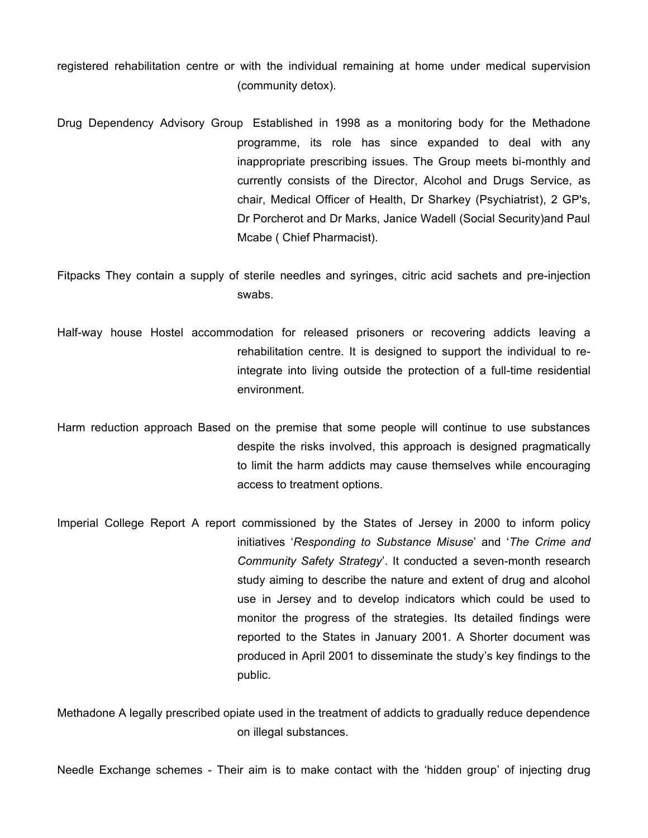registered rehabilitation centre or with the individual remaining at home under medical supervision (community detox).

Drug Dependency Advisory Group Established in 1998 as a monitoring body for the Methadone programme, its role has since expanded to deal with any inappropriate prescribing issues. The Group meets bi-monthly and currently consists of the Director, Alcohol and Drugs Service, as chair, Medical Officer of Health, Dr Sharkey (Psychiatrist), 2 GP's, Dr Porcherot and Dr Marks, Janice Wadell (Social Security)and Paul Mcabe ( Chief Pharmacist).

Fitpacks They contain a supply of sterile needles and syringes, citric acid sachets and pre-injection swabs.

- Half-way house Hostel accommodation for released prisoners or recovering addicts leaving a rehabilitation centre. It is designed to support the individual to reintegrate into living outside the protection of a full-time residential environment.
- Harm reduction approach Based on the premise that some people will continue to use substances despite the risks involved, this approach is designed pragmatically to limit the harm addicts may cause themselves while encouraging access to treatment options.
- Imperial College Report A report commissioned by the States of Jersey in 2000 to inform policy initiatives '*Responding to Substance Misuse*' and '*The Crime and Community Safety Strategy*'. It conducted a seven-month research study aiming to describe the nature and extent of drug and alcohol use in Jersey and to develop indicators which could be used to monitor the progress of the strategies. Its detailed findings were reported to the States in January 2001. A Shorter document was produced in April 2001 to disseminate the study's key findings to the public.

Methadone A legally prescribed opiate used in the treatment of addicts to gradually reduce dependence on illegal substances.

Needle Exchange schemes - Their aim is to make contact with the 'hidden group' of injecting drug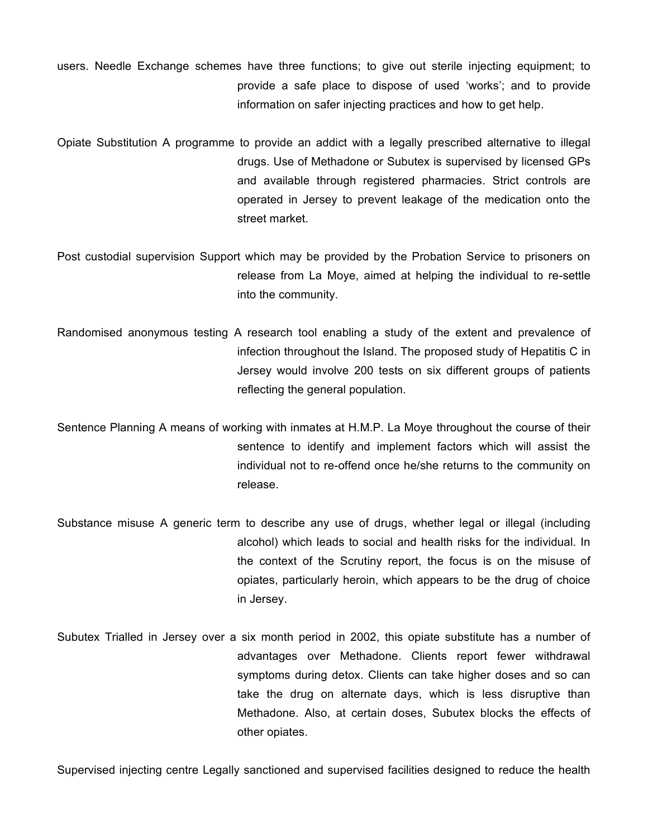- users. Needle Exchange schemes have three functions; to give out sterile injecting equipment; to provide a safe place to dispose of used 'works'; and to provide information on safer injecting practices and how to get help.
- Opiate Substitution A programme to provide an addict with a legally prescribed alternative to illegal drugs. Use of Methadone or Subutex is supervised by licensed GPs and available through registered pharmacies. Strict controls are operated in Jersey to prevent leakage of the medication onto the street market.
- Post custodial supervision Support which may be provided by the Probation Service to prisoners on release from La Moye, aimed at helping the individual to re-settle into the community.
- Randomised anonymous testing A research tool enabling a study of the extent and prevalence of infection throughout the Island. The proposed study of Hepatitis C in Jersey would involve 200 tests on six different groups of patients reflecting the general population.
- Sentence Planning A means of working with inmates at H.M.P. La Moye throughout the course of their sentence to identify and implement factors which will assist the individual not to re-offend once he/she returns to the community on release.
- Substance misuse A generic term to describe any use of drugs, whether legal or illegal (including alcohol) which leads to social and health risks for the individual. In the context of the Scrutiny report, the focus is on the misuse of opiates, particularly heroin, which appears to be the drug of choice in Jersey.
- Subutex Trialled in Jersey over a six month period in 2002, this opiate substitute has a number of advantages over Methadone. Clients report fewer withdrawal symptoms during detox. Clients can take higher doses and so can take the drug on alternate days, which is less disruptive than Methadone. Also, at certain doses, Subutex blocks the effects of other opiates.

Supervised injecting centre Legally sanctioned and supervised facilities designed to reduce the health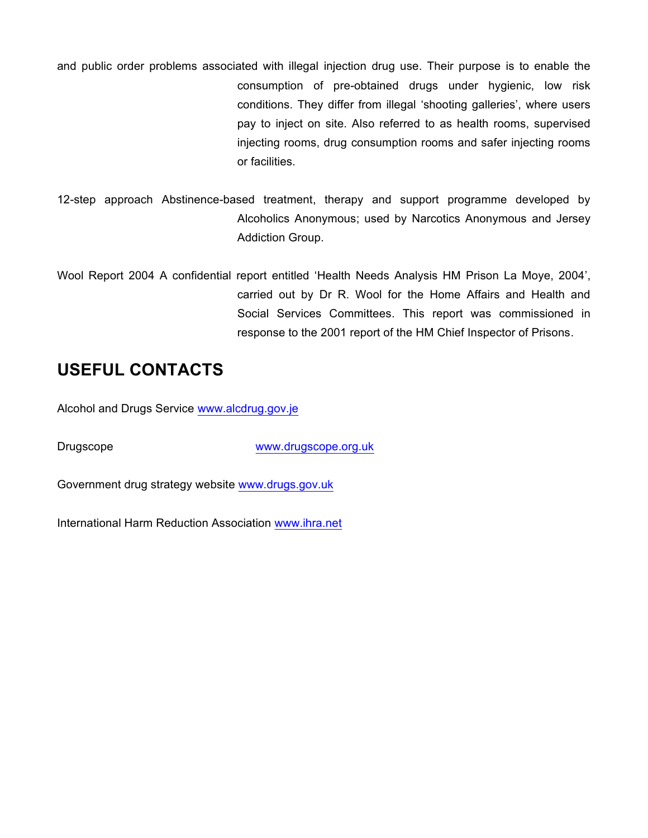and public order problems associated with illegal injection drug use. Their purpose is to enable the consumption of pre-obtained drugs under hygienic, low risk conditions. They differ from illegal 'shooting galleries', where users pay to inject on site. Also referred to as health rooms, supervised injecting rooms, drug consumption rooms and safer injecting rooms or facilities.

- 12-step approach Abstinence-based treatment, therapy and support programme developed by Alcoholics Anonymous; used by Narcotics Anonymous and Jersey Addiction Group.
- Wool Report 2004 A confidential report entitled 'Health Needs Analysis HM Prison La Moye, 2004', carried out by Dr R. Wool for the Home Affairs and Health and Social Services Committees. This report was commissioned in response to the 2001 report of the HM Chief Inspector of Prisons.

# **USEFUL CONTACTS**

Alcohol and Drugs Service <www.alcdrug.gov.je>

Drugscope <www.drugscope.org.uk>

Government drug strategy website <www.drugs.gov.uk>

International Harm Reduction Association <www.ihra.net>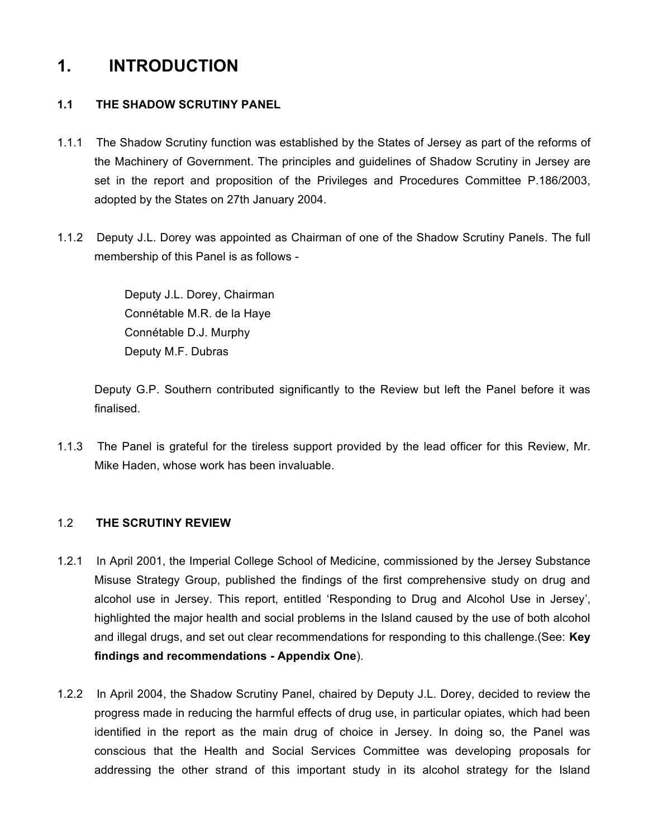# **1. INTRODUCTION**

## **1.1 THE SHADOW SCRUTINY PANEL**

- 1.1.1 The Shadow Scrutiny function was established by the States of Jersey as part of the reforms of the Machinery of Government. The principles and guidelines of Shadow Scrutiny in Jersey are set in the report and proposition of the Privileges and Procedures Committee P.186/2003, adopted by the States on 27th January 2004.
- 1.1.2 Deputy J.L. Dorey was appointed as Chairman of one of the Shadow Scrutiny Panels. The full membership of this Panel is as follows -

Deputy J.L. Dorey, Chairman Connétable M.R. de la Haye Connétable D.J. Murphy Deputy M.F. Dubras

Deputy G.P. Southern contributed significantly to the Review but left the Panel before it was finalised.

1.1.3 The Panel is grateful for the tireless support provided by the lead officer for this Review, Mr. Mike Haden, whose work has been invaluable.

### 1.2 **THE SCRUTINY REVIEW**

- 1.2.1 In April 2001, the Imperial College School of Medicine, commissioned by the Jersey Substance Misuse Strategy Group, published the findings of the first comprehensive study on drug and alcohol use in Jersey. This report, entitled 'Responding to Drug and Alcohol Use in Jersey', highlighted the major health and social problems in the Island caused by the use of both alcohol and illegal drugs, and set out clear recommendations for responding to this challenge.(See: **Key findings and recommendations - Appendix One**).
- 1.2.2 In April 2004, the Shadow Scrutiny Panel, chaired by Deputy J.L. Dorey, decided to review the progress made in reducing the harmful effects of drug use, in particular opiates, which had been identified in the report as the main drug of choice in Jersey. In doing so, the Panel was conscious that the Health and Social Services Committee was developing proposals for addressing the other strand of this important study in its alcohol strategy for the Island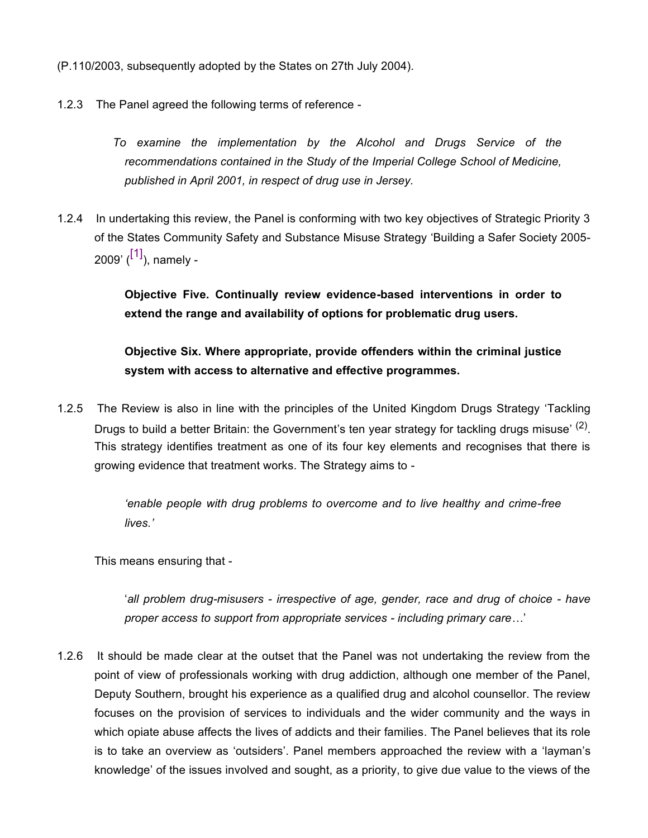(P.110/2003, subsequently adopted by the States on 27th July 2004).

- 1.2.3 The Panel agreed the following terms of reference
	- *To examine the implementation by the Alcohol and Drugs Service of the recommendations contained in the Study of the Imperial College School of Medicine, published in April 2001, in respect of drug use in Jersey.*
- 1.2.4 In undertaking this review, the Panel is conforming with two key objectives of Strategic Priority 3 of the States Community Safety and Substance Misuse Strategy 'Building a Safer Society 2005- 2009' (<sup>[1]</sup>), namely -

**Objective Five. Continually review evidence-based interventions in order to extend the range and availability of options for problematic drug users.**

**Objective Six. Where appropriate, provide offenders within the criminal justice system with access to alternative and effective programmes.**

1.2.5 The Review is also in line with the principles of the United Kingdom Drugs Strategy 'Tackling Drugs to build a better Britain: the Government's ten year strategy for tackling drugs misuse' <sup>(2)</sup>. This strategy identifies treatment as one of its four key elements and recognises that there is growing evidence that treatment works. The Strategy aims to -

> *'enable people with drug problems to overcome and to live healthy and crime-free lives.'*

This means ensuring that -

'*all problem drug-misusers - irrespective of age, gender, race and drug of choice - have proper access to support from appropriate services - including primary care…*'

1.2.6 It should be made clear at the outset that the Panel was not undertaking the review from the point of view of professionals working with drug addiction, although one member of the Panel, Deputy Southern, brought his experience as a qualified drug and alcohol counsellor. The review focuses on the provision of services to individuals and the wider community and the ways in which opiate abuse affects the lives of addicts and their families. The Panel believes that its role is to take an overview as 'outsiders'. Panel members approached the review with a 'layman's knowledge' of the issues involved and sought, as a priority, to give due value to the views of the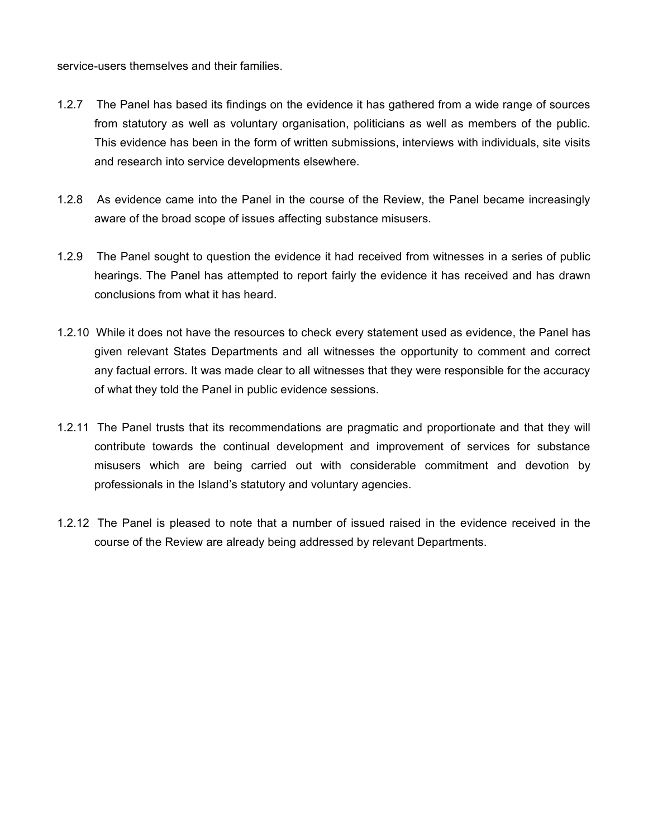service-users themselves and their families.

- 1.2.7 The Panel has based its findings on the evidence it has gathered from a wide range of sources from statutory as well as voluntary organisation, politicians as well as members of the public. This evidence has been in the form of written submissions, interviews with individuals, site visits and research into service developments elsewhere.
- 1.2.8 As evidence came into the Panel in the course of the Review, the Panel became increasingly aware of the broad scope of issues affecting substance misusers.
- 1.2.9 The Panel sought to question the evidence it had received from witnesses in a series of public hearings. The Panel has attempted to report fairly the evidence it has received and has drawn conclusions from what it has heard.
- 1.2.10 While it does not have the resources to check every statement used as evidence, the Panel has given relevant States Departments and all witnesses the opportunity to comment and correct any factual errors. It was made clear to all witnesses that they were responsible for the accuracy of what they told the Panel in public evidence sessions.
- 1.2.11 The Panel trusts that its recommendations are pragmatic and proportionate and that they will contribute towards the continual development and improvement of services for substance misusers which are being carried out with considerable commitment and devotion by professionals in the Island's statutory and voluntary agencies.
- 1.2.12 The Panel is pleased to note that a number of issued raised in the evidence received in the course of the Review are already being addressed by relevant Departments.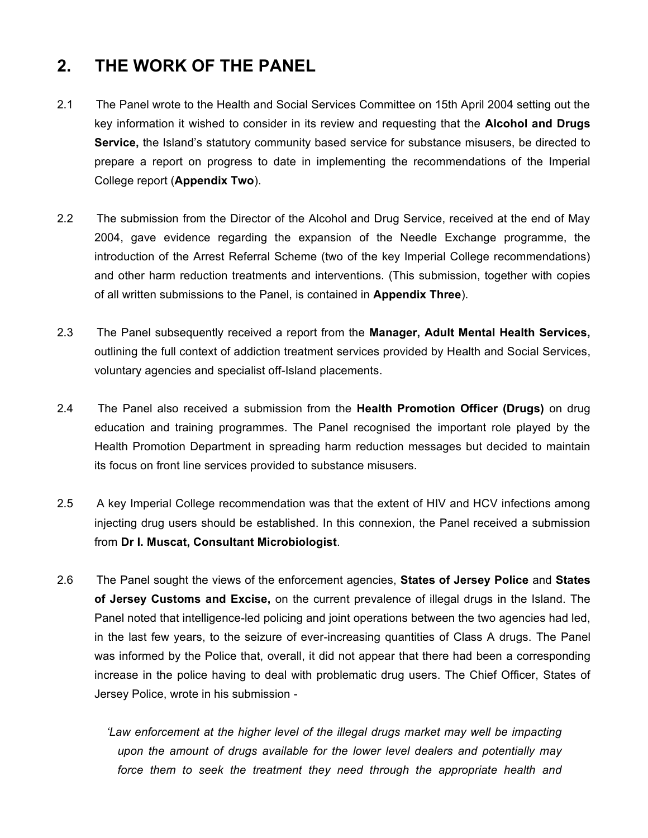# **2. THE WORK OF THE PANEL**

- 2.1 The Panel wrote to the Health and Social Services Committee on 15th April 2004 setting out the key information it wished to consider in its review and requesting that the **Alcohol and Drugs Service,** the Island's statutory community based service for substance misusers, be directed to prepare a report on progress to date in implementing the recommendations of the Imperial College report (**Appendix Two**).
- 2.2 The submission from the Director of the Alcohol and Drug Service, received at the end of May 2004, gave evidence regarding the expansion of the Needle Exchange programme, the introduction of the Arrest Referral Scheme (two of the key Imperial College recommendations) and other harm reduction treatments and interventions. (This submission, together with copies of all written submissions to the Panel, is contained in **Appendix Three**).
- 2.3 The Panel subsequently received a report from the **Manager, Adult Mental Health Services,** outlining the full context of addiction treatment services provided by Health and Social Services, voluntary agencies and specialist off-Island placements.
- 2.4 The Panel also received a submission from the **Health Promotion Officer (Drugs)** on drug education and training programmes. The Panel recognised the important role played by the Health Promotion Department in spreading harm reduction messages but decided to maintain its focus on front line services provided to substance misusers.
- 2.5 A key Imperial College recommendation was that the extent of HIV and HCV infections among injecting drug users should be established. In this connexion, the Panel received a submission from **Dr I. Muscat, Consultant Microbiologist**.
- 2.6 The Panel sought the views of the enforcement agencies, **States of Jersey Police** and **States of Jersey Customs and Excise,** on the current prevalence of illegal drugs in the Island. The Panel noted that intelligence-led policing and joint operations between the two agencies had led, in the last few years, to the seizure of ever-increasing quantities of Class A drugs. The Panel was informed by the Police that, overall, it did not appear that there had been a corresponding increase in the police having to deal with problematic drug users. The Chief Officer, States of Jersey Police, wrote in his submission -

 *'Law enforcement at the higher level of the illegal drugs market may well be impacting upon the amount of drugs available for the lower level dealers and potentially may force them to seek the treatment they need through the appropriate health and*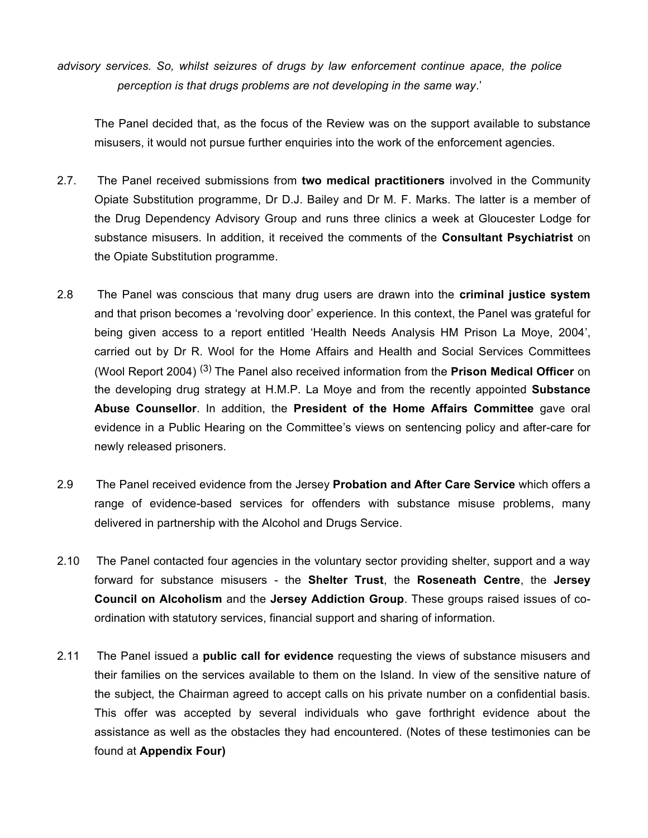*advisory services. So, whilst seizures of drugs by law enforcement continue apace, the police perception is that drugs problems are not developing in the same way*.'

The Panel decided that, as the focus of the Review was on the support available to substance misusers, it would not pursue further enquiries into the work of the enforcement agencies.

- 2.7. The Panel received submissions from **two medical practitioners** involved in the Community Opiate Substitution programme, Dr D.J. Bailey and Dr M. F. Marks. The latter is a member of the Drug Dependency Advisory Group and runs three clinics a week at Gloucester Lodge for substance misusers. In addition, it received the comments of the **Consultant Psychiatrist** on the Opiate Substitution programme.
- 2.8 The Panel was conscious that many drug users are drawn into the **criminal justice system** and that prison becomes a 'revolving door' experience. In this context, the Panel was grateful for being given access to a report entitled 'Health Needs Analysis HM Prison La Moye, 2004', carried out by Dr R. Wool for the Home Affairs and Health and Social Services Committees (Wool Report 2004) (3) The Panel also received information from the **Prison Medical Officer** on the developing drug strategy at H.M.P. La Moye and from the recently appointed **Substance Abuse Counsellor**. In addition, the **President of the Home Affairs Committee** gave oral evidence in a Public Hearing on the Committee's views on sentencing policy and after-care for newly released prisoners.
- 2.9 The Panel received evidence from the Jersey **Probation and After Care Service** which offers a range of evidence-based services for offenders with substance misuse problems, many delivered in partnership with the Alcohol and Drugs Service.
- 2.10 The Panel contacted four agencies in the voluntary sector providing shelter, support and a way forward for substance misusers - the **Shelter Trust**, the **Roseneath Centre**, the **Jersey Council on Alcoholism** and the **Jersey Addiction Group**. These groups raised issues of coordination with statutory services, financial support and sharing of information.
- 2.11 The Panel issued a **public call for evidence** requesting the views of substance misusers and their families on the services available to them on the Island. In view of the sensitive nature of the subject, the Chairman agreed to accept calls on his private number on a confidential basis. This offer was accepted by several individuals who gave forthright evidence about the assistance as well as the obstacles they had encountered. (Notes of these testimonies can be found at **Appendix Four)**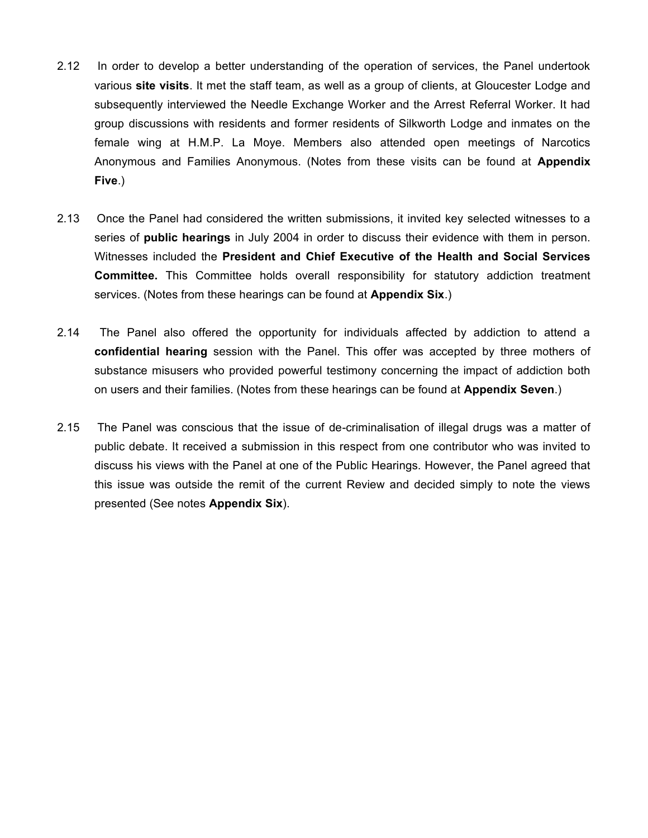- 2.12 In order to develop a better understanding of the operation of services, the Panel undertook various **site visits**. It met the staff team, as well as a group of clients, at Gloucester Lodge and subsequently interviewed the Needle Exchange Worker and the Arrest Referral Worker. It had group discussions with residents and former residents of Silkworth Lodge and inmates on the female wing at H.M.P. La Moye. Members also attended open meetings of Narcotics Anonymous and Families Anonymous. (Notes from these visits can be found at **Appendix Five**.)
- 2.13 Once the Panel had considered the written submissions, it invited key selected witnesses to a series of **public hearings** in July 2004 in order to discuss their evidence with them in person. Witnesses included the **President and Chief Executive of the Health and Social Services Committee.** This Committee holds overall responsibility for statutory addiction treatment services. (Notes from these hearings can be found at **Appendix Six**.)
- 2.14 The Panel also offered the opportunity for individuals affected by addiction to attend a **confidential hearing** session with the Panel. This offer was accepted by three mothers of substance misusers who provided powerful testimony concerning the impact of addiction both on users and their families. (Notes from these hearings can be found at **Appendix Seven**.)
- 2.15 The Panel was conscious that the issue of de-criminalisation of illegal drugs was a matter of public debate. It received a submission in this respect from one contributor who was invited to discuss his views with the Panel at one of the Public Hearings. However, the Panel agreed that this issue was outside the remit of the current Review and decided simply to note the views presented (See notes **Appendix Six**).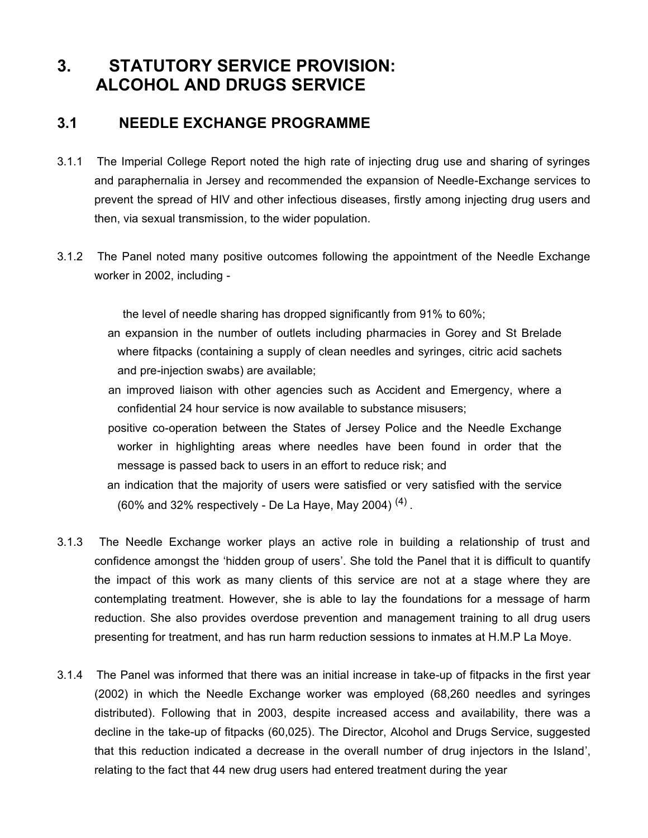# **3. STATUTORY SERVICE PROVISION: ALCOHOL AND DRUGS SERVICE**

## **3.1 NEEDLE EXCHANGE PROGRAMME**

- 3.1.1 The Imperial College Report noted the high rate of injecting drug use and sharing of syringes and paraphernalia in Jersey and recommended the expansion of Needle-Exchange services to prevent the spread of HIV and other infectious diseases, firstly among injecting drug users and then, via sexual transmission, to the wider population.
- 3.1.2 The Panel noted many positive outcomes following the appointment of the Needle Exchange worker in 2002, including -

the level of needle sharing has dropped significantly from 91% to 60%;

- an expansion in the number of outlets including pharmacies in Gorey and St Brelade where fitpacks (containing a supply of clean needles and syringes, citric acid sachets and pre-injection swabs) are available;
- an improved liaison with other agencies such as Accident and Emergency, where a confidential 24 hour service is now available to substance misusers;
- positive co-operation between the States of Jersey Police and the Needle Exchange worker in highlighting areas where needles have been found in order that the message is passed back to users in an effort to reduce risk; and
- an indication that the majority of users were satisfied or very satisfied with the service (60% and 32% respectively - De La Haye, May 2004)  $^{(4)}$  .
- 3.1.3 The Needle Exchange worker plays an active role in building a relationship of trust and confidence amongst the 'hidden group of users'. She told the Panel that it is difficult to quantify the impact of this work as many clients of this service are not at a stage where they are contemplating treatment. However, she is able to lay the foundations for a message of harm reduction. She also provides overdose prevention and management training to all drug users presenting for treatment, and has run harm reduction sessions to inmates at H.M.P La Moye.
- 3.1.4 The Panel was informed that there was an initial increase in take-up of fitpacks in the first year (2002) in which the Needle Exchange worker was employed (68,260 needles and syringes distributed). Following that in 2003, despite increased access and availability, there was a decline in the take-up of fitpacks (60,025). The Director, Alcohol and Drugs Service, suggested that this reduction indicated a decrease in the overall number of drug injectors in the Island', relating to the fact that 44 new drug users had entered treatment during the year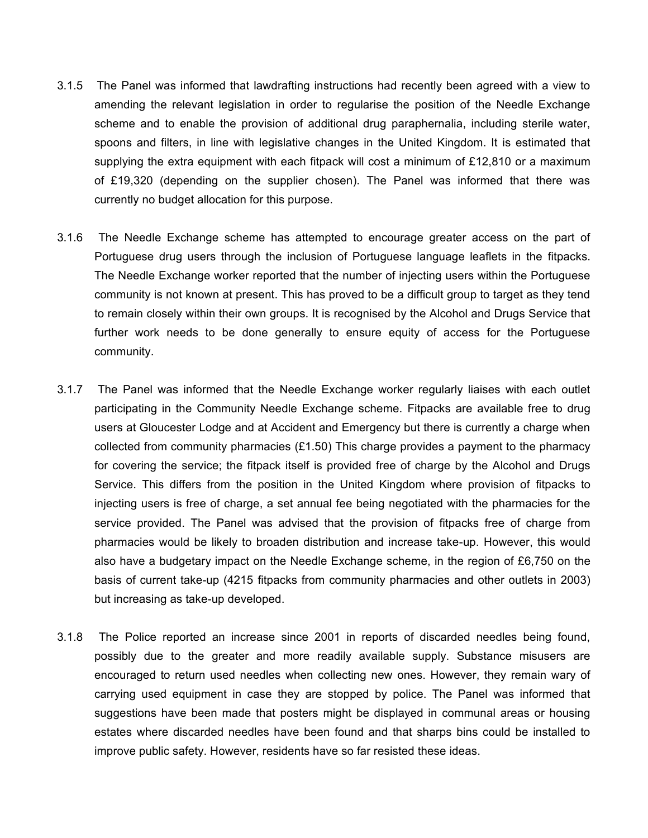- 3.1.5 The Panel was informed that lawdrafting instructions had recently been agreed with a view to amending the relevant legislation in order to regularise the position of the Needle Exchange scheme and to enable the provision of additional drug paraphernalia, including sterile water, spoons and filters, in line with legislative changes in the United Kingdom. It is estimated that supplying the extra equipment with each fitpack will cost a minimum of £12,810 or a maximum of £19,320 (depending on the supplier chosen). The Panel was informed that there was currently no budget allocation for this purpose.
- 3.1.6 The Needle Exchange scheme has attempted to encourage greater access on the part of Portuguese drug users through the inclusion of Portuguese language leaflets in the fitpacks. The Needle Exchange worker reported that the number of injecting users within the Portuguese community is not known at present. This has proved to be a difficult group to target as they tend to remain closely within their own groups. It is recognised by the Alcohol and Drugs Service that further work needs to be done generally to ensure equity of access for the Portuguese community.
- 3.1.7 The Panel was informed that the Needle Exchange worker regularly liaises with each outlet participating in the Community Needle Exchange scheme. Fitpacks are available free to drug users at Gloucester Lodge and at Accident and Emergency but there is currently a charge when collected from community pharmacies  $(E1.50)$  This charge provides a payment to the pharmacy for covering the service; the fitpack itself is provided free of charge by the Alcohol and Drugs Service. This differs from the position in the United Kingdom where provision of fitpacks to injecting users is free of charge, a set annual fee being negotiated with the pharmacies for the service provided. The Panel was advised that the provision of fitpacks free of charge from pharmacies would be likely to broaden distribution and increase take-up. However, this would also have a budgetary impact on the Needle Exchange scheme, in the region of £6,750 on the basis of current take-up (4215 fitpacks from community pharmacies and other outlets in 2003) but increasing as take-up developed.
- 3.1.8 The Police reported an increase since 2001 in reports of discarded needles being found, possibly due to the greater and more readily available supply. Substance misusers are encouraged to return used needles when collecting new ones. However, they remain wary of carrying used equipment in case they are stopped by police. The Panel was informed that suggestions have been made that posters might be displayed in communal areas or housing estates where discarded needles have been found and that sharps bins could be installed to improve public safety. However, residents have so far resisted these ideas.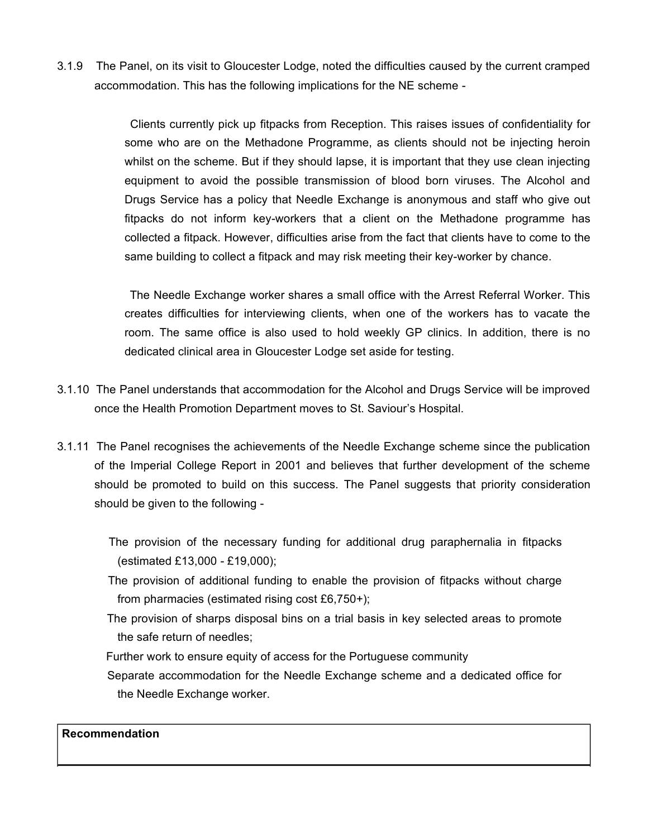3.1.9 The Panel, on its visit to Gloucester Lodge, noted the difficulties caused by the current cramped accommodation. This has the following implications for the NE scheme -

> Clients currently pick up fitpacks from Reception. This raises issues of confidentiality for some who are on the Methadone Programme, as clients should not be injecting heroin whilst on the scheme. But if they should lapse, it is important that they use clean injecting equipment to avoid the possible transmission of blood born viruses. The Alcohol and Drugs Service has a policy that Needle Exchange is anonymous and staff who give out fitpacks do not inform key-workers that a client on the Methadone programme has collected a fitpack. However, difficulties arise from the fact that clients have to come to the same building to collect a fitpack and may risk meeting their key-worker by chance.

> The Needle Exchange worker shares a small office with the Arrest Referral Worker. This creates difficulties for interviewing clients, when one of the workers has to vacate the room. The same office is also used to hold weekly GP clinics. In addition, there is no dedicated clinical area in Gloucester Lodge set aside for testing.

- 3.1.10 The Panel understands that accommodation for the Alcohol and Drugs Service will be improved once the Health Promotion Department moves to St. Saviour's Hospital.
- 3.1.11 The Panel recognises the achievements of the Needle Exchange scheme since the publication of the Imperial College Report in 2001 and believes that further development of the scheme should be promoted to build on this success. The Panel suggests that priority consideration should be given to the following -

 The provision of the necessary funding for additional drug paraphernalia in fitpacks (estimated £13,000 - £19,000);

- The provision of additional funding to enable the provision of fitpacks without charge from pharmacies (estimated rising cost £6,750+);
- The provision of sharps disposal bins on a trial basis in key selected areas to promote the safe return of needles;
- Further work to ensure equity of access for the Portuguese community
- Separate accommodation for the Needle Exchange scheme and a dedicated office for the Needle Exchange worker.

## **Recommendation**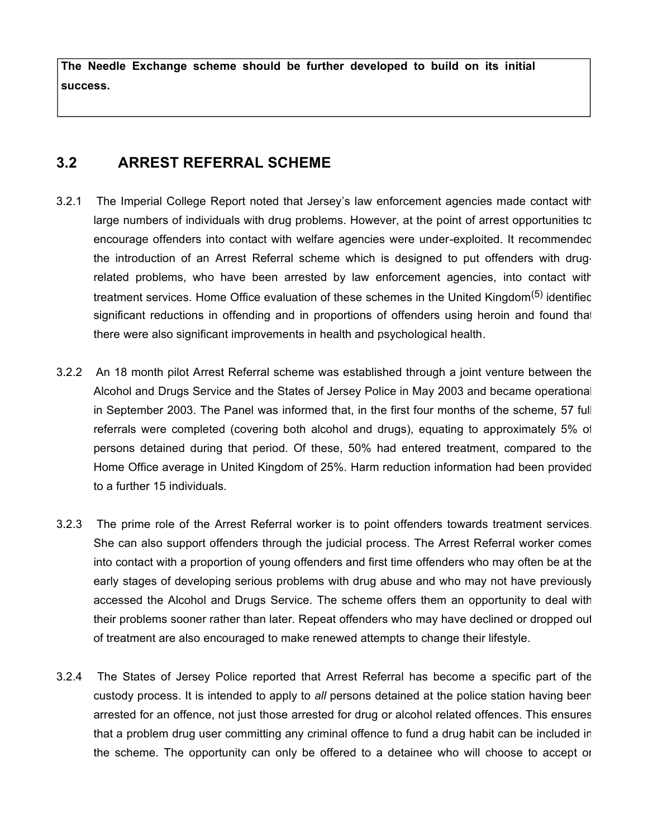**The Needle Exchange scheme should be further developed to build on its initial success.**

## **3.2 ARREST REFERRAL SCHEME**

- 3.2.1 The Imperial College Report noted that Jersey's law enforcement agencies made contact with large numbers of individuals with drug problems. However, at the point of arrest opportunities to encourage offenders into contact with welfare agencies were under-exploited. It recommended the introduction of an Arrest Referral scheme which is designed to put offenders with drugrelated problems, who have been arrested by law enforcement agencies, into contact with treatment services. Home Office evaluation of these schemes in the United Kingdom<sup>(5)</sup> identified significant reductions in offending and in proportions of offenders using heroin and found that there were also significant improvements in health and psychological health.
- 3.2.2 An 18 month pilot Arrest Referral scheme was established through a joint venture between the Alcohol and Drugs Service and the States of Jersey Police in May 2003 and became operational in September 2003. The Panel was informed that, in the first four months of the scheme, 57 full referrals were completed (covering both alcohol and drugs), equating to approximately 5% of persons detained during that period. Of these, 50% had entered treatment, compared to the Home Office average in United Kingdom of 25%. Harm reduction information had been provided to a further 15 individuals.
- 3.2.3 The prime role of the Arrest Referral worker is to point offenders towards treatment services. She can also support offenders through the judicial process. The Arrest Referral worker comes into contact with a proportion of young offenders and first time offenders who may often be at the early stages of developing serious problems with drug abuse and who may not have previously accessed the Alcohol and Drugs Service. The scheme offers them an opportunity to deal with their problems sooner rather than later. Repeat offenders who may have declined or dropped out of treatment are also encouraged to make renewed attempts to change their lifestyle.
- 3.2.4 The States of Jersey Police reported that Arrest Referral has become a specific part of the custody process. It is intended to apply to *all* persons detained at the police station having been arrested for an offence, not just those arrested for drug or alcohol related offences. This ensures that a problem drug user committing any criminal offence to fund a drug habit can be included in the scheme. The opportunity can only be offered to a detainee who will choose to accept or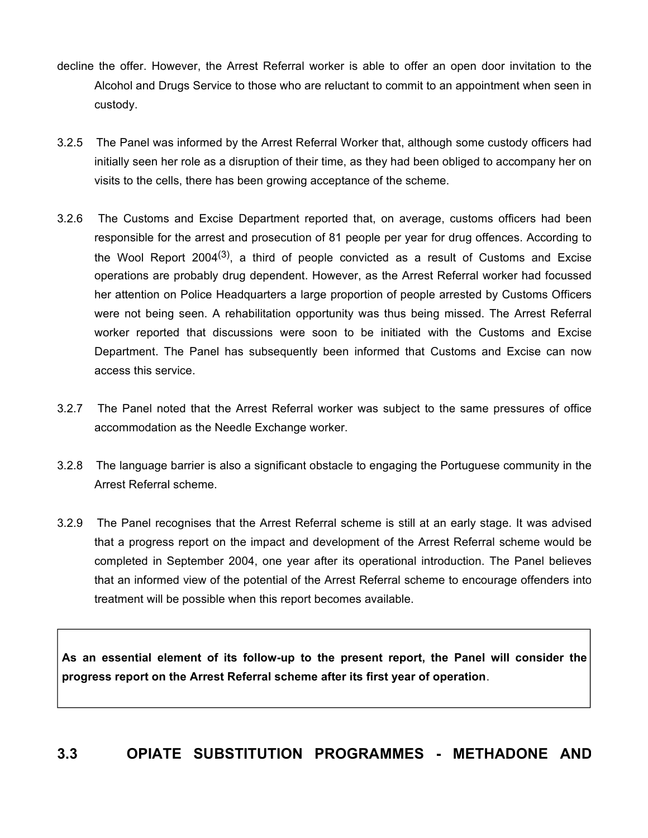- decline the offer. However, the Arrest Referral worker is able to offer an open door invitation to the Alcohol and Drugs Service to those who are reluctant to commit to an appointment when seen in custody.
- 3.2.5 The Panel was informed by the Arrest Referral Worker that, although some custody officers had initially seen her role as a disruption of their time, as they had been obliged to accompany her on visits to the cells, there has been growing acceptance of the scheme.
- 3.2.6 The Customs and Excise Department reported that, on average, customs officers had been responsible for the arrest and prosecution of 81 people per year for drug offences. According to the Wool Report 2004<sup>(3)</sup>, a third of people convicted as a result of Customs and Excise operations are probably drug dependent. However, as the Arrest Referral worker had focussed her attention on Police Headquarters a large proportion of people arrested by Customs Officers were not being seen. A rehabilitation opportunity was thus being missed. The Arrest Referral worker reported that discussions were soon to be initiated with the Customs and Excise Department. The Panel has subsequently been informed that Customs and Excise can now access this service.
- 3.2.7 The Panel noted that the Arrest Referral worker was subject to the same pressures of office accommodation as the Needle Exchange worker.
- 3.2.8 The language barrier is also a significant obstacle to engaging the Portuguese community in the Arrest Referral scheme.
- 3.2.9 The Panel recognises that the Arrest Referral scheme is still at an early stage. It was advised that a progress report on the impact and development of the Arrest Referral scheme would be completed in September 2004, one year after its operational introduction. The Panel believes that an informed view of the potential of the Arrest Referral scheme to encourage offenders into treatment will be possible when this report becomes available.

**As an essential element of its follow-up to the present report, the Panel will consider the progress report on the Arrest Referral scheme after its first year of operation**.

# **3.3 OPIATE SUBSTITUTION PROGRAMMES - METHADONE AND**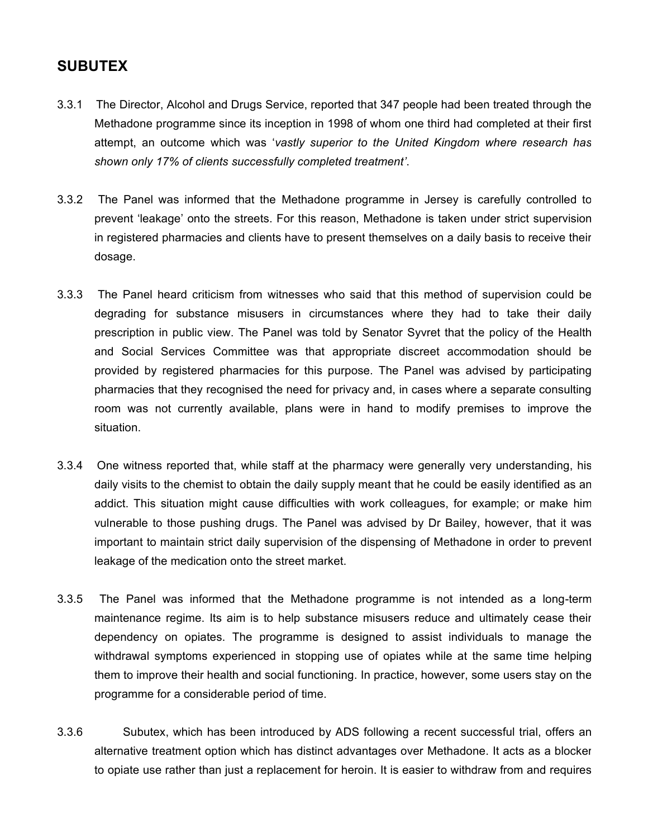## **SUBUTEX**

- 3.3.1 The Director, Alcohol and Drugs Service, reported that 347 people had been treated through the Methadone programme since its inception in 1998 of whom one third had completed at their first attempt, an outcome which was '*vastly superior to the United Kingdom where research has shown only 17% of clients successfully completed treatment'*.
- 3.3.2 The Panel was informed that the Methadone programme in Jersey is carefully controlled to prevent 'leakage' onto the streets. For this reason, Methadone is taken under strict supervision in registered pharmacies and clients have to present themselves on a daily basis to receive their dosage.
- 3.3.3 The Panel heard criticism from witnesses who said that this method of supervision could be degrading for substance misusers in circumstances where they had to take their daily prescription in public view. The Panel was told by Senator Syvret that the policy of the Health and Social Services Committee was that appropriate discreet accommodation should be provided by registered pharmacies for this purpose. The Panel was advised by participating pharmacies that they recognised the need for privacy and, in cases where a separate consulting room was not currently available, plans were in hand to modify premises to improve the situation.
- 3.3.4 One witness reported that, while staff at the pharmacy were generally very understanding, his daily visits to the chemist to obtain the daily supply meant that he could be easily identified as an addict. This situation might cause difficulties with work colleagues, for example; or make him vulnerable to those pushing drugs. The Panel was advised by Dr Bailey, however, that it was important to maintain strict daily supervision of the dispensing of Methadone in order to prevent leakage of the medication onto the street market.
- 3.3.5 The Panel was informed that the Methadone programme is not intended as a long-term maintenance regime. Its aim is to help substance misusers reduce and ultimately cease their dependency on opiates. The programme is designed to assist individuals to manage the withdrawal symptoms experienced in stopping use of opiates while at the same time helping them to improve their health and social functioning. In practice, however, some users stay on the programme for a considerable period of time.
- 3.3.6 Subutex, which has been introduced by ADS following a recent successful trial, offers an alternative treatment option which has distinct advantages over Methadone. It acts as a blocker to opiate use rather than just a replacement for heroin. It is easier to withdraw from and requires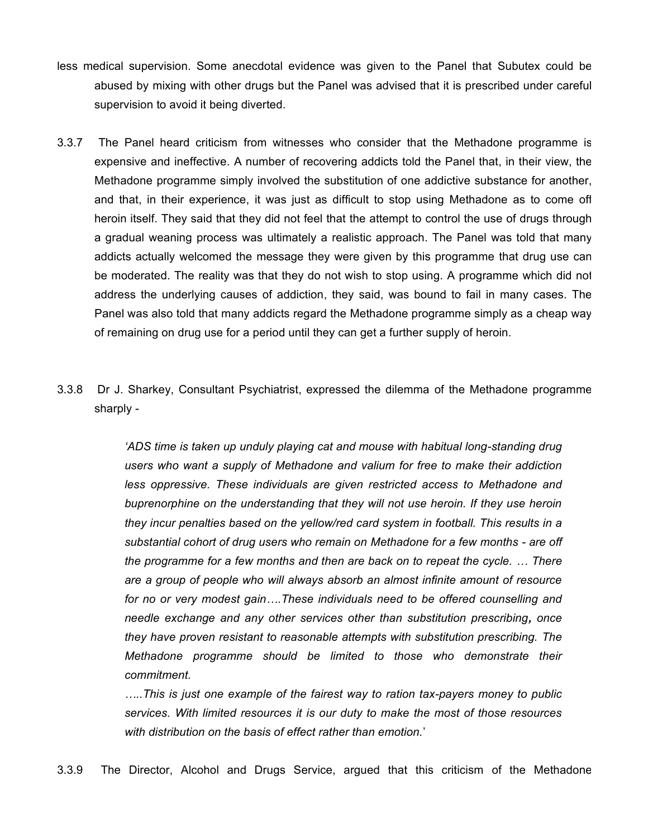- less medical supervision. Some anecdotal evidence was given to the Panel that Subutex could be abused by mixing with other drugs but the Panel was advised that it is prescribed under careful supervision to avoid it being diverted.
- 3.3.7 The Panel heard criticism from witnesses who consider that the Methadone programme is expensive and ineffective. A number of recovering addicts told the Panel that, in their view, the Methadone programme simply involved the substitution of one addictive substance for another, and that, in their experience, it was just as difficult to stop using Methadone as to come off heroin itself. They said that they did not feel that the attempt to control the use of drugs through a gradual weaning process was ultimately a realistic approach. The Panel was told that many addicts actually welcomed the message they were given by this programme that drug use can be moderated. The reality was that they do not wish to stop using. A programme which did not address the underlying causes of addiction, they said, was bound to fail in many cases. The Panel was also told that many addicts regard the Methadone programme simply as a cheap way of remaining on drug use for a period until they can get a further supply of heroin.
- 3.3.8 Dr J. Sharkey, Consultant Psychiatrist, expressed the dilemma of the Methadone programme sharply -

*'ADS time is taken up unduly playing cat and mouse with habitual long-standing drug users who want a supply of Methadone and valium for free to make their addiction less oppressive. These individuals are given restricted access to Methadone and buprenorphine on the understanding that they will not use heroin. If they use heroin they incur penalties based on the yellow/red card system in football. This results in a substantial cohort of drug users who remain on Methadone for a few months - are off the programme for a few months and then are back on to repeat the cycle. … There are a group of people who will always absorb an almost infinite amount of resource for no or very modest gain….These individuals need to be offered counselling and needle exchange and any other services other than substitution prescribing, once they have proven resistant to reasonable attempts with substitution prescribing. The Methadone programme should be limited to those who demonstrate their commitment.*

*…..This is just one example of the fairest way to ration tax-payers money to public services. With limited resources it is our duty to make the most of those resources with distribution on the basis of effect rather than emotion.*'

3.3.9 The Director, Alcohol and Drugs Service, argued that this criticism of the Methadone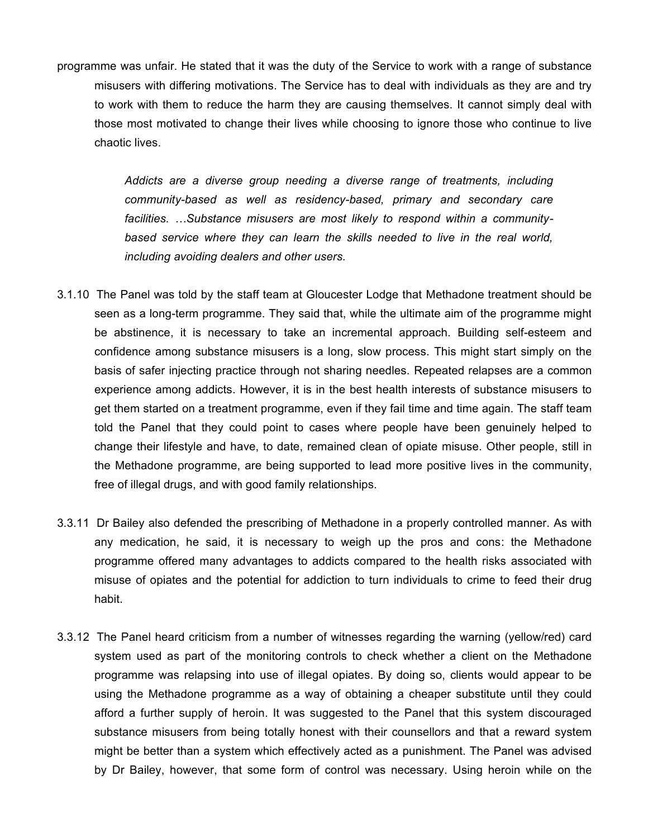programme was unfair. He stated that it was the duty of the Service to work with a range of substance misusers with differing motivations. The Service has to deal with individuals as they are and try to work with them to reduce the harm they are causing themselves. It cannot simply deal with those most motivated to change their lives while choosing to ignore those who continue to live chaotic lives.

> *Addicts are a diverse group needing a diverse range of treatments, including community-based as well as residency-based, primary and secondary care facilities. …Substance misusers are most likely to respond within a communitybased service where they can learn the skills needed to live in the real world, including avoiding dealers and other users.*

- 3.1.10 The Panel was told by the staff team at Gloucester Lodge that Methadone treatment should be seen as a long-term programme. They said that, while the ultimate aim of the programme might be abstinence, it is necessary to take an incremental approach. Building self-esteem and confidence among substance misusers is a long, slow process. This might start simply on the basis of safer injecting practice through not sharing needles. Repeated relapses are a common experience among addicts. However, it is in the best health interests of substance misusers to get them started on a treatment programme, even if they fail time and time again. The staff team told the Panel that they could point to cases where people have been genuinely helped to change their lifestyle and have, to date, remained clean of opiate misuse. Other people, still in the Methadone programme, are being supported to lead more positive lives in the community, free of illegal drugs, and with good family relationships.
- 3.3.11 Dr Bailey also defended the prescribing of Methadone in a properly controlled manner. As with any medication, he said, it is necessary to weigh up the pros and cons: the Methadone programme offered many advantages to addicts compared to the health risks associated with misuse of opiates and the potential for addiction to turn individuals to crime to feed their drug habit.
- 3.3.12 The Panel heard criticism from a number of witnesses regarding the warning (yellow/red) card system used as part of the monitoring controls to check whether a client on the Methadone programme was relapsing into use of illegal opiates. By doing so, clients would appear to be using the Methadone programme as a way of obtaining a cheaper substitute until they could afford a further supply of heroin. It was suggested to the Panel that this system discouraged substance misusers from being totally honest with their counsellors and that a reward system might be better than a system which effectively acted as a punishment. The Panel was advised by Dr Bailey, however, that some form of control was necessary. Using heroin while on the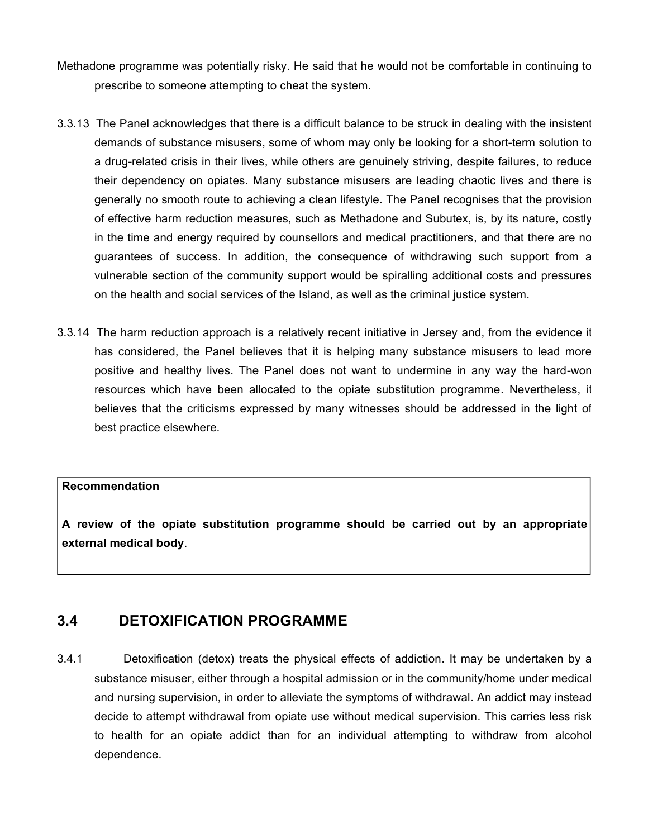- Methadone programme was potentially risky. He said that he would not be comfortable in continuing to prescribe to someone attempting to cheat the system.
- 3.3.13 The Panel acknowledges that there is a difficult balance to be struck in dealing with the insistent demands of substance misusers, some of whom may only be looking for a short-term solution to a drug-related crisis in their lives, while others are genuinely striving, despite failures, to reduce their dependency on opiates. Many substance misusers are leading chaotic lives and there is generally no smooth route to achieving a clean lifestyle. The Panel recognises that the provision of effective harm reduction measures, such as Methadone and Subutex, is, by its nature, costly in the time and energy required by counsellors and medical practitioners, and that there are no guarantees of success. In addition, the consequence of withdrawing such support from a vulnerable section of the community support would be spiralling additional costs and pressures on the health and social services of the Island, as well as the criminal justice system.
- 3.3.14 The harm reduction approach is a relatively recent initiative in Jersey and, from the evidence it has considered, the Panel believes that it is helping many substance misusers to lead more positive and healthy lives. The Panel does not want to undermine in any way the hard-won resources which have been allocated to the opiate substitution programme. Nevertheless, it believes that the criticisms expressed by many witnesses should be addressed in the light of best practice elsewhere.

#### **Recommendation**

**A review of the opiate substitution programme should be carried out by an appropriate external medical body**.

## **3.4 DETOXIFICATION PROGRAMME**

3.4.1 Detoxification (detox) treats the physical effects of addiction. It may be undertaken by a substance misuser, either through a hospital admission or in the community/home under medical and nursing supervision, in order to alleviate the symptoms of withdrawal. An addict may instead decide to attempt withdrawal from opiate use without medical supervision. This carries less risk to health for an opiate addict than for an individual attempting to withdraw from alcohol dependence.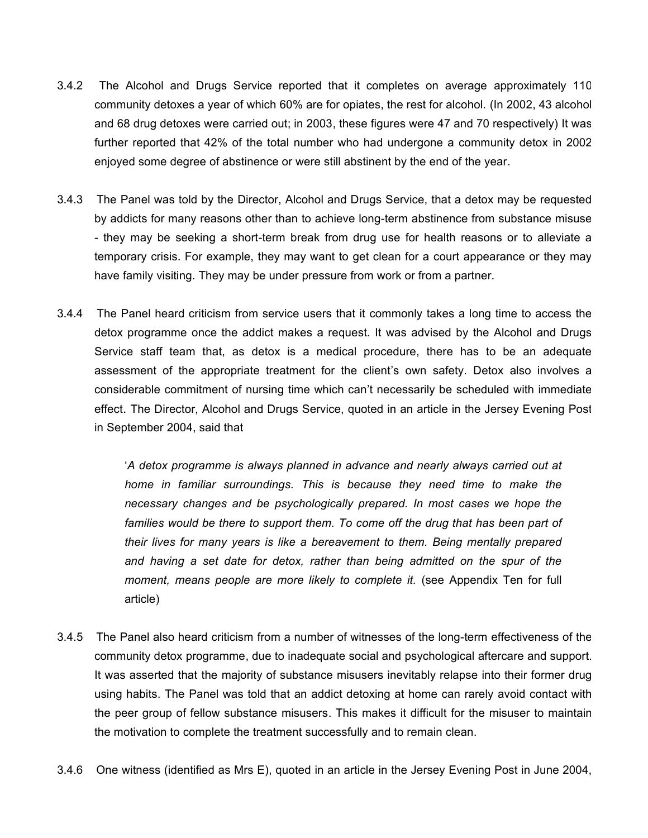- 3.4.2 The Alcohol and Drugs Service reported that it completes on average approximately 110 community detoxes a year of which 60% are for opiates, the rest for alcohol. (In 2002, 43 alcohol and 68 drug detoxes were carried out; in 2003, these figures were 47 and 70 respectively) It was further reported that 42% of the total number who had undergone a community detox in 2002 enjoyed some degree of abstinence or were still abstinent by the end of the year.
- 3.4.3 The Panel was told by the Director, Alcohol and Drugs Service, that a detox may be requested by addicts for many reasons other than to achieve long-term abstinence from substance misuse - they may be seeking a short-term break from drug use for health reasons or to alleviate a temporary crisis. For example, they may want to get clean for a court appearance or they may have family visiting. They may be under pressure from work or from a partner.
- 3.4.4 The Panel heard criticism from service users that it commonly takes a long time to access the detox programme once the addict makes a request. It was advised by the Alcohol and Drugs Service staff team that, as detox is a medical procedure, there has to be an adequate assessment of the appropriate treatment for the client's own safety. Detox also involves a considerable commitment of nursing time which can't necessarily be scheduled with immediate effect. The Director, Alcohol and Drugs Service, quoted in an article in the Jersey Evening Post in September 2004, said that

'*A detox programme is always planned in advance and nearly always carried out at home in familiar surroundings. This is because they need time to make the necessary changes and be psychologically prepared. In most cases we hope the families would be there to support them. To come off the drug that has been part of their lives for many years is like a bereavement to them. Being mentally prepared and having a set date for detox, rather than being admitted on the spur of the moment, means people are more likely to complete it.* (see Appendix Ten for full article)

- 3.4.5 The Panel also heard criticism from a number of witnesses of the long-term effectiveness of the community detox programme, due to inadequate social and psychological aftercare and support. It was asserted that the majority of substance misusers inevitably relapse into their former drug using habits. The Panel was told that an addict detoxing at home can rarely avoid contact with the peer group of fellow substance misusers. This makes it difficult for the misuser to maintain the motivation to complete the treatment successfully and to remain clean.
- 3.4.6 One witness (identified as Mrs E), quoted in an article in the Jersey Evening Post in June 2004,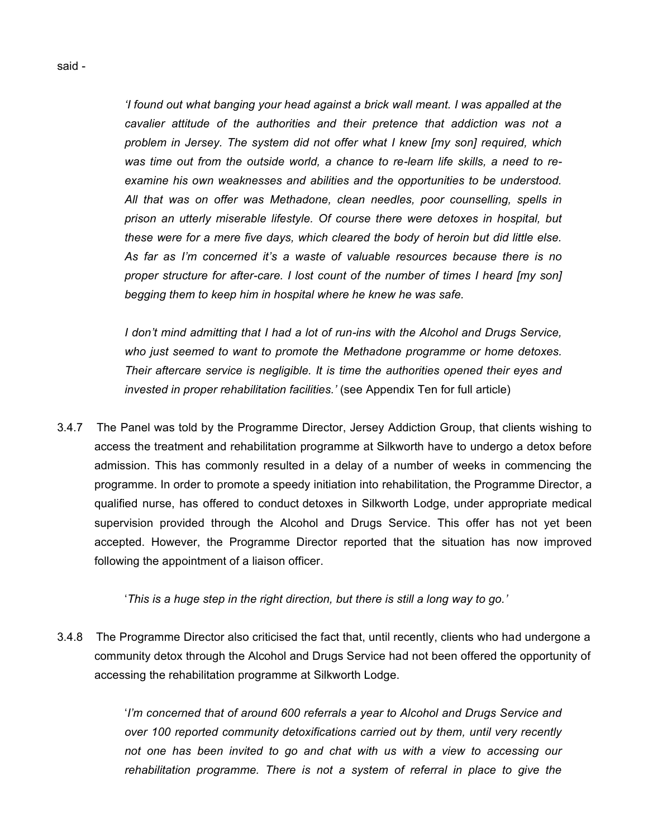*'I found out what banging your head against a brick wall meant. I was appalled at the cavalier attitude of the authorities and their pretence that addiction was not a problem in Jersey. The system did not offer what I knew [my son] required, which was time out from the outside world, a chance to re-learn life skills, a need to reexamine his own weaknesses and abilities and the opportunities to be understood. All that was on offer was Methadone, clean needles, poor counselling, spells in prison an utterly miserable lifestyle. Of course there were detoxes in hospital, but these were for a mere five days, which cleared the body of heroin but did little else. As far as I'm concerned it's a waste of valuable resources because there is no proper structure for after-care. I lost count of the number of times I heard [my son] begging them to keep him in hospital where he knew he was safe.*

*I don't mind admitting that I had a lot of run-ins with the Alcohol and Drugs Service, who just seemed to want to promote the Methadone programme or home detoxes. Their aftercare service is negligible. It is time the authorities opened their eyes and invested in proper rehabilitation facilities.'* (see Appendix Ten for full article)

3.4.7 The Panel was told by the Programme Director, Jersey Addiction Group, that clients wishing to access the treatment and rehabilitation programme at Silkworth have to undergo a detox before admission. This has commonly resulted in a delay of a number of weeks in commencing the programme. In order to promote a speedy initiation into rehabilitation, the Programme Director, a qualified nurse, has offered to conduct detoxes in Silkworth Lodge, under appropriate medical supervision provided through the Alcohol and Drugs Service. This offer has not yet been accepted. However, the Programme Director reported that the situation has now improved following the appointment of a liaison officer.

'*This is a huge step in the right direction, but there is still a long way to go.'*

3.4.8 The Programme Director also criticised the fact that, until recently, clients who had undergone a community detox through the Alcohol and Drugs Service had not been offered the opportunity of accessing the rehabilitation programme at Silkworth Lodge.

> '*I'm concerned that of around 600 referrals a year to Alcohol and Drugs Service and over 100 reported community detoxifications carried out by them, until very recently not one has been invited to go and chat with us with a view to accessing our rehabilitation programme. There is not a system of referral in place to give the*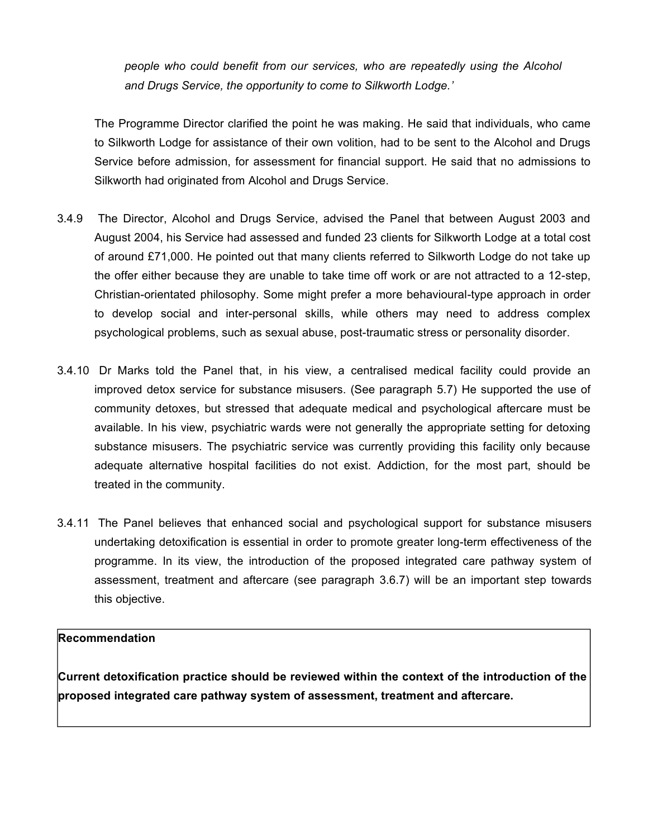*people who could benefit from our services, who are repeatedly using the Alcohol and Drugs Service, the opportunity to come to Silkworth Lodge.'*

The Programme Director clarified the point he was making. He said that individuals, who came to Silkworth Lodge for assistance of their own volition, had to be sent to the Alcohol and Drugs Service before admission, for assessment for financial support. He said that no admissions to Silkworth had originated from Alcohol and Drugs Service.

- 3.4.9 The Director, Alcohol and Drugs Service, advised the Panel that between August 2003 and August 2004, his Service had assessed and funded 23 clients for Silkworth Lodge at a total cost of around £71,000. He pointed out that many clients referred to Silkworth Lodge do not take up the offer either because they are unable to take time off work or are not attracted to a 12-step, Christian-orientated philosophy. Some might prefer a more behavioural-type approach in order to develop social and inter-personal skills, while others may need to address complex psychological problems, such as sexual abuse, post-traumatic stress or personality disorder.
- 3.4.10 Dr Marks told the Panel that, in his view, a centralised medical facility could provide an improved detox service for substance misusers. (See paragraph 5.7) He supported the use of community detoxes, but stressed that adequate medical and psychological aftercare must be available. In his view, psychiatric wards were not generally the appropriate setting for detoxing substance misusers. The psychiatric service was currently providing this facility only because adequate alternative hospital facilities do not exist. Addiction, for the most part, should be treated in the community.
- 3.4.11 The Panel believes that enhanced social and psychological support for substance misusers undertaking detoxification is essential in order to promote greater long-term effectiveness of the programme. In its view, the introduction of the proposed integrated care pathway system of assessment, treatment and aftercare (see paragraph 3.6.7) will be an important step towards this objective.

### **Recommendation**

**Current detoxification practice should be reviewed within the context of the introduction of the proposed integrated care pathway system of assessment, treatment and aftercare.**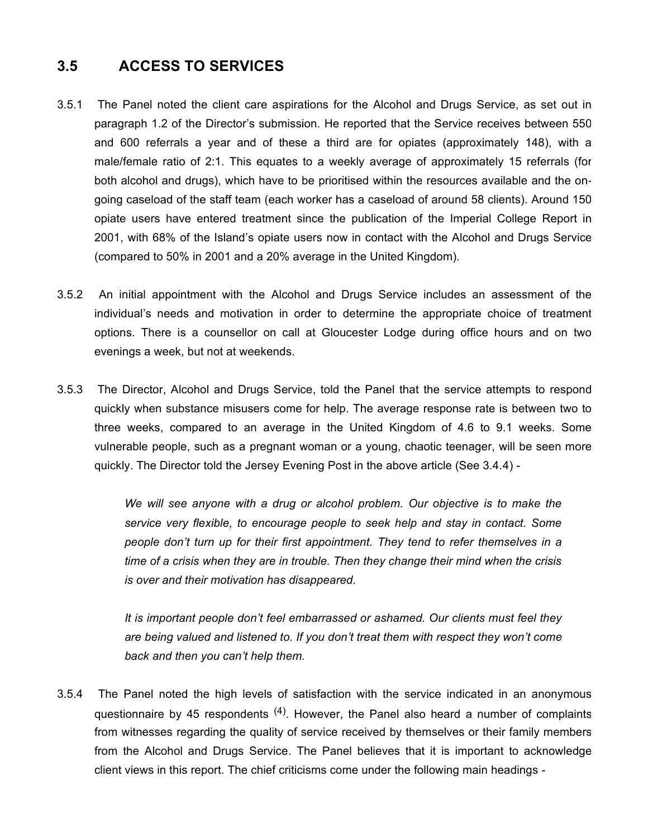## **3.5 ACCESS TO SERVICES**

- 3.5.1 The Panel noted the client care aspirations for the Alcohol and Drugs Service, as set out in paragraph 1.2 of the Director's submission. He reported that the Service receives between 550 and 600 referrals a year and of these a third are for opiates (approximately 148), with a male/female ratio of 2:1. This equates to a weekly average of approximately 15 referrals (for both alcohol and drugs), which have to be prioritised within the resources available and the ongoing caseload of the staff team (each worker has a caseload of around 58 clients). Around 150 opiate users have entered treatment since the publication of the Imperial College Report in 2001, with 68% of the Island's opiate users now in contact with the Alcohol and Drugs Service (compared to 50% in 2001 and a 20% average in the United Kingdom).
- 3.5.2 An initial appointment with the Alcohol and Drugs Service includes an assessment of the individual's needs and motivation in order to determine the appropriate choice of treatment options. There is a counsellor on call at Gloucester Lodge during office hours and on two evenings a week, but not at weekends.
- 3.5.3 The Director, Alcohol and Drugs Service, told the Panel that the service attempts to respond quickly when substance misusers come for help. The average response rate is between two to three weeks, compared to an average in the United Kingdom of 4.6 to 9.1 weeks. Some vulnerable people, such as a pregnant woman or a young, chaotic teenager, will be seen more quickly. The Director told the Jersey Evening Post in the above article (See 3.4.4) -

*We will see anyone with a drug or alcohol problem. Our objective is to make the service very flexible, to encourage people to seek help and stay in contact. Some people don't turn up for their first appointment. They tend to refer themselves in a time of a crisis when they are in trouble. Then they change their mind when the crisis is over and their motivation has disappeared.*

*It is important people don't feel embarrassed or ashamed. Our clients must feel they are being valued and listened to. If you don't treat them with respect they won't come back and then you can't help them.*

3.5.4 The Panel noted the high levels of satisfaction with the service indicated in an anonymous questionnaire by 45 respondents <sup>(4)</sup>. However, the Panel also heard a number of complaints from witnesses regarding the quality of service received by themselves or their family members from the Alcohol and Drugs Service. The Panel believes that it is important to acknowledge client views in this report. The chief criticisms come under the following main headings -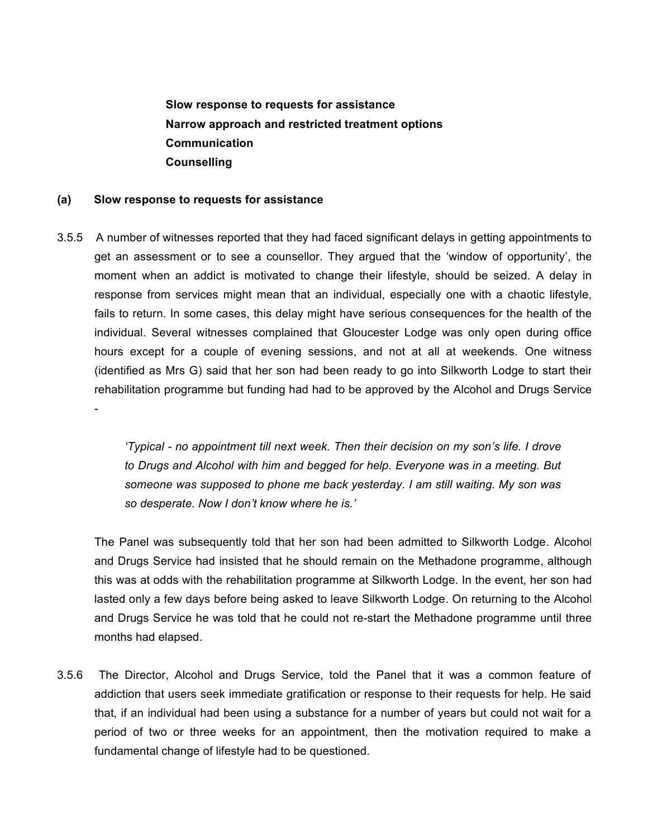**Slow response to requests for assistance Narrow approach and restricted treatment options Communication Counselling**

#### **(a) Slow response to requests for assistance**

-

3.5.5 A number of witnesses reported that they had faced significant delays in getting appointments to get an assessment or to see a counsellor. They argued that the 'window of opportunity', the moment when an addict is motivated to change their lifestyle, should be seized. A delay in response from services might mean that an individual, especially one with a chaotic lifestyle, fails to return. In some cases, this delay might have serious consequences for the health of the individual. Several witnesses complained that Gloucester Lodge was only open during office hours except for a couple of evening sessions, and not at all at weekends. One witness (identified as Mrs G) said that her son had been ready to go into Silkworth Lodge to start their rehabilitation programme but funding had had to be approved by the Alcohol and Drugs Service

> *'Typical - no appointment till next week. Then their decision on my son's life. I drove to Drugs and Alcohol with him and begged for help. Everyone was in a meeting. But someone was supposed to phone me back yesterday. I am still waiting. My son was so desperate. Now I don't know where he is.'*

The Panel was subsequently told that her son had been admitted to Silkworth Lodge. Alcohol and Drugs Service had insisted that he should remain on the Methadone programme, although this was at odds with the rehabilitation programme at Silkworth Lodge. In the event, her son had lasted only a few days before being asked to leave Silkworth Lodge. On returning to the Alcohol and Drugs Service he was told that he could not re-start the Methadone programme until three months had elapsed.

3.5.6 The Director, Alcohol and Drugs Service, told the Panel that it was a common feature of addiction that users seek immediate gratification or response to their requests for help. He said that, if an individual had been using a substance for a number of years but could not wait for a period of two or three weeks for an appointment, then the motivation required to make a fundamental change of lifestyle had to be questioned.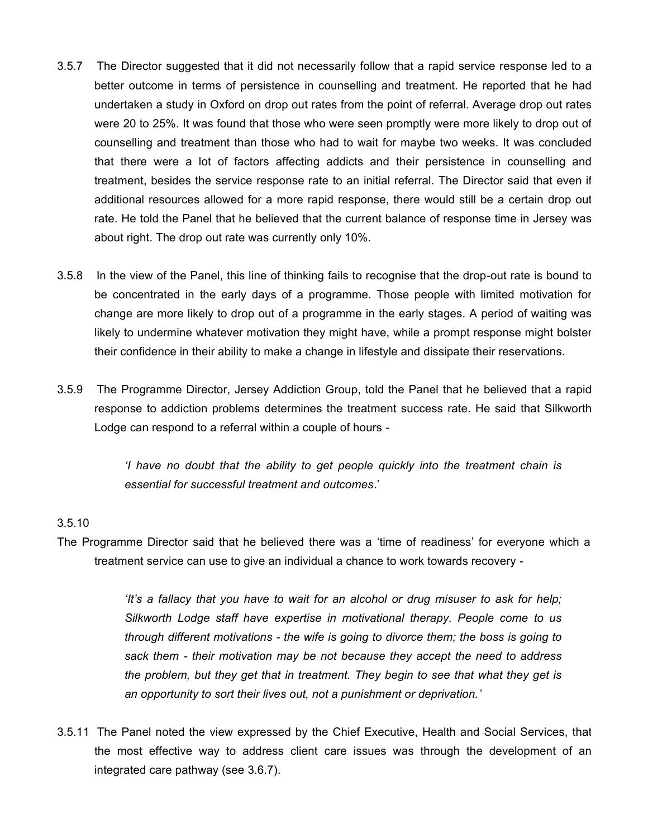- 3.5.7 The Director suggested that it did not necessarily follow that a rapid service response led to a better outcome in terms of persistence in counselling and treatment. He reported that he had undertaken a study in Oxford on drop out rates from the point of referral. Average drop out rates were 20 to 25%. It was found that those who were seen promptly were more likely to drop out of counselling and treatment than those who had to wait for maybe two weeks. It was concluded that there were a lot of factors affecting addicts and their persistence in counselling and treatment, besides the service response rate to an initial referral. The Director said that even if additional resources allowed for a more rapid response, there would still be a certain drop out rate. He told the Panel that he believed that the current balance of response time in Jersey was about right. The drop out rate was currently only 10%.
- 3.5.8 In the view of the Panel, this line of thinking fails to recognise that the drop-out rate is bound to be concentrated in the early days of a programme. Those people with limited motivation for change are more likely to drop out of a programme in the early stages. A period of waiting was likely to undermine whatever motivation they might have, while a prompt response might bolster their confidence in their ability to make a change in lifestyle and dissipate their reservations.
- 3.5.9 The Programme Director, Jersey Addiction Group, told the Panel that he believed that a rapid response to addiction problems determines the treatment success rate. He said that Silkworth Lodge can respond to a referral within a couple of hours -

*'I have no doubt that the ability to get people quickly into the treatment chain is essential for successful treatment and outcomes*.'

### 3.5.10

The Programme Director said that he believed there was a 'time of readiness' for everyone which a treatment service can use to give an individual a chance to work towards recovery -

> *'It's a fallacy that you have to wait for an alcohol or drug misuser to ask for help; Silkworth Lodge staff have expertise in motivational therapy. People come to us through different motivations - the wife is going to divorce them; the boss is going to sack them - their motivation may be not because they accept the need to address the problem, but they get that in treatment. They begin to see that what they get is an opportunity to sort their lives out, not a punishment or deprivation.'*

3.5.11 The Panel noted the view expressed by the Chief Executive, Health and Social Services, that the most effective way to address client care issues was through the development of an integrated care pathway (see 3.6.7).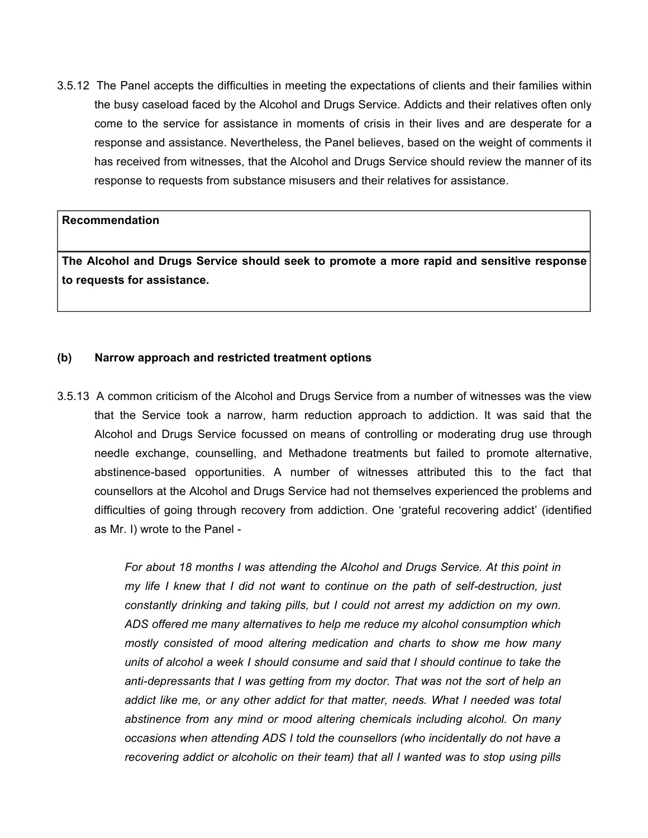3.5.12 The Panel accepts the difficulties in meeting the expectations of clients and their families within the busy caseload faced by the Alcohol and Drugs Service. Addicts and their relatives often only come to the service for assistance in moments of crisis in their lives and are desperate for a response and assistance. Nevertheless, the Panel believes, based on the weight of comments it has received from witnesses, that the Alcohol and Drugs Service should review the manner of its response to requests from substance misusers and their relatives for assistance.

#### **Recommendation**

**The Alcohol and Drugs Service should seek to promote a more rapid and sensitive response to requests for assistance.**

#### **(b) Narrow approach and restricted treatment options**

3.5.13 A common criticism of the Alcohol and Drugs Service from a number of witnesses was the view that the Service took a narrow, harm reduction approach to addiction. It was said that the Alcohol and Drugs Service focussed on means of controlling or moderating drug use through needle exchange, counselling, and Methadone treatments but failed to promote alternative, abstinence-based opportunities. A number of witnesses attributed this to the fact that counsellors at the Alcohol and Drugs Service had not themselves experienced the problems and difficulties of going through recovery from addiction. One 'grateful recovering addict' (identified as Mr. I) wrote to the Panel -

> *For about 18 months I was attending the Alcohol and Drugs Service. At this point in my life I knew that I did not want to continue on the path of self-destruction, just constantly drinking and taking pills, but I could not arrest my addiction on my own. ADS offered me many alternatives to help me reduce my alcohol consumption which mostly consisted of mood altering medication and charts to show me how many units of alcohol a week I should consume and said that I should continue to take the anti-depressants that I was getting from my doctor. That was not the sort of help an addict like me, or any other addict for that matter, needs. What I needed was total abstinence from any mind or mood altering chemicals including alcohol. On many occasions when attending ADS I told the counsellors (who incidentally do not have a recovering addict or alcoholic on their team) that all I wanted was to stop using pills*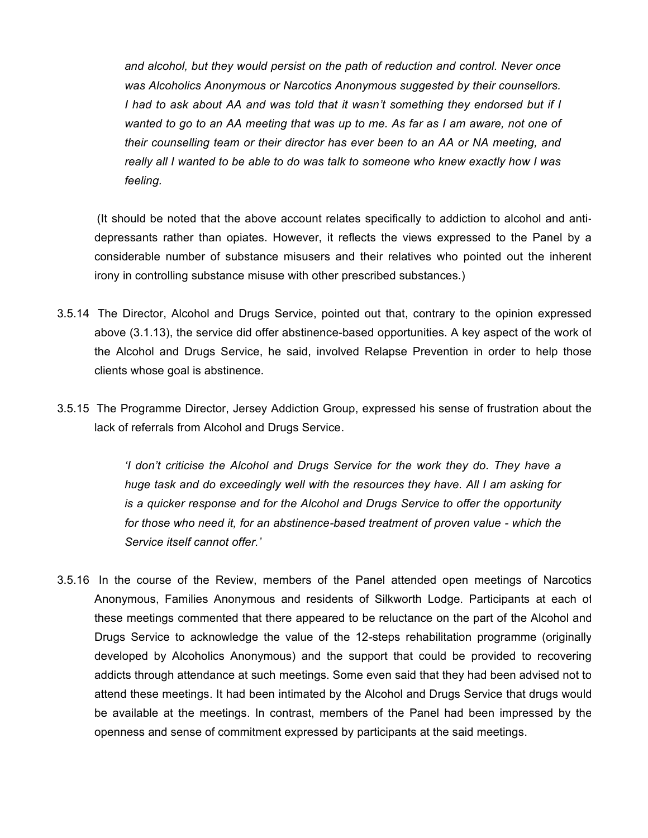*and alcohol, but they would persist on the path of reduction and control. Never once was Alcoholics Anonymous or Narcotics Anonymous suggested by their counsellors. I had to ask about AA and was told that it wasn't something they endorsed but if I wanted to go to an AA meeting that was up to me. As far as I am aware, not one of their counselling team or their director has ever been to an AA or NA meeting, and really all I wanted to be able to do was talk to someone who knew exactly how I was feeling.*

 (It should be noted that the above account relates specifically to addiction to alcohol and antidepressants rather than opiates. However, it reflects the views expressed to the Panel by a considerable number of substance misusers and their relatives who pointed out the inherent irony in controlling substance misuse with other prescribed substances.)

- 3.5.14 The Director, Alcohol and Drugs Service, pointed out that, contrary to the opinion expressed above (3.1.13), the service did offer abstinence-based opportunities. A key aspect of the work of the Alcohol and Drugs Service, he said, involved Relapse Prevention in order to help those clients whose goal is abstinence.
- 3.5.15 The Programme Director, Jersey Addiction Group, expressed his sense of frustration about the lack of referrals from Alcohol and Drugs Service.

*'I don't criticise the Alcohol and Drugs Service for the work they do. They have a huge task and do exceedingly well with the resources they have. All I am asking for is a quicker response and for the Alcohol and Drugs Service to offer the opportunity for those who need it, for an abstinence-based treatment of proven value - which the Service itself cannot offer.'*

3.5.16 In the course of the Review, members of the Panel attended open meetings of Narcotics Anonymous, Families Anonymous and residents of Silkworth Lodge. Participants at each of these meetings commented that there appeared to be reluctance on the part of the Alcohol and Drugs Service to acknowledge the value of the 12-steps rehabilitation programme (originally developed by Alcoholics Anonymous) and the support that could be provided to recovering addicts through attendance at such meetings. Some even said that they had been advised not to attend these meetings. It had been intimated by the Alcohol and Drugs Service that drugs would be available at the meetings. In contrast, members of the Panel had been impressed by the openness and sense of commitment expressed by participants at the said meetings.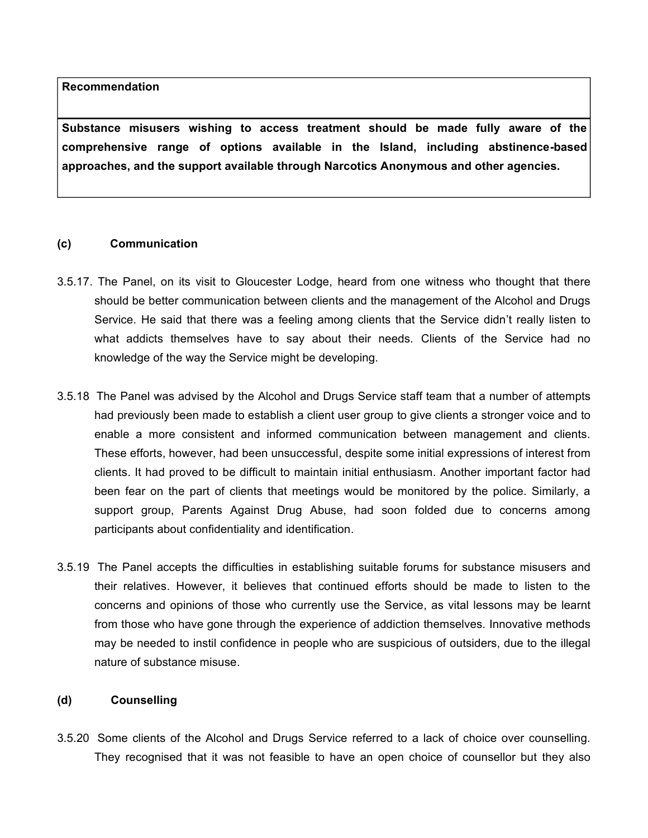**Substance misusers wishing to access treatment should be made fully aware of the comprehensive range of options available in the Island, including abstinence-based approaches, and the support available through Narcotics Anonymous and other agencies.**

### **(c) Communication**

- 3.5.17. The Panel, on its visit to Gloucester Lodge, heard from one witness who thought that there should be better communication between clients and the management of the Alcohol and Drugs Service. He said that there was a feeling among clients that the Service didn't really listen to what addicts themselves have to say about their needs. Clients of the Service had no knowledge of the way the Service might be developing.
- 3.5.18 The Panel was advised by the Alcohol and Drugs Service staff team that a number of attempts had previously been made to establish a client user group to give clients a stronger voice and to enable a more consistent and informed communication between management and clients. These efforts, however, had been unsuccessful, despite some initial expressions of interest from clients. It had proved to be difficult to maintain initial enthusiasm. Another important factor had been fear on the part of clients that meetings would be monitored by the police. Similarly, a support group, Parents Against Drug Abuse, had soon folded due to concerns among participants about confidentiality and identification.
- 3.5.19 The Panel accepts the difficulties in establishing suitable forums for substance misusers and their relatives. However, it believes that continued efforts should be made to listen to the concerns and opinions of those who currently use the Service, as vital lessons may be learnt from those who have gone through the experience of addiction themselves. Innovative methods may be needed to instil confidence in people who are suspicious of outsiders, due to the illegal nature of substance misuse.

### **(d) Counselling**

3.5.20 Some clients of the Alcohol and Drugs Service referred to a lack of choice over counselling. They recognised that it was not feasible to have an open choice of counsellor but they also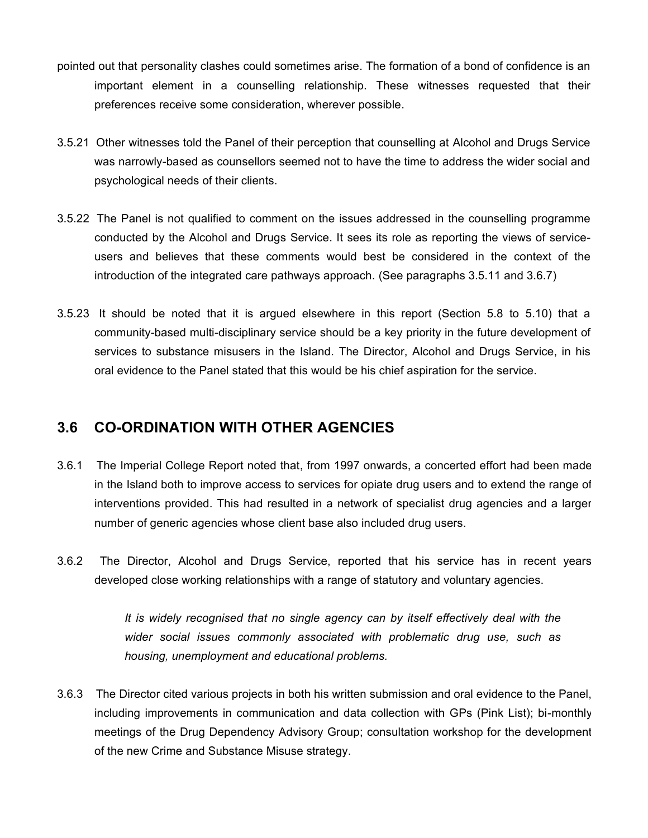- pointed out that personality clashes could sometimes arise. The formation of a bond of confidence is an important element in a counselling relationship. These witnesses requested that their preferences receive some consideration, wherever possible.
- 3.5.21 Other witnesses told the Panel of their perception that counselling at Alcohol and Drugs Service was narrowly-based as counsellors seemed not to have the time to address the wider social and psychological needs of their clients.
- 3.5.22 The Panel is not qualified to comment on the issues addressed in the counselling programme conducted by the Alcohol and Drugs Service. It sees its role as reporting the views of serviceusers and believes that these comments would best be considered in the context of the introduction of the integrated care pathways approach. (See paragraphs 3.5.11 and 3.6.7)
- 3.5.23 It should be noted that it is argued elsewhere in this report (Section 5.8 to 5.10) that a community-based multi-disciplinary service should be a key priority in the future development of services to substance misusers in the Island. The Director, Alcohol and Drugs Service, in his oral evidence to the Panel stated that this would be his chief aspiration for the service.

# **3.6 CO-ORDINATION WITH OTHER AGENCIES**

- 3.6.1 The Imperial College Report noted that, from 1997 onwards, a concerted effort had been made in the Island both to improve access to services for opiate drug users and to extend the range of interventions provided. This had resulted in a network of specialist drug agencies and a larger number of generic agencies whose client base also included drug users.
- 3.6.2 The Director, Alcohol and Drugs Service, reported that his service has in recent years developed close working relationships with a range of statutory and voluntary agencies.

*It is widely recognised that no single agency can by itself effectively deal with the wider social issues commonly associated with problematic drug use, such as housing, unemployment and educational problems.*

3.6.3 The Director cited various projects in both his written submission and oral evidence to the Panel, including improvements in communication and data collection with GPs (Pink List); bi-monthly meetings of the Drug Dependency Advisory Group; consultation workshop for the development of the new Crime and Substance Misuse strategy.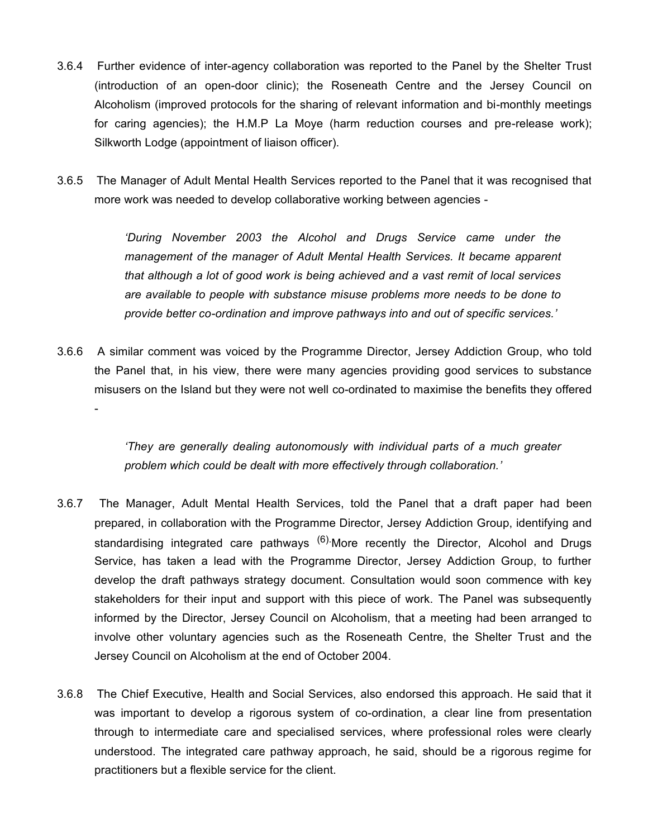- 3.6.4 Further evidence of inter-agency collaboration was reported to the Panel by the Shelter Trust (introduction of an open-door clinic); the Roseneath Centre and the Jersey Council on Alcoholism (improved protocols for the sharing of relevant information and bi-monthly meetings for caring agencies); the H.M.P La Moye (harm reduction courses and pre-release work); Silkworth Lodge (appointment of liaison officer).
- 3.6.5 The Manager of Adult Mental Health Services reported to the Panel that it was recognised that more work was needed to develop collaborative working between agencies -

*'During November 2003 the Alcohol and Drugs Service came under the management of the manager of Adult Mental Health Services. It became apparent that although a lot of good work is being achieved and a vast remit of local services are available to people with substance misuse problems more needs to be done to provide better co-ordination and improve pathways into and out of specific services.'*

3.6.6 A similar comment was voiced by the Programme Director, Jersey Addiction Group, who told the Panel that, in his view, there were many agencies providing good services to substance misusers on the Island but they were not well co-ordinated to maximise the benefits they offered

-

*'They are generally dealing autonomously with individual parts of a much greater problem which could be dealt with more effectively through collaboration.'*

- 3.6.7 The Manager, Adult Mental Health Services, told the Panel that a draft paper had been prepared, in collaboration with the Programme Director, Jersey Addiction Group, identifying and standardising integrated care pathways <sup>(6)</sup>.More recently the Director, Alcohol and Drugs Service, has taken a lead with the Programme Director, Jersey Addiction Group, to further develop the draft pathways strategy document. Consultation would soon commence with key stakeholders for their input and support with this piece of work. The Panel was subsequently informed by the Director, Jersey Council on Alcoholism, that a meeting had been arranged to involve other voluntary agencies such as the Roseneath Centre, the Shelter Trust and the Jersey Council on Alcoholism at the end of October 2004.
- 3.6.8 The Chief Executive, Health and Social Services, also endorsed this approach. He said that it was important to develop a rigorous system of co-ordination, a clear line from presentation through to intermediate care and specialised services, where professional roles were clearly understood. The integrated care pathway approach, he said, should be a rigorous regime for practitioners but a flexible service for the client.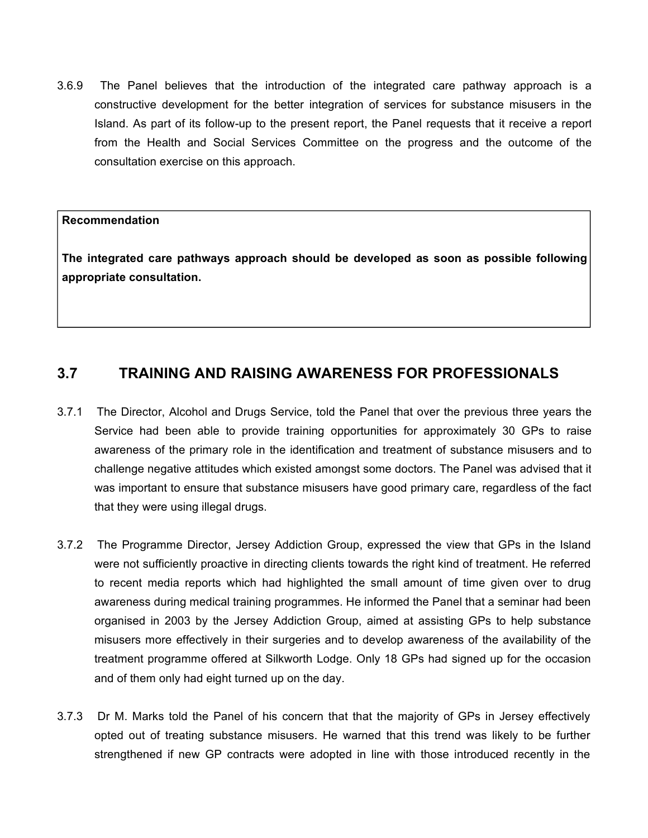3.6.9 The Panel believes that the introduction of the integrated care pathway approach is a constructive development for the better integration of services for substance misusers in the Island. As part of its follow-up to the present report, the Panel requests that it receive a report from the Health and Social Services Committee on the progress and the outcome of the consultation exercise on this approach.

#### **Recommendation**

**The integrated care pathways approach should be developed as soon as possible following appropriate consultation.**

# **3.7 TRAINING AND RAISING AWARENESS FOR PROFESSIONALS**

- 3.7.1 The Director, Alcohol and Drugs Service, told the Panel that over the previous three years the Service had been able to provide training opportunities for approximately 30 GPs to raise awareness of the primary role in the identification and treatment of substance misusers and to challenge negative attitudes which existed amongst some doctors. The Panel was advised that it was important to ensure that substance misusers have good primary care, regardless of the fact that they were using illegal drugs.
- 3.7.2 The Programme Director, Jersey Addiction Group, expressed the view that GPs in the Island were not sufficiently proactive in directing clients towards the right kind of treatment. He referred to recent media reports which had highlighted the small amount of time given over to drug awareness during medical training programmes. He informed the Panel that a seminar had been organised in 2003 by the Jersey Addiction Group, aimed at assisting GPs to help substance misusers more effectively in their surgeries and to develop awareness of the availability of the treatment programme offered at Silkworth Lodge. Only 18 GPs had signed up for the occasion and of them only had eight turned up on the day.
- 3.7.3 Dr M. Marks told the Panel of his concern that that the majority of GPs in Jersey effectively opted out of treating substance misusers. He warned that this trend was likely to be further strengthened if new GP contracts were adopted in line with those introduced recently in the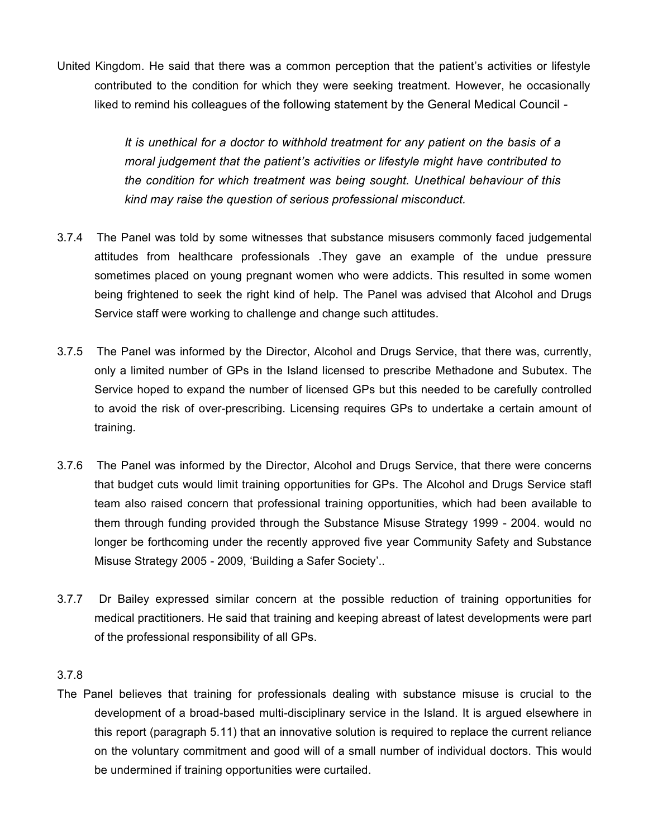United Kingdom. He said that there was a common perception that the patient's activities or lifestyle contributed to the condition for which they were seeking treatment. However, he occasionally liked to remind his colleagues of the following statement by the General Medical Council -

> *It is unethical for a doctor to withhold treatment for any patient on the basis of a moral judgement that the patient's activities or lifestyle might have contributed to the condition for which treatment was being sought. Unethical behaviour of this kind may raise the question of serious professional misconduct.*

- 3.7.4 The Panel was told by some witnesses that substance misusers commonly faced judgemental attitudes from healthcare professionals .They gave an example of the undue pressure sometimes placed on young pregnant women who were addicts. This resulted in some women being frightened to seek the right kind of help. The Panel was advised that Alcohol and Drugs Service staff were working to challenge and change such attitudes.
- 3.7.5 The Panel was informed by the Director, Alcohol and Drugs Service, that there was, currently, only a limited number of GPs in the Island licensed to prescribe Methadone and Subutex. The Service hoped to expand the number of licensed GPs but this needed to be carefully controlled to avoid the risk of over-prescribing. Licensing requires GPs to undertake a certain amount of training.
- 3.7.6 The Panel was informed by the Director, Alcohol and Drugs Service, that there were concerns that budget cuts would limit training opportunities for GPs. The Alcohol and Drugs Service staff team also raised concern that professional training opportunities, which had been available to them through funding provided through the Substance Misuse Strategy 1999 - 2004. would no longer be forthcoming under the recently approved five year Community Safety and Substance Misuse Strategy 2005 - 2009, 'Building a Safer Society'..
- 3.7.7 Dr Bailey expressed similar concern at the possible reduction of training opportunities for medical practitioners. He said that training and keeping abreast of latest developments were part of the professional responsibility of all GPs.

### 3.7.8

The Panel believes that training for professionals dealing with substance misuse is crucial to the development of a broad-based multi-disciplinary service in the Island. It is argued elsewhere in this report (paragraph 5.11) that an innovative solution is required to replace the current reliance on the voluntary commitment and good will of a small number of individual doctors. This would be undermined if training opportunities were curtailed.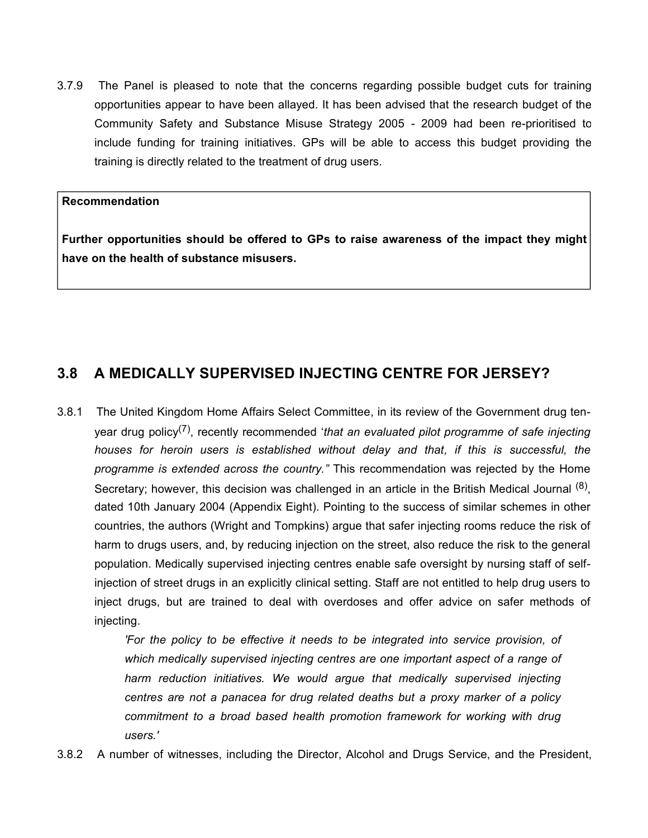3.7.9 The Panel is pleased to note that the concerns regarding possible budget cuts for training opportunities appear to have been allayed. It has been advised that the research budget of the Community Safety and Substance Misuse Strategy 2005 - 2009 had been re-prioritised to include funding for training initiatives. GPs will be able to access this budget providing the training is directly related to the treatment of drug users.

#### **Recommendation**

**Further opportunities should be offered to GPs to raise awareness of the impact they might have on the health of substance misusers.**

# **3.8 A MEDICALLY SUPERVISED INJECTING CENTRE FOR JERSEY?**

3.8.1 The United Kingdom Home Affairs Select Committee, in its review of the Government drug tenyear drug policy<sup>(7)</sup>, recently recommended '*that an evaluated pilot programme of safe injecting houses for heroin users is established without delay and that, if this is successful, the programme is extended across the country."* This recommendation was rejected by the Home Secretary; however, this decision was challenged in an article in the British Medical Journal <sup>(8)</sup>, dated 10th January 2004 (Appendix Eight). Pointing to the success of similar schemes in other countries, the authors (Wright and Tompkins) argue that safer injecting rooms reduce the risk of harm to drugs users, and, by reducing injection on the street, also reduce the risk to the general population. Medically supervised injecting centres enable safe oversight by nursing staff of selfinjection of street drugs in an explicitly clinical setting. Staff are not entitled to help drug users to inject drugs, but are trained to deal with overdoses and offer advice on safer methods of injecting.

> *'For the policy to be effective it needs to be integrated into service provision, of which medically supervised injecting centres are one important aspect of a range of harm reduction initiatives. We would argue that medically supervised injecting centres are not a panacea for drug related deaths but a proxy marker of a policy commitment to a broad based health promotion framework for working with drug users.'*

3.8.2 A number of witnesses, including the Director, Alcohol and Drugs Service, and the President,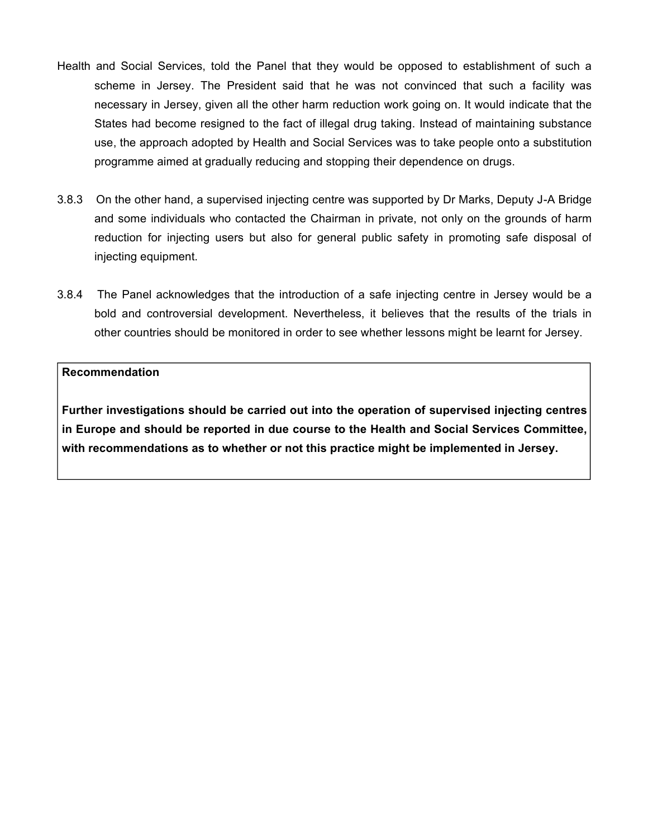- Health and Social Services, told the Panel that they would be opposed to establishment of such a scheme in Jersey. The President said that he was not convinced that such a facility was necessary in Jersey, given all the other harm reduction work going on. It would indicate that the States had become resigned to the fact of illegal drug taking. Instead of maintaining substance use, the approach adopted by Health and Social Services was to take people onto a substitution programme aimed at gradually reducing and stopping their dependence on drugs.
- 3.8.3 On the other hand, a supervised injecting centre was supported by Dr Marks, Deputy J-A Bridge and some individuals who contacted the Chairman in private, not only on the grounds of harm reduction for injecting users but also for general public safety in promoting safe disposal of injecting equipment.
- 3.8.4 The Panel acknowledges that the introduction of a safe injecting centre in Jersey would be a bold and controversial development. Nevertheless, it believes that the results of the trials in other countries should be monitored in order to see whether lessons might be learnt for Jersey.

**Further investigations should be carried out into the operation of supervised injecting centres in Europe and should be reported in due course to the Health and Social Services Committee, with recommendations as to whether or not this practice might be implemented in Jersey.**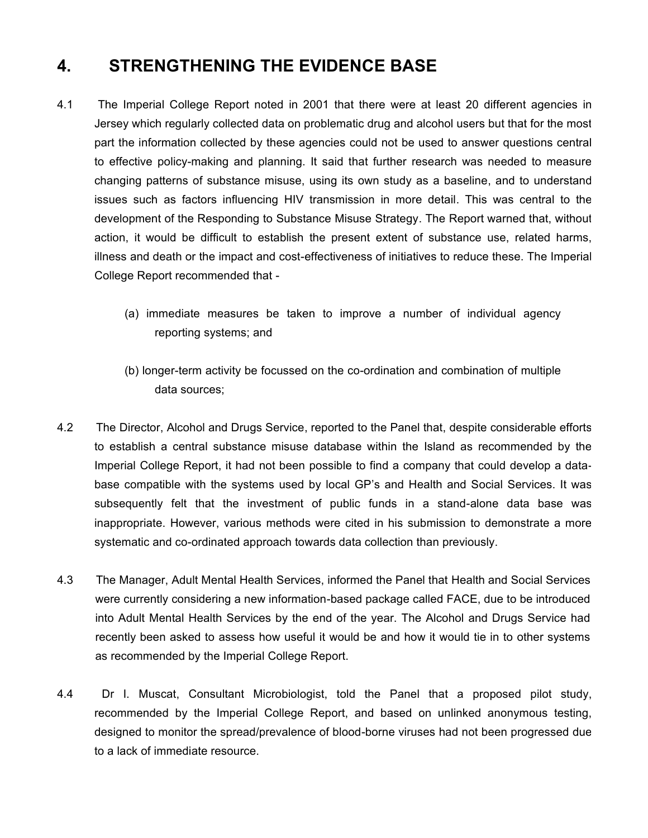# **4. STRENGTHENING THE EVIDENCE BASE**

- 4.1 The Imperial College Report noted in 2001 that there were at least 20 different agencies in Jersey which regularly collected data on problematic drug and alcohol users but that for the most part the information collected by these agencies could not be used to answer questions central to effective policy-making and planning. It said that further research was needed to measure changing patterns of substance misuse, using its own study as a baseline, and to understand issues such as factors influencing HIV transmission in more detail. This was central to the development of the Responding to Substance Misuse Strategy. The Report warned that, without action, it would be difficult to establish the present extent of substance use, related harms, illness and death or the impact and cost-effectiveness of initiatives to reduce these. The Imperial College Report recommended that -
	- (a) immediate measures be taken to improve a number of individual agency reporting systems; and
	- (b) longer-term activity be focussed on the co-ordination and combination of multiple data sources;
- 4.2 The Director, Alcohol and Drugs Service, reported to the Panel that, despite considerable efforts to establish a central substance misuse database within the Island as recommended by the Imperial College Report, it had not been possible to find a company that could develop a database compatible with the systems used by local GP's and Health and Social Services. It was subsequently felt that the investment of public funds in a stand-alone data base was inappropriate. However, various methods were cited in his submission to demonstrate a more systematic and co-ordinated approach towards data collection than previously.
- 4.3 The Manager, Adult Mental Health Services, informed the Panel that Health and Social Services were currently considering a new information-based package called FACE, due to be introduced into Adult Mental Health Services by the end of the year. The Alcohol and Drugs Service had recently been asked to assess how useful it would be and how it would tie in to other systems as recommended by the Imperial College Report.
- 4.4 Dr I. Muscat, Consultant Microbiologist, told the Panel that a proposed pilot study, recommended by the Imperial College Report, and based on unlinked anonymous testing, designed to monitor the spread/prevalence of blood-borne viruses had not been progressed due to a lack of immediate resource.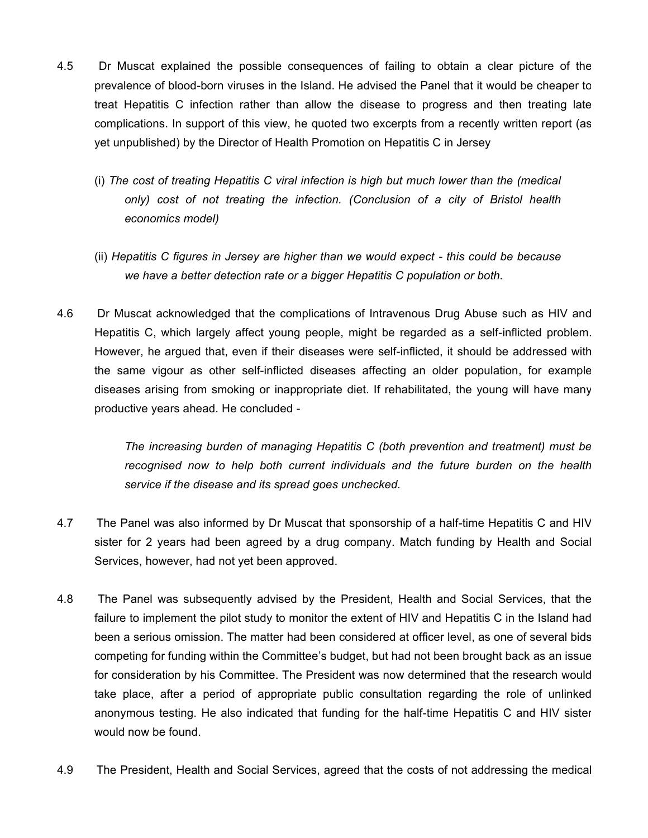- 4.5 Dr Muscat explained the possible consequences of failing to obtain a clear picture of the prevalence of blood-born viruses in the Island. He advised the Panel that it would be cheaper to treat Hepatitis C infection rather than allow the disease to progress and then treating late complications. In support of this view, he quoted two excerpts from a recently written report (as yet unpublished) by the Director of Health Promotion on Hepatitis C in Jersey
	- (i) *The cost of treating Hepatitis C viral infection is high but much lower than the (medical only) cost of not treating the infection. (Conclusion of a city of Bristol health economics model)*
	- (ii) *Hepatitis C figures in Jersey are higher than we would expect this could be because we have a better detection rate or a bigger Hepatitis C population or both.*
- 4.6 Dr Muscat acknowledged that the complications of Intravenous Drug Abuse such as HIV and Hepatitis C, which largely affect young people, might be regarded as a self-inflicted problem. However, he argued that, even if their diseases were self-inflicted, it should be addressed with the same vigour as other self-inflicted diseases affecting an older population, for example diseases arising from smoking or inappropriate diet. If rehabilitated, the young will have many productive years ahead. He concluded -

*The increasing burden of managing Hepatitis C (both prevention and treatment) must be recognised now to help both current individuals and the future burden on the health service if the disease and its spread goes unchecked.*

- 4.7 The Panel was also informed by Dr Muscat that sponsorship of a half-time Hepatitis C and HIV sister for 2 years had been agreed by a drug company. Match funding by Health and Social Services, however, had not yet been approved.
- 4.8 The Panel was subsequently advised by the President, Health and Social Services, that the failure to implement the pilot study to monitor the extent of HIV and Hepatitis C in the Island had been a serious omission. The matter had been considered at officer level, as one of several bids competing for funding within the Committee's budget, but had not been brought back as an issue for consideration by his Committee. The President was now determined that the research would take place, after a period of appropriate public consultation regarding the role of unlinked anonymous testing. He also indicated that funding for the half-time Hepatitis C and HIV sister would now be found.
- 4.9 The President, Health and Social Services, agreed that the costs of not addressing the medical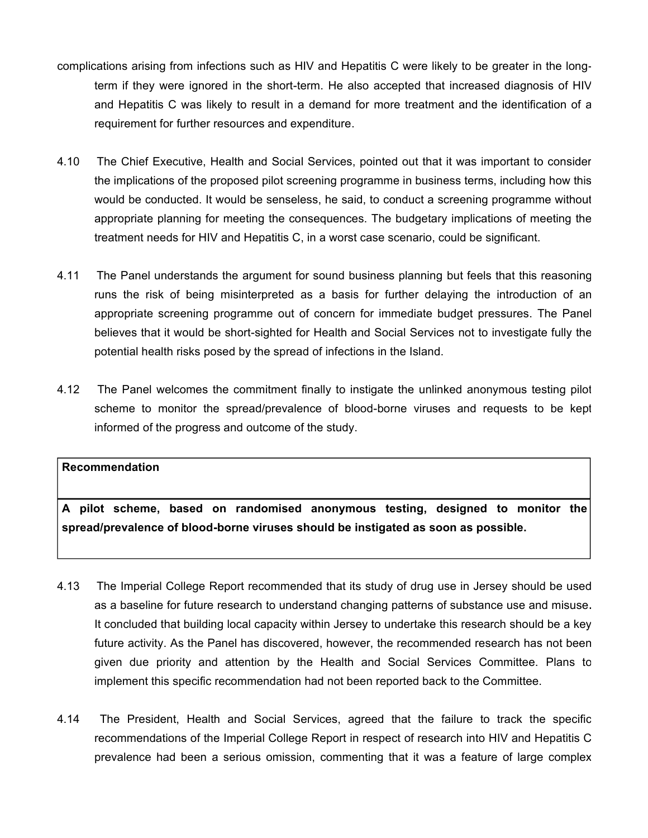- complications arising from infections such as HIV and Hepatitis C were likely to be greater in the longterm if they were ignored in the short-term. He also accepted that increased diagnosis of HIV and Hepatitis C was likely to result in a demand for more treatment and the identification of a requirement for further resources and expenditure.
- 4.10 The Chief Executive, Health and Social Services, pointed out that it was important to consider the implications of the proposed pilot screening programme in business terms, including how this would be conducted. It would be senseless, he said, to conduct a screening programme without appropriate planning for meeting the consequences. The budgetary implications of meeting the treatment needs for HIV and Hepatitis C, in a worst case scenario, could be significant.
- 4.11 The Panel understands the argument for sound business planning but feels that this reasoning runs the risk of being misinterpreted as a basis for further delaying the introduction of an appropriate screening programme out of concern for immediate budget pressures. The Panel believes that it would be short-sighted for Health and Social Services not to investigate fully the potential health risks posed by the spread of infections in the Island.
- 4.12 The Panel welcomes the commitment finally to instigate the unlinked anonymous testing pilot scheme to monitor the spread/prevalence of blood-borne viruses and requests to be kept informed of the progress and outcome of the study.

**A pilot scheme, based on randomised anonymous testing, designed to monitor the spread/prevalence of blood-borne viruses should be instigated as soon as possible.**

- 4.13 The Imperial College Report recommended that its study of drug use in Jersey should be used as a baseline for future research to understand changing patterns of substance use and misuse**.** It concluded that building local capacity within Jersey to undertake this research should be a key future activity. As the Panel has discovered, however, the recommended research has not been given due priority and attention by the Health and Social Services Committee. Plans to implement this specific recommendation had not been reported back to the Committee.
- 4.14 The President, Health and Social Services, agreed that the failure to track the specific recommendations of the Imperial College Report in respect of research into HIV and Hepatitis C prevalence had been a serious omission, commenting that it was a feature of large complex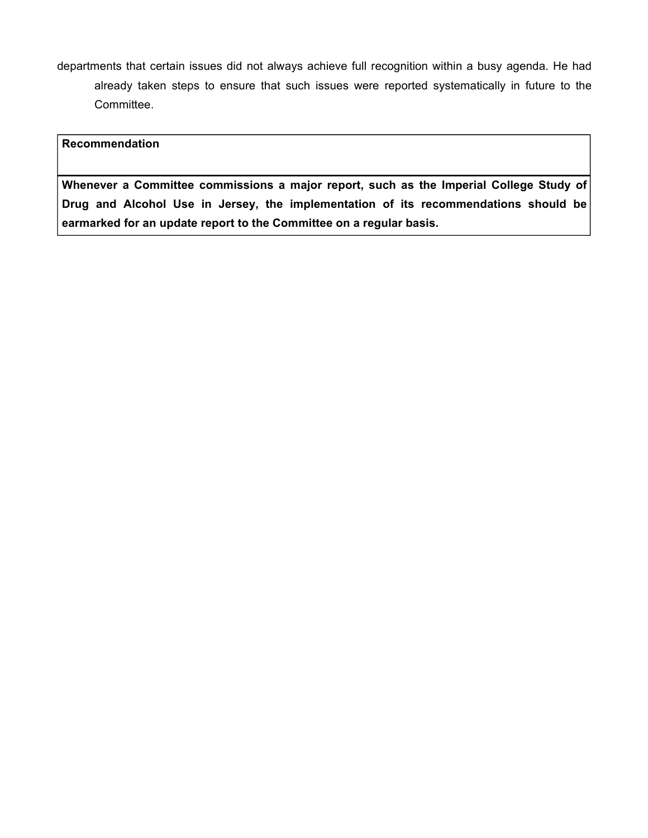departments that certain issues did not always achieve full recognition within a busy agenda. He had already taken steps to ensure that such issues were reported systematically in future to the Committee.

### **Recommendation**

**Whenever a Committee commissions a major report, such as the Imperial College Study of Drug and Alcohol Use in Jersey, the implementation of its recommendations should be earmarked for an update report to the Committee on a regular basis.**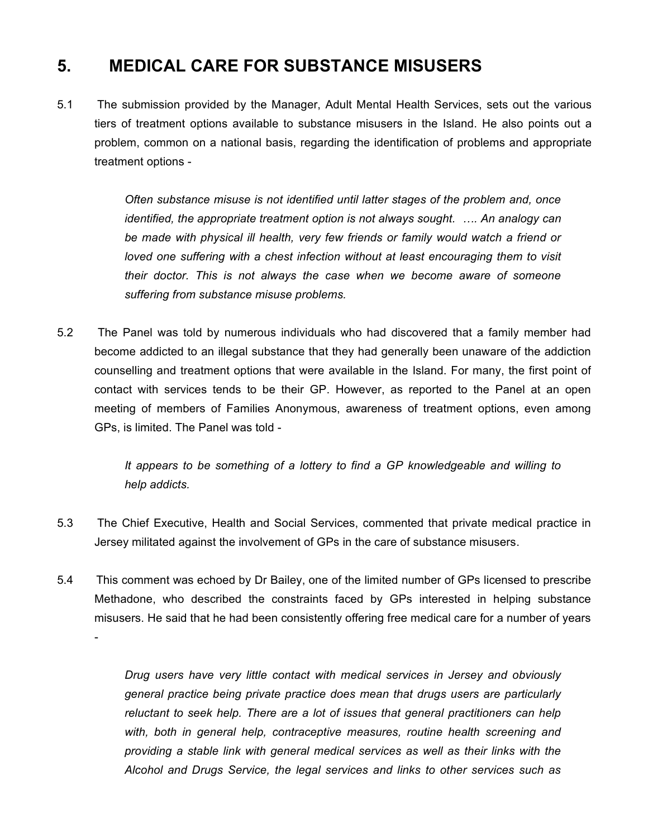# **5. MEDICAL CARE FOR SUBSTANCE MISUSERS**

5.1 The submission provided by the Manager, Adult Mental Health Services, sets out the various tiers of treatment options available to substance misusers in the Island. He also points out a problem, common on a national basis, regarding the identification of problems and appropriate treatment options -

> *Often substance misuse is not identified until latter stages of the problem and, once identified, the appropriate treatment option is not always sought. …. An analogy can be made with physical ill health, very few friends or family would watch a friend or loved one suffering with a chest infection without at least encouraging them to visit their doctor. This is not always the case when we become aware of someone suffering from substance misuse problems.*

5.2 The Panel was told by numerous individuals who had discovered that a family member had become addicted to an illegal substance that they had generally been unaware of the addiction counselling and treatment options that were available in the Island. For many, the first point of contact with services tends to be their GP. However, as reported to the Panel at an open meeting of members of Families Anonymous, awareness of treatment options, even among GPs, is limited. The Panel was told -

> *It appears to be something of a lottery to find a GP knowledgeable and willing to help addicts.*

- 5.3 The Chief Executive, Health and Social Services, commented that private medical practice in Jersey militated against the involvement of GPs in the care of substance misusers.
- 5.4 This comment was echoed by Dr Bailey, one of the limited number of GPs licensed to prescribe Methadone, who described the constraints faced by GPs interested in helping substance misusers. He said that he had been consistently offering free medical care for a number of years -

*Drug users have very little contact with medical services in Jersey and obviously general practice being private practice does mean that drugs users are particularly reluctant to seek help. There are a lot of issues that general practitioners can help with, both in general help, contraceptive measures, routine health screening and providing a stable link with general medical services as well as their links with the Alcohol and Drugs Service, the legal services and links to other services such as*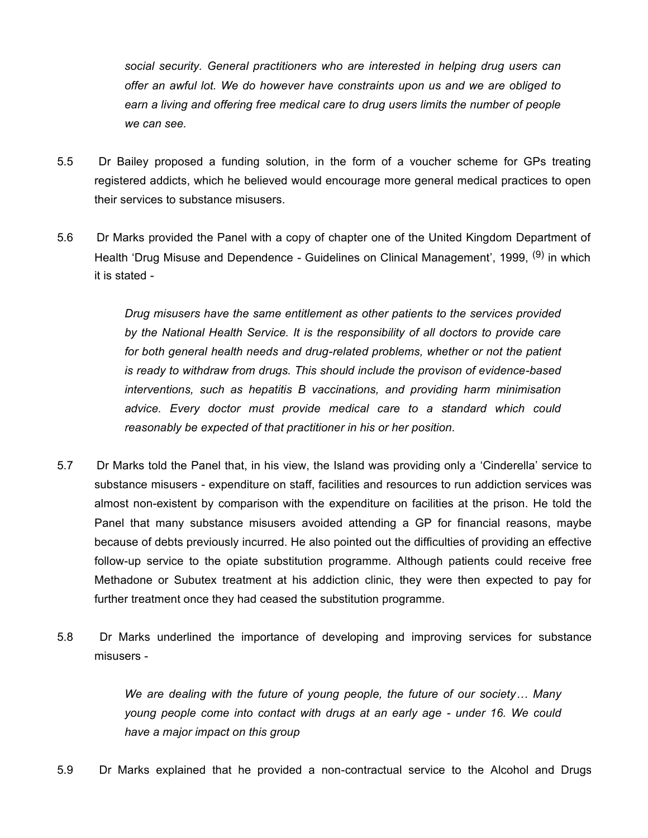*social security. General practitioners who are interested in helping drug users can offer an awful lot. We do however have constraints upon us and we are obliged to earn a living and offering free medical care to drug users limits the number of people we can see.*

- 5.5 Dr Bailey proposed a funding solution, in the form of a voucher scheme for GPs treating registered addicts, which he believed would encourage more general medical practices to open their services to substance misusers.
- 5.6 Dr Marks provided the Panel with a copy of chapter one of the United Kingdom Department of Health 'Drug Misuse and Dependence - Guidelines on Clinical Management', 1999, <sup>(9)</sup> in which it is stated -

*Drug misusers have the same entitlement as other patients to the services provided by the National Health Service. It is the responsibility of all doctors to provide care for both general health needs and drug-related problems, whether or not the patient is ready to withdraw from drugs. This should include the provison of evidence-based interventions, such as hepatitis B vaccinations, and providing harm minimisation advice. Every doctor must provide medical care to a standard which could reasonably be expected of that practitioner in his or her position.*

- 5.7 Dr Marks told the Panel that, in his view, the Island was providing only a 'Cinderella' service to substance misusers - expenditure on staff, facilities and resources to run addiction services was almost non-existent by comparison with the expenditure on facilities at the prison. He told the Panel that many substance misusers avoided attending a GP for financial reasons, maybe because of debts previously incurred. He also pointed out the difficulties of providing an effective follow-up service to the opiate substitution programme. Although patients could receive free Methadone or Subutex treatment at his addiction clinic, they were then expected to pay for further treatment once they had ceased the substitution programme.
- 5.8 Dr Marks underlined the importance of developing and improving services for substance misusers -

*We are dealing with the future of young people, the future of our society… Many young people come into contact with drugs at an early age - under 16. We could have a major impact on this group*

5.9 Dr Marks explained that he provided a non-contractual service to the Alcohol and Drugs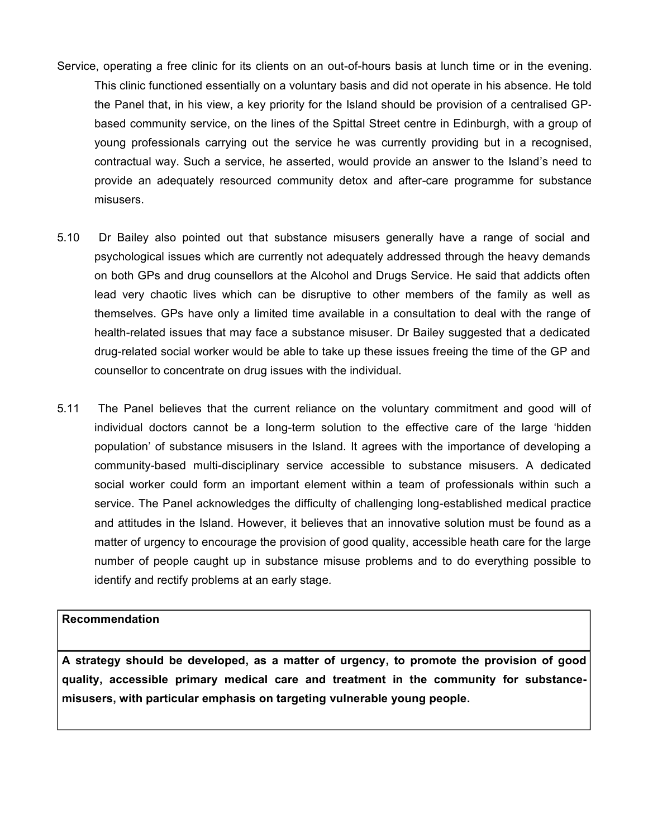- Service, operating a free clinic for its clients on an out-of-hours basis at lunch time or in the evening. This clinic functioned essentially on a voluntary basis and did not operate in his absence. He told the Panel that, in his view, a key priority for the Island should be provision of a centralised GPbased community service, on the lines of the Spittal Street centre in Edinburgh, with a group of young professionals carrying out the service he was currently providing but in a recognised, contractual way. Such a service, he asserted, would provide an answer to the Island's need to provide an adequately resourced community detox and after-care programme for substance misusers.
- 5.10 Dr Bailey also pointed out that substance misusers generally have a range of social and psychological issues which are currently not adequately addressed through the heavy demands on both GPs and drug counsellors at the Alcohol and Drugs Service. He said that addicts often lead very chaotic lives which can be disruptive to other members of the family as well as themselves. GPs have only a limited time available in a consultation to deal with the range of health-related issues that may face a substance misuser. Dr Bailey suggested that a dedicated drug-related social worker would be able to take up these issues freeing the time of the GP and counsellor to concentrate on drug issues with the individual.
- 5.11 The Panel believes that the current reliance on the voluntary commitment and good will of individual doctors cannot be a long-term solution to the effective care of the large 'hidden population' of substance misusers in the Island. It agrees with the importance of developing a community-based multi-disciplinary service accessible to substance misusers. A dedicated social worker could form an important element within a team of professionals within such a service. The Panel acknowledges the difficulty of challenging long-established medical practice and attitudes in the Island. However, it believes that an innovative solution must be found as a matter of urgency to encourage the provision of good quality, accessible heath care for the large number of people caught up in substance misuse problems and to do everything possible to identify and rectify problems at an early stage*.*

**A strategy should be developed, as a matter of urgency, to promote the provision of good quality, accessible primary medical care and treatment in the community for substancemisusers, with particular emphasis on targeting vulnerable young people.**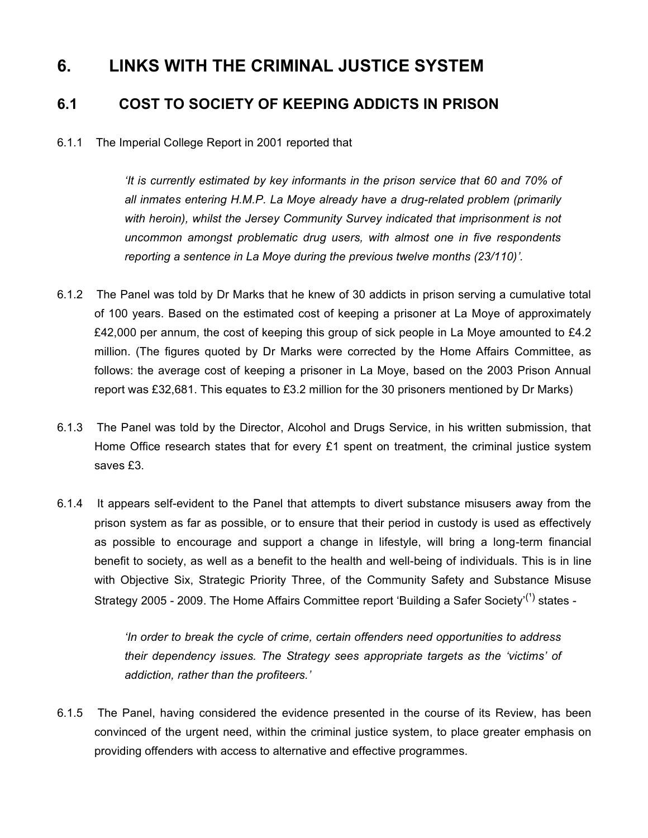# **6. LINKS WITH THE CRIMINAL JUSTICE SYSTEM**

# **6.1 COST TO SOCIETY OF KEEPING ADDICTS IN PRISON**

### 6.1.1 The Imperial College Report in 2001 reported that

*'It is currently estimated by key informants in the prison service that 60 and 70% of all inmates entering H.M.P. La Moye already have a drug-related problem (primarily with heroin), whilst the Jersey Community Survey indicated that imprisonment is not uncommon amongst problematic drug users, with almost one in five respondents reporting a sentence in La Moye during the previous twelve months (23/110)'.*

- 6.1.2 The Panel was told by Dr Marks that he knew of 30 addicts in prison serving a cumulative total of 100 years. Based on the estimated cost of keeping a prisoner at La Moye of approximately £42,000 per annum, the cost of keeping this group of sick people in La Moye amounted to £4.2 million. (The figures quoted by Dr Marks were corrected by the Home Affairs Committee, as follows: the average cost of keeping a prisoner in La Moye, based on the 2003 Prison Annual report was £32,681. This equates to £3.2 million for the 30 prisoners mentioned by Dr Marks)
- 6.1.3 The Panel was told by the Director, Alcohol and Drugs Service, in his written submission, that Home Office research states that for every £1 spent on treatment, the criminal justice system saves £3.
- 6.1.4 It appears self-evident to the Panel that attempts to divert substance misusers away from the prison system as far as possible, or to ensure that their period in custody is used as effectively as possible to encourage and support a change in lifestyle, will bring a long-term financial benefit to society, as well as a benefit to the health and well-being of individuals. This is in line with Objective Six, Strategic Priority Three, of the Community Safety and Substance Misuse Strategy 2005 - 2009. The Home Affairs Committee report 'Building a Safer Society'<sup>(1)</sup> states -

*'In order to break the cycle of crime, certain offenders need opportunities to address their dependency issues. The Strategy sees appropriate targets as the 'victims' of addiction, rather than the profiteers.'*

6.1.5 The Panel, having considered the evidence presented in the course of its Review, has been convinced of the urgent need, within the criminal justice system, to place greater emphasis on providing offenders with access to alternative and effective programmes.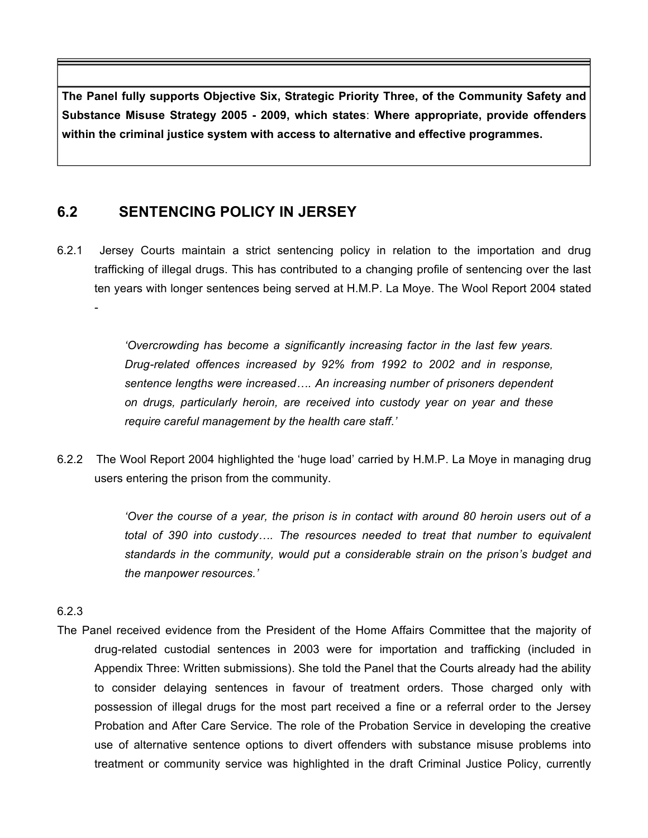**The Panel fully supports Objective Six, Strategic Priority Three, of the Community Safety and Substance Misuse Strategy 2005 - 2009, which states**: **Where appropriate, provide offenders within the criminal justice system with access to alternative and effective programmes.**

# **6.2 SENTENCING POLICY IN JERSEY**

6.2.1 Jersey Courts maintain a strict sentencing policy in relation to the importation and drug trafficking of illegal drugs. This has contributed to a changing profile of sentencing over the last ten years with longer sentences being served at H.M.P. La Moye. The Wool Report 2004 stated

> *'Overcrowding has become a significantly increasing factor in the last few years. Drug-related offences increased by 92% from 1992 to 2002 and in response, sentence lengths were increased…. An increasing number of prisoners dependent on drugs, particularly heroin, are received into custody year on year and these require careful management by the health care staff.'*

6.2.2 The Wool Report 2004 highlighted the 'huge load' carried by H.M.P. La Moye in managing drug users entering the prison from the community.

> *'Over the course of a year, the prison is in contact with around 80 heroin users out of a total of 390 into custody…. The resources needed to treat that number to equivalent standards in the community, would put a considerable strain on the prison's budget and the manpower resources.'*

### 6.2.3

-

The Panel received evidence from the President of the Home Affairs Committee that the majority of drug-related custodial sentences in 2003 were for importation and trafficking (included in Appendix Three: Written submissions). She told the Panel that the Courts already had the ability to consider delaying sentences in favour of treatment orders. Those charged only with possession of illegal drugs for the most part received a fine or a referral order to the Jersey Probation and After Care Service. The role of the Probation Service in developing the creative use of alternative sentence options to divert offenders with substance misuse problems into treatment or community service was highlighted in the draft Criminal Justice Policy, currently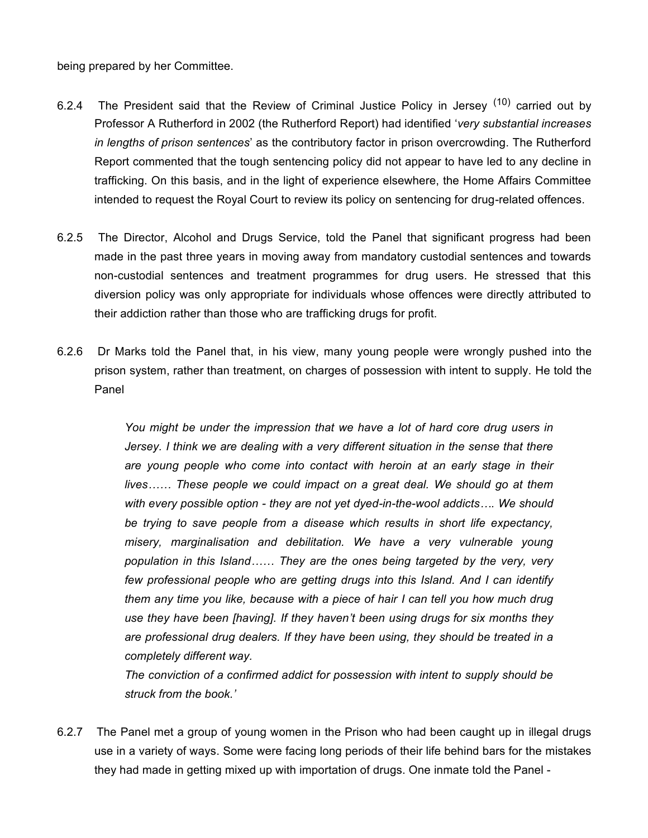being prepared by her Committee.

- 6.2.4 The President said that the Review of Criminal Justice Policy in Jersey  $(10)$  carried out by Professor A Rutherford in 2002 (the Rutherford Report) had identified '*very substantial increases in lengths of prison sentences*' as the contributory factor in prison overcrowding. The Rutherford Report commented that the tough sentencing policy did not appear to have led to any decline in trafficking. On this basis, and in the light of experience elsewhere, the Home Affairs Committee intended to request the Royal Court to review its policy on sentencing for drug-related offences.
- 6.2.5 The Director, Alcohol and Drugs Service, told the Panel that significant progress had been made in the past three years in moving away from mandatory custodial sentences and towards non-custodial sentences and treatment programmes for drug users. He stressed that this diversion policy was only appropriate for individuals whose offences were directly attributed to their addiction rather than those who are trafficking drugs for profit.
- 6.2.6 Dr Marks told the Panel that, in his view, many young people were wrongly pushed into the prison system, rather than treatment, on charges of possession with intent to supply. He told the Panel

*You might be under the impression that we have a lot of hard core drug users in Jersey. I think we are dealing with a very different situation in the sense that there are young people who come into contact with heroin at an early stage in their lives…… These people we could impact on a great deal. We should go at them with every possible option - they are not yet dyed-in-the-wool addicts…. We should be trying to save people from a disease which results in short life expectancy, misery, marginalisation and debilitation. We have a very vulnerable young population in this Island…… They are the ones being targeted by the very, very few professional people who are getting drugs into this Island. And I can identify them any time you like, because with a piece of hair I can tell you how much drug use they have been [having]. If they haven't been using drugs for six months they are professional drug dealers. If they have been using, they should be treated in a completely different way.*

*The conviction of a confirmed addict for possession with intent to supply should be struck from the book.'*

6.2.7 The Panel met a group of young women in the Prison who had been caught up in illegal drugs use in a variety of ways. Some were facing long periods of their life behind bars for the mistakes they had made in getting mixed up with importation of drugs. One inmate told the Panel -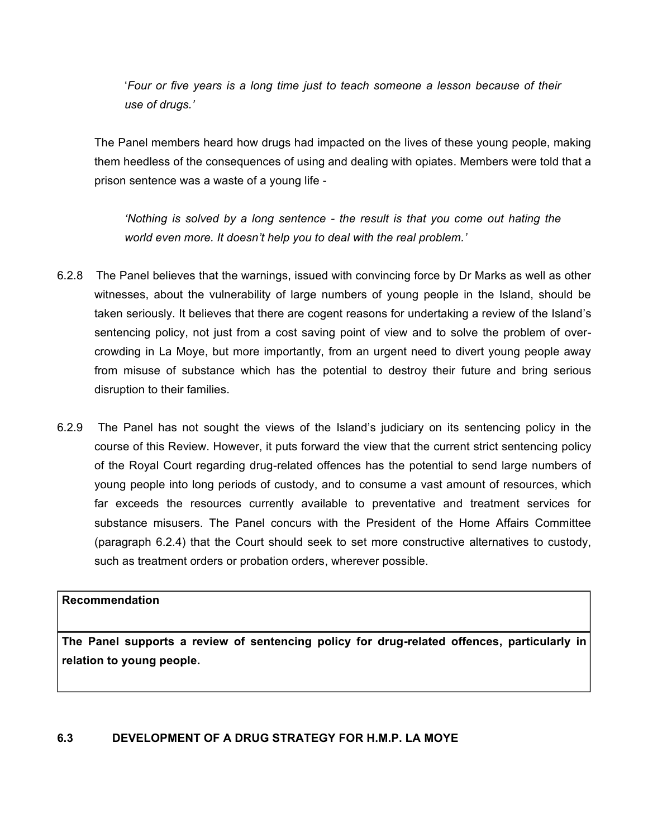'*Four or five years is a long time just to teach someone a lesson because of their use of drugs.'*

The Panel members heard how drugs had impacted on the lives of these young people, making them heedless of the consequences of using and dealing with opiates. Members were told that a prison sentence was a waste of a young life -

*'Nothing is solved by a long sentence - the result is that you come out hating the world even more. It doesn't help you to deal with the real problem.'*

- 6.2.8 The Panel believes that the warnings, issued with convincing force by Dr Marks as well as other witnesses, about the vulnerability of large numbers of young people in the Island, should be taken seriously. It believes that there are cogent reasons for undertaking a review of the Island's sentencing policy, not just from a cost saving point of view and to solve the problem of overcrowding in La Moye, but more importantly, from an urgent need to divert young people away from misuse of substance which has the potential to destroy their future and bring serious disruption to their families.
- 6.2.9 The Panel has not sought the views of the Island's judiciary on its sentencing policy in the course of this Review. However, it puts forward the view that the current strict sentencing policy of the Royal Court regarding drug-related offences has the potential to send large numbers of young people into long periods of custody, and to consume a vast amount of resources, which far exceeds the resources currently available to preventative and treatment services for substance misusers. The Panel concurs with the President of the Home Affairs Committee (paragraph 6.2.4) that the Court should seek to set more constructive alternatives to custody, such as treatment orders or probation orders, wherever possible.

### **Recommendation**

**The Panel supports a review of sentencing policy for drug-related offences, particularly in relation to young people.**

#### **6.3 DEVELOPMENT OF A DRUG STRATEGY FOR H.M.P. LA MOYE**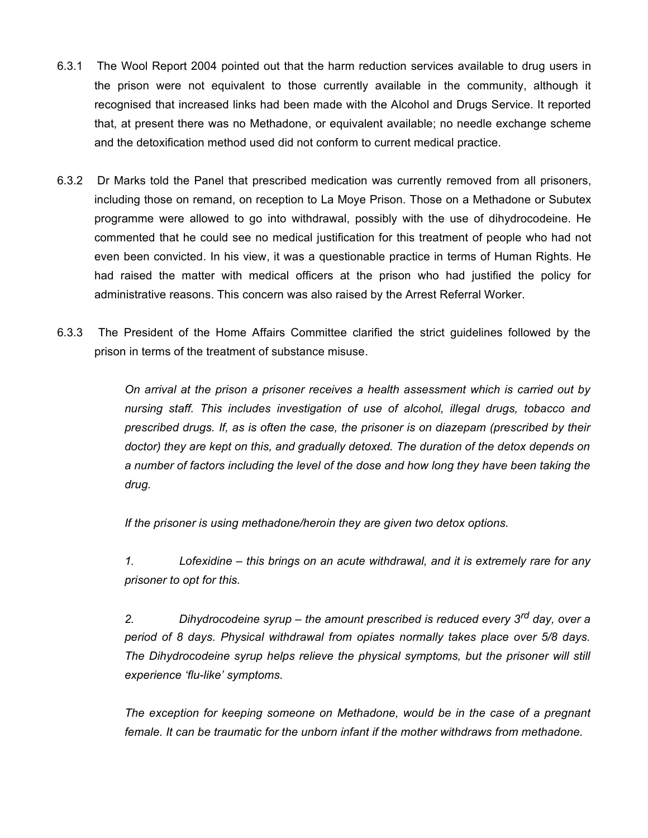- 6.3.1 The Wool Report 2004 pointed out that the harm reduction services available to drug users in the prison were not equivalent to those currently available in the community, although it recognised that increased links had been made with the Alcohol and Drugs Service. It reported that, at present there was no Methadone, or equivalent available; no needle exchange scheme and the detoxification method used did not conform to current medical practice.
- 6.3.2 Dr Marks told the Panel that prescribed medication was currently removed from all prisoners, including those on remand, on reception to La Moye Prison. Those on a Methadone or Subutex programme were allowed to go into withdrawal, possibly with the use of dihydrocodeine. He commented that he could see no medical justification for this treatment of people who had not even been convicted. In his view, it was a questionable practice in terms of Human Rights. He had raised the matter with medical officers at the prison who had justified the policy for administrative reasons. This concern was also raised by the Arrest Referral Worker.
- 6.3.3 The President of the Home Affairs Committee clarified the strict guidelines followed by the prison in terms of the treatment of substance misuse.

*On arrival at the prison a prisoner receives a health assessment which is carried out by nursing staff. This includes investigation of use of alcohol, illegal drugs, tobacco and prescribed drugs. If, as is often the case, the prisoner is on diazepam (prescribed by their doctor) they are kept on this, and gradually detoxed. The duration of the detox depends on a number of factors including the level of the dose and how long they have been taking the drug.*

*If the prisoner is using methadone/heroin they are given two detox options.*

*1. Lofexidine – this brings on an acute withdrawal, and it is extremely rare for any prisoner to opt for this.*

*2. Dihydrocodeine syrup – the amount prescribed is reduced every 3rd day, over a period of 8 days. Physical withdrawal from opiates normally takes place over 5/8 days. The Dihydrocodeine syrup helps relieve the physical symptoms, but the prisoner will still experience 'flu-like' symptoms.*

*The exception for keeping someone on Methadone, would be in the case of a pregnant female. It can be traumatic for the unborn infant if the mother withdraws from methadone.*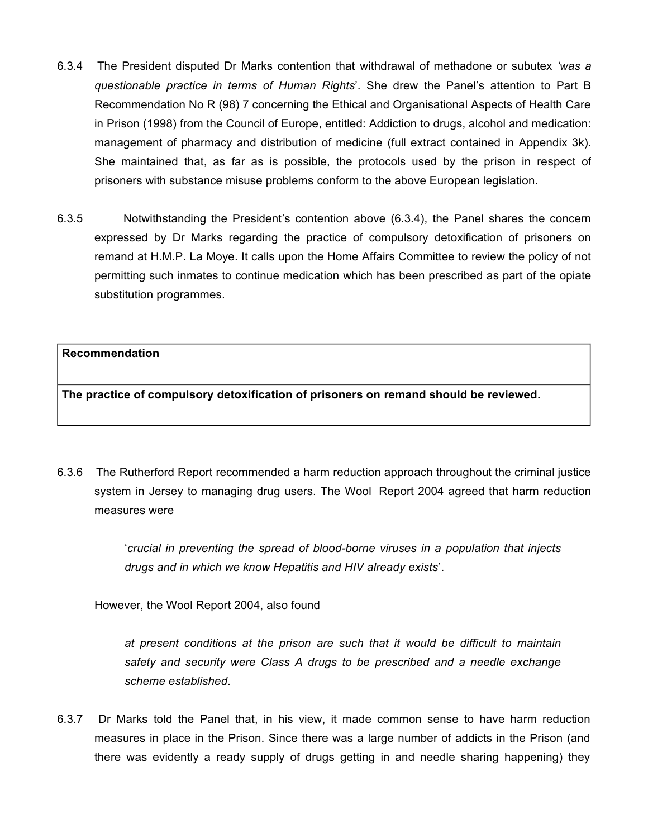- 6.3.4 The President disputed Dr Marks contention that withdrawal of methadone or subutex *'was a questionable practice in terms of Human Rights*'. She drew the Panel's attention to Part B Recommendation No R (98) 7 concerning the Ethical and Organisational Aspects of Health Care in Prison (1998) from the Council of Europe, entitled: Addiction to drugs, alcohol and medication: management of pharmacy and distribution of medicine (full extract contained in Appendix 3k). She maintained that, as far as is possible, the protocols used by the prison in respect of prisoners with substance misuse problems conform to the above European legislation.
- 6.3.5 Notwithstanding the President's contention above (6.3.4), the Panel shares the concern expressed by Dr Marks regarding the practice of compulsory detoxification of prisoners on remand at H.M.P. La Moye. It calls upon the Home Affairs Committee to review the policy of not permitting such inmates to continue medication which has been prescribed as part of the opiate substitution programmes.

**The practice of compulsory detoxification of prisoners on remand should be reviewed.**

6.3.6 The Rutherford Report recommended a harm reduction approach throughout the criminal justice system in Jersey to managing drug users. The Wool Report 2004 agreed that harm reduction measures were

> '*crucial in preventing the spread of blood-borne viruses in a population that injects drugs and in which we know Hepatitis and HIV already exists*'.

However, the Wool Report 2004, also found

*at present conditions at the prison are such that it would be difficult to maintain safety and security were Class A drugs to be prescribed and a needle exchange scheme established*.

6.3.7 Dr Marks told the Panel that, in his view, it made common sense to have harm reduction measures in place in the Prison. Since there was a large number of addicts in the Prison (and there was evidently a ready supply of drugs getting in and needle sharing happening) they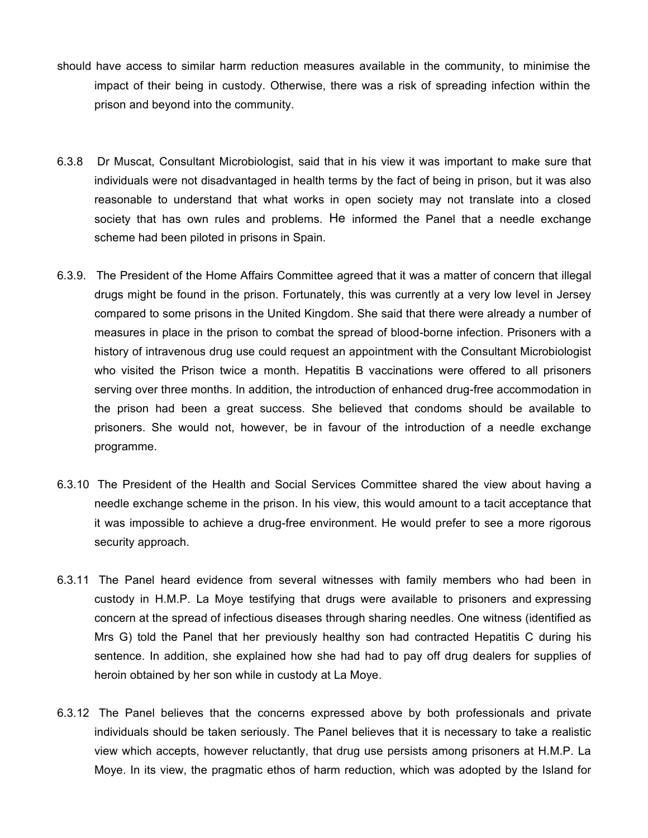- should have access to similar harm reduction measures available in the community, to minimise the impact of their being in custody. Otherwise, there was a risk of spreading infection within the prison and beyond into the community.
- 6.3.8 Dr Muscat, Consultant Microbiologist, said that in his view it was important to make sure that individuals were not disadvantaged in health terms by the fact of being in prison, but it was also reasonable to understand that what works in open society may not translate into a closed society that has own rules and problems. He informed the Panel that a needle exchange scheme had been piloted in prisons in Spain.
- 6.3.9. The President of the Home Affairs Committee agreed that it was a matter of concern that illegal drugs might be found in the prison. Fortunately, this was currently at a very low level in Jersey compared to some prisons in the United Kingdom. She said that there were already a number of measures in place in the prison to combat the spread of blood-borne infection. Prisoners with a history of intravenous drug use could request an appointment with the Consultant Microbiologist who visited the Prison twice a month. Hepatitis B vaccinations were offered to all prisoners serving over three months. In addition, the introduction of enhanced drug-free accommodation in the prison had been a great success. She believed that condoms should be available to prisoners. She would not, however, be in favour of the introduction of a needle exchange programme.
- 6.3.10 The President of the Health and Social Services Committee shared the view about having a needle exchange scheme in the prison. In his view, this would amount to a tacit acceptance that it was impossible to achieve a drug-free environment. He would prefer to see a more rigorous security approach.
- 6.3.11 The Panel heard evidence from several witnesses with family members who had been in custody in H.M.P. La Moye testifying that drugs were available to prisoners and expressing concern at the spread of infectious diseases through sharing needles. One witness (identified as Mrs G) told the Panel that her previously healthy son had contracted Hepatitis C during his sentence. In addition, she explained how she had had to pay off drug dealers for supplies of heroin obtained by her son while in custody at La Moye.
- 6.3.12 The Panel believes that the concerns expressed above by both professionals and private individuals should be taken seriously. The Panel believes that it is necessary to take a realistic view which accepts, however reluctantly, that drug use persists among prisoners at H.M.P. La Moye. In its view, the pragmatic ethos of harm reduction, which was adopted by the Island for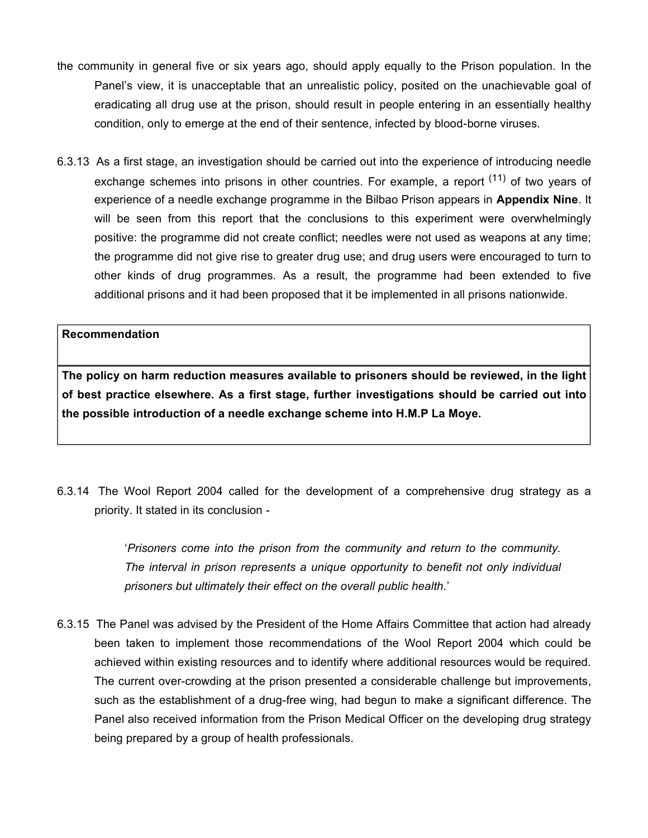- the community in general five or six years ago, should apply equally to the Prison population. In the Panel's view, it is unacceptable that an unrealistic policy, posited on the unachievable goal of eradicating all drug use at the prison, should result in people entering in an essentially healthy condition, only to emerge at the end of their sentence, infected by blood-borne viruses.
- 6.3.13 As a first stage, an investigation should be carried out into the experience of introducing needle exchange schemes into prisons in other countries. For example, a report <sup>(11)</sup> of two vears of experience of a needle exchange programme in the Bilbao Prison appears in **Appendix Nine**. It will be seen from this report that the conclusions to this experiment were overwhelmingly positive: the programme did not create conflict; needles were not used as weapons at any time; the programme did not give rise to greater drug use; and drug users were encouraged to turn to other kinds of drug programmes. As a result, the programme had been extended to five additional prisons and it had been proposed that it be implemented in all prisons nationwide.

**The policy on harm reduction measures available to prisoners should be reviewed, in the light of best practice elsewhere. As a first stage, further investigations should be carried out into the possible introduction of a needle exchange scheme into H.M.P La Moye.**

6.3.14 The Wool Report 2004 called for the development of a comprehensive drug strategy as a priority. It stated in its conclusion -

> '*Prisoners come into the prison from the community and return to the community. The interval in prison represents a unique opportunity to benefit not only individual prisoners but ultimately their effect on the overall public health.*'

6.3.15 The Panel was advised by the President of the Home Affairs Committee that action had already been taken to implement those recommendations of the Wool Report 2004 which could be achieved within existing resources and to identify where additional resources would be required. The current over-crowding at the prison presented a considerable challenge but improvements, such as the establishment of a drug-free wing, had begun to make a significant difference. The Panel also received information from the Prison Medical Officer on the developing drug strategy being prepared by a group of health professionals.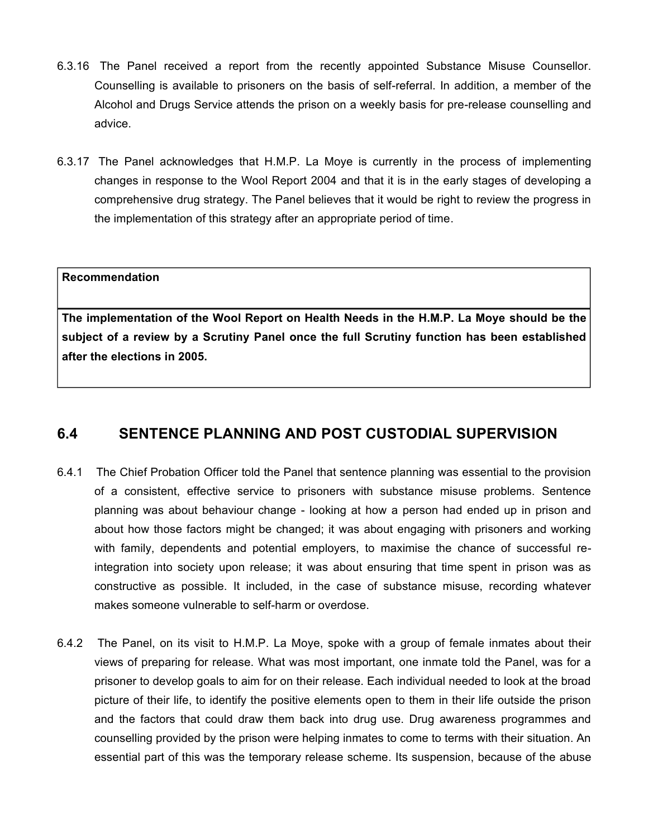- 6.3.16 The Panel received a report from the recently appointed Substance Misuse Counsellor. Counselling is available to prisoners on the basis of self-referral. In addition, a member of the Alcohol and Drugs Service attends the prison on a weekly basis for pre-release counselling and advice.
- 6.3.17 The Panel acknowledges that H.M.P. La Moye is currently in the process of implementing changes in response to the Wool Report 2004 and that it is in the early stages of developing a comprehensive drug strategy. The Panel believes that it would be right to review the progress in the implementation of this strategy after an appropriate period of time.

**The implementation of the Wool Report on Health Needs in the H.M.P. La Moye should be the subject of a review by a Scrutiny Panel once the full Scrutiny function has been established after the elections in 2005.**

## **6.4 SENTENCE PLANNING AND POST CUSTODIAL SUPERVISION**

- 6.4.1 The Chief Probation Officer told the Panel that sentence planning was essential to the provision of a consistent, effective service to prisoners with substance misuse problems. Sentence planning was about behaviour change - looking at how a person had ended up in prison and about how those factors might be changed; it was about engaging with prisoners and working with family, dependents and potential employers, to maximise the chance of successful reintegration into society upon release; it was about ensuring that time spent in prison was as constructive as possible. It included, in the case of substance misuse, recording whatever makes someone vulnerable to self-harm or overdose.
- 6.4.2 The Panel, on its visit to H.M.P. La Moye, spoke with a group of female inmates about their views of preparing for release. What was most important, one inmate told the Panel, was for a prisoner to develop goals to aim for on their release. Each individual needed to look at the broad picture of their life, to identify the positive elements open to them in their life outside the prison and the factors that could draw them back into drug use. Drug awareness programmes and counselling provided by the prison were helping inmates to come to terms with their situation. An essential part of this was the temporary release scheme. Its suspension, because of the abuse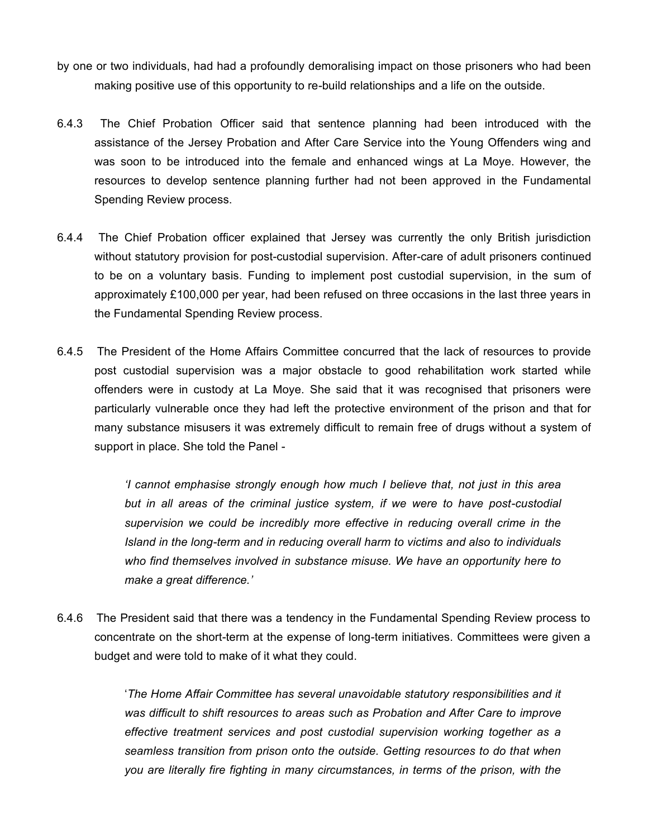- by one or two individuals, had had a profoundly demoralising impact on those prisoners who had been making positive use of this opportunity to re-build relationships and a life on the outside.
- 6.4.3 The Chief Probation Officer said that sentence planning had been introduced with the assistance of the Jersey Probation and After Care Service into the Young Offenders wing and was soon to be introduced into the female and enhanced wings at La Moye. However, the resources to develop sentence planning further had not been approved in the Fundamental Spending Review process.
- 6.4.4 The Chief Probation officer explained that Jersey was currently the only British jurisdiction without statutory provision for post-custodial supervision. After-care of adult prisoners continued to be on a voluntary basis. Funding to implement post custodial supervision, in the sum of approximately £100,000 per year, had been refused on three occasions in the last three years in the Fundamental Spending Review process.
- 6.4.5 The President of the Home Affairs Committee concurred that the lack of resources to provide post custodial supervision was a major obstacle to good rehabilitation work started while offenders were in custody at La Moye. She said that it was recognised that prisoners were particularly vulnerable once they had left the protective environment of the prison and that for many substance misusers it was extremely difficult to remain free of drugs without a system of support in place. She told the Panel -

*'I cannot emphasise strongly enough how much I believe that, not just in this area but in all areas of the criminal justice system, if we were to have post-custodial supervision we could be incredibly more effective in reducing overall crime in the Island in the long-term and in reducing overall harm to victims and also to individuals who find themselves involved in substance misuse. We have an opportunity here to make a great difference.'*

6.4.6 The President said that there was a tendency in the Fundamental Spending Review process to concentrate on the short-term at the expense of long-term initiatives. Committees were given a budget and were told to make of it what they could.

> '*The Home Affair Committee has several unavoidable statutory responsibilities and it was difficult to shift resources to areas such as Probation and After Care to improve effective treatment services and post custodial supervision working together as a seamless transition from prison onto the outside. Getting resources to do that when you are literally fire fighting in many circumstances, in terms of the prison, with the*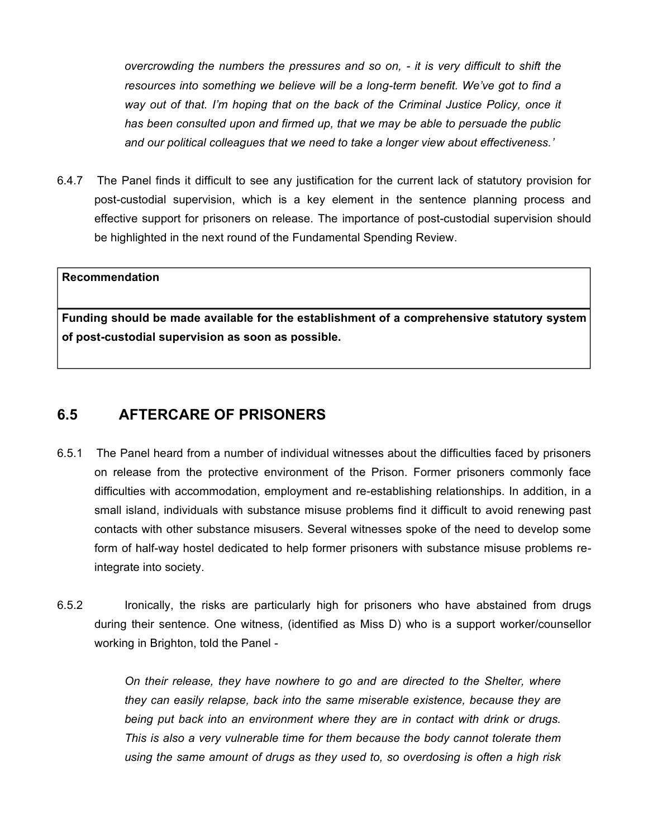*overcrowding the numbers the pressures and so on, - it is very difficult to shift the resources into something we believe will be a long-term benefit. We've got to find a way out of that. I'm hoping that on the back of the Criminal Justice Policy, once it has been consulted upon and firmed up, that we may be able to persuade the public and our political colleagues that we need to take a longer view about effectiveness.'*

6.4.7 The Panel finds it difficult to see any justification for the current lack of statutory provision for post-custodial supervision, which is a key element in the sentence planning process and effective support for prisoners on release. The importance of post-custodial supervision should be highlighted in the next round of the Fundamental Spending Review.

#### **Recommendation**

**Funding should be made available for the establishment of a comprehensive statutory system of post-custodial supervision as soon as possible.**

## **6.5 AFTERCARE OF PRISONERS**

- 6.5.1 The Panel heard from a number of individual witnesses about the difficulties faced by prisoners on release from the protective environment of the Prison. Former prisoners commonly face difficulties with accommodation, employment and re-establishing relationships. In addition, in a small island, individuals with substance misuse problems find it difficult to avoid renewing past contacts with other substance misusers. Several witnesses spoke of the need to develop some form of half-way hostel dedicated to help former prisoners with substance misuse problems reintegrate into society.
- 6.5.2 Ironically, the risks are particularly high for prisoners who have abstained from drugs during their sentence. One witness, (identified as Miss D) who is a support worker/counsellor working in Brighton, told the Panel -

*On their release, they have nowhere to go and are directed to the Shelter, where they can easily relapse, back into the same miserable existence, because they are being put back into an environment where they are in contact with drink or drugs. This is also a very vulnerable time for them because the body cannot tolerate them using the same amount of drugs as they used to, so overdosing is often a high risk*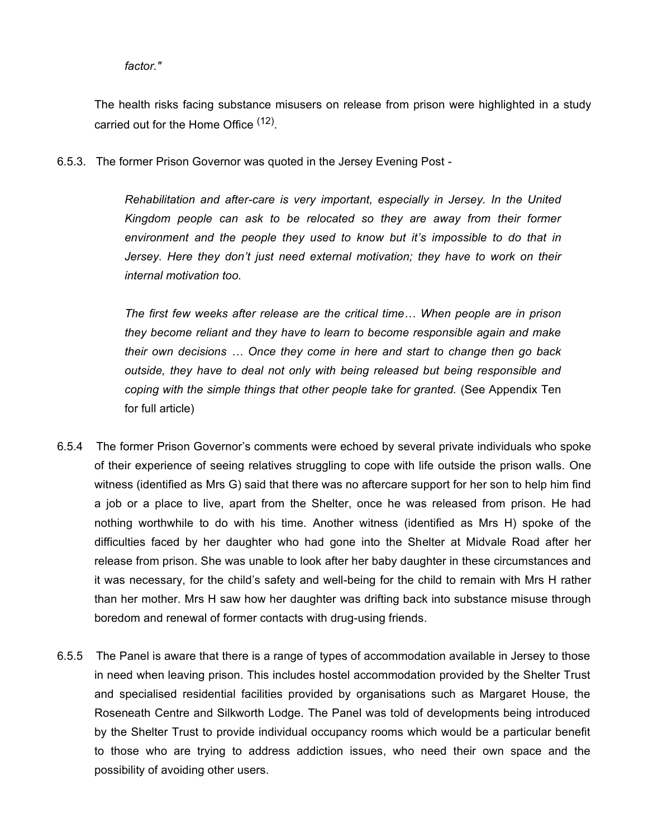#### *factor."*

The health risks facing substance misusers on release from prison were highlighted in a study carried out for the Home Office <sup>(12)</sup>.

6.5.3. The former Prison Governor was quoted in the Jersey Evening Post -

*Rehabilitation and after-care is very important, especially in Jersey. In the United Kingdom people can ask to be relocated so they are away from their former environment and the people they used to know but it's impossible to do that in Jersey. Here they don't just need external motivation; they have to work on their internal motivation too.*

*The first few weeks after release are the critical time… When people are in prison they become reliant and they have to learn to become responsible again and make their own decisions … Once they come in here and start to change then go back outside, they have to deal not only with being released but being responsible and coping with the simple things that other people take for granted.* (See Appendix Ten for full article)

- 6.5.4 The former Prison Governor's comments were echoed by several private individuals who spoke of their experience of seeing relatives struggling to cope with life outside the prison walls. One witness (identified as Mrs G) said that there was no aftercare support for her son to help him find a job or a place to live, apart from the Shelter, once he was released from prison. He had nothing worthwhile to do with his time. Another witness (identified as Mrs H) spoke of the difficulties faced by her daughter who had gone into the Shelter at Midvale Road after her release from prison. She was unable to look after her baby daughter in these circumstances and it was necessary, for the child's safety and well-being for the child to remain with Mrs H rather than her mother. Mrs H saw how her daughter was drifting back into substance misuse through boredom and renewal of former contacts with drug-using friends.
- 6.5.5 The Panel is aware that there is a range of types of accommodation available in Jersey to those in need when leaving prison. This includes hostel accommodation provided by the Shelter Trust and specialised residential facilities provided by organisations such as Margaret House, the Roseneath Centre and Silkworth Lodge. The Panel was told of developments being introduced by the Shelter Trust to provide individual occupancy rooms which would be a particular benefit to those who are trying to address addiction issues, who need their own space and the possibility of avoiding other users.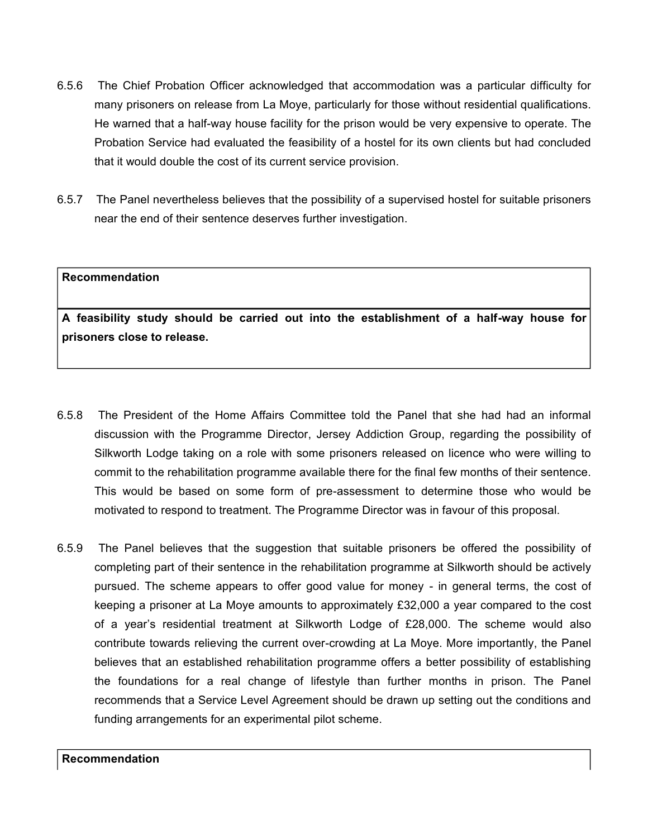- 6.5.6 The Chief Probation Officer acknowledged that accommodation was a particular difficulty for many prisoners on release from La Moye, particularly for those without residential qualifications. He warned that a half-way house facility for the prison would be very expensive to operate. The Probation Service had evaluated the feasibility of a hostel for its own clients but had concluded that it would double the cost of its current service provision.
- 6.5.7 The Panel nevertheless believes that the possibility of a supervised hostel for suitable prisoners near the end of their sentence deserves further investigation.

**A feasibility study should be carried out into the establishment of a half-way house for prisoners close to release.**

- 6.5.8 The President of the Home Affairs Committee told the Panel that she had had an informal discussion with the Programme Director, Jersey Addiction Group, regarding the possibility of Silkworth Lodge taking on a role with some prisoners released on licence who were willing to commit to the rehabilitation programme available there for the final few months of their sentence. This would be based on some form of pre-assessment to determine those who would be motivated to respond to treatment. The Programme Director was in favour of this proposal.
- 6.5.9 The Panel believes that the suggestion that suitable prisoners be offered the possibility of completing part of their sentence in the rehabilitation programme at Silkworth should be actively pursued. The scheme appears to offer good value for money - in general terms, the cost of keeping a prisoner at La Moye amounts to approximately £32,000 a year compared to the cost of a year's residential treatment at Silkworth Lodge of £28,000. The scheme would also contribute towards relieving the current over-crowding at La Moye. More importantly, the Panel believes that an established rehabilitation programme offers a better possibility of establishing the foundations for a real change of lifestyle than further months in prison. The Panel recommends that a Service Level Agreement should be drawn up setting out the conditions and funding arrangements for an experimental pilot scheme.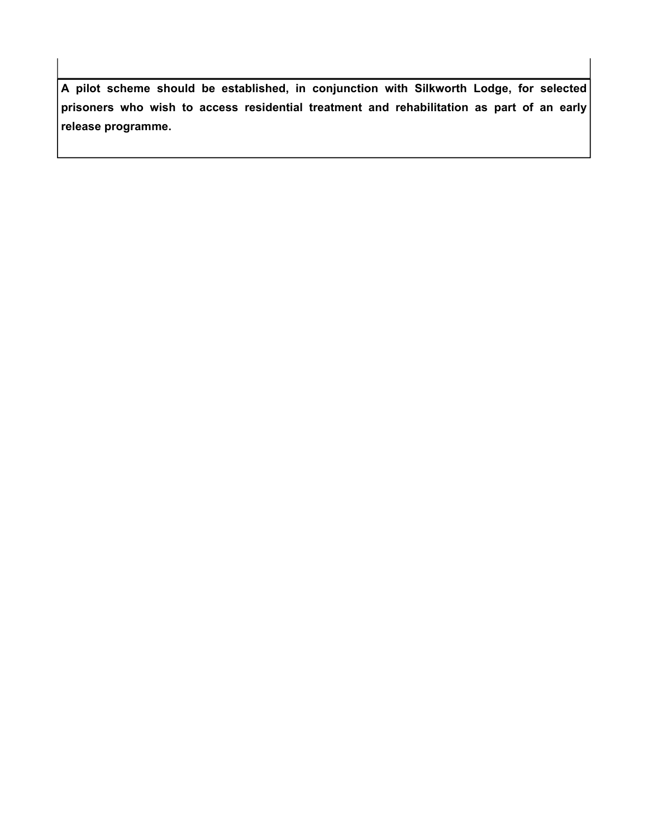**A pilot scheme should be established, in conjunction with Silkworth Lodge, for selected prisoners who wish to access residential treatment and rehabilitation as part of an early release programme.**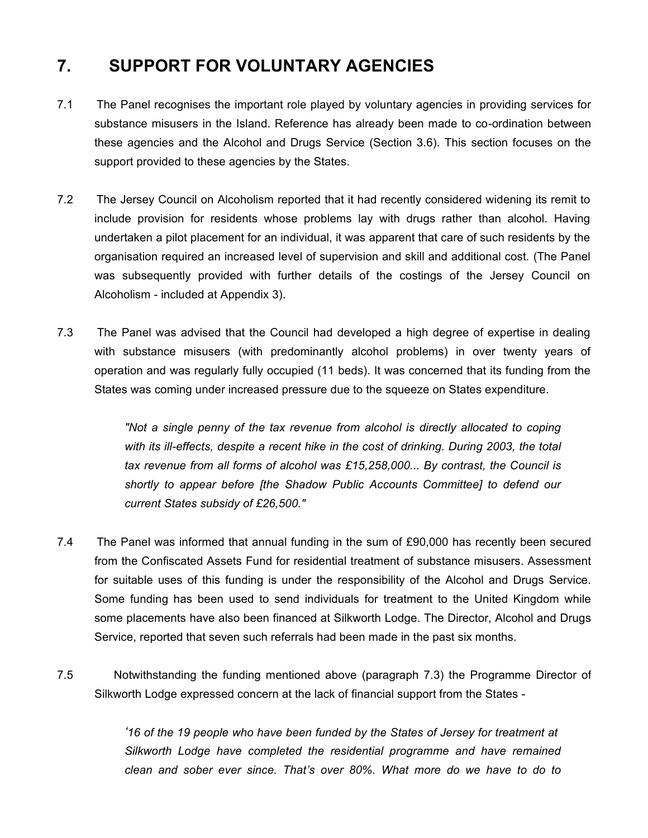# **7. SUPPORT FOR VOLUNTARY AGENCIES**

- 7.1 The Panel recognises the important role played by voluntary agencies in providing services for substance misusers in the Island. Reference has already been made to co-ordination between these agencies and the Alcohol and Drugs Service (Section 3.6). This section focuses on the support provided to these agencies by the States.
- 7.2 The Jersey Council on Alcoholism reported that it had recently considered widening its remit to include provision for residents whose problems lay with drugs rather than alcohol. Having undertaken a pilot placement for an individual, it was apparent that care of such residents by the organisation required an increased level of supervision and skill and additional cost. (The Panel was subsequently provided with further details of the costings of the Jersey Council on Alcoholism - included at Appendix 3).
- 7.3 The Panel was advised that the Council had developed a high degree of expertise in dealing with substance misusers (with predominantly alcohol problems) in over twenty years of operation and was regularly fully occupied (11 beds). It was concerned that its funding from the States was coming under increased pressure due to the squeeze on States expenditure.

*"Not a single penny of the tax revenue from alcohol is directly allocated to coping with its ill-effects, despite a recent hike in the cost of drinking. During 2003, the total tax revenue from all forms of alcohol was £15,258,000... By contrast, the Council is shortly to appear before [the Shadow Public Accounts Committee] to defend our current States subsidy of £26,500."*

- 7.4 The Panel was informed that annual funding in the sum of £90,000 has recently been secured from the Confiscated Assets Fund for residential treatment of substance misusers. Assessment for suitable uses of this funding is under the responsibility of the Alcohol and Drugs Service. Some funding has been used to send individuals for treatment to the United Kingdom while some placements have also been financed at Silkworth Lodge. The Director, Alcohol and Drugs Service, reported that seven such referrals had been made in the past six months.
- 7.5 **Notwithstanding the funding mentioned above (paragraph 7.3) the Programme Director of** Silkworth Lodge expressed concern at the lack of financial support from the States -

*'16 of the 19 people who have been funded by the States of Jersey for treatment at Silkworth Lodge have completed the residential programme and have remained clean and sober ever since. That's over 80%. What more do we have to do to*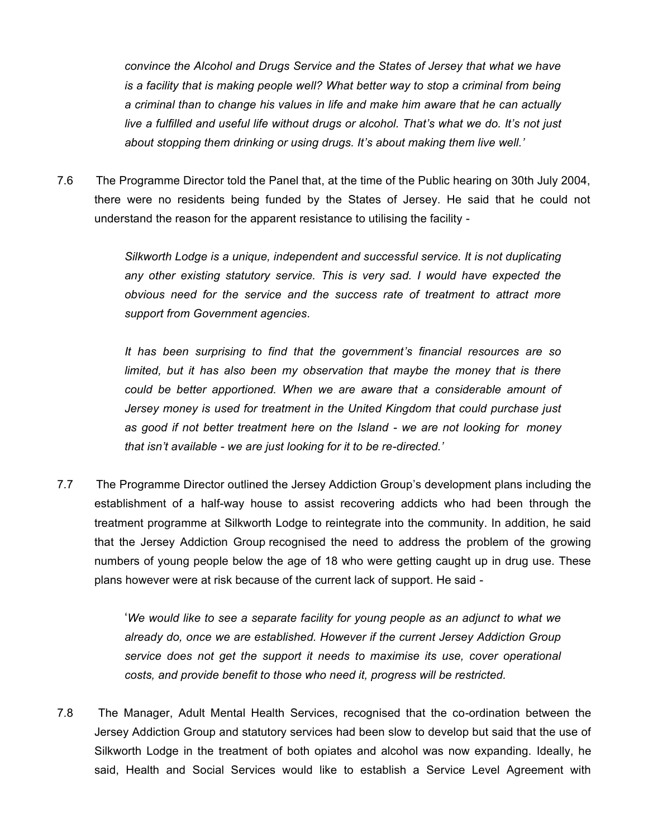*convince the Alcohol and Drugs Service and the States of Jersey that what we have is a facility that is making people well? What better way to stop a criminal from being a criminal than to change his values in life and make him aware that he can actually live a fulfilled and useful life without drugs or alcohol. That's what we do. It's not just about stopping them drinking or using drugs. It's about making them live well.'*

7.6 The Programme Director told the Panel that, at the time of the Public hearing on 30th July 2004, there were no residents being funded by the States of Jersey. He said that he could not understand the reason for the apparent resistance to utilising the facility -

> *Silkworth Lodge is a unique, independent and successful service. It is not duplicating any other existing statutory service. This is very sad. I would have expected the obvious need for the service and the success rate of treatment to attract more support from Government agencies.*

> *It has been surprising to find that the government's financial resources are so limited, but it has also been my observation that maybe the money that is there could be better apportioned. When we are aware that a considerable amount of Jersey money is used for treatment in the United Kingdom that could purchase just as good if not better treatment here on the Island - we are not looking for money that isn't available - we are just looking for it to be re-directed.'*

7.7 The Programme Director outlined the Jersey Addiction Group's development plans including the establishment of a half-way house to assist recovering addicts who had been through the treatment programme at Silkworth Lodge to reintegrate into the community. In addition, he said that the Jersey Addiction Group recognised the need to address the problem of the growing numbers of young people below the age of 18 who were getting caught up in drug use. These plans however were at risk because of the current lack of support. He said -

> '*We would like to see a separate facility for young people as an adjunct to what we already do, once we are established. However if the current Jersey Addiction Group service does not get the support it needs to maximise its use, cover operational costs, and provide benefit to those who need it, progress will be restricted.*

7.8 The Manager, Adult Mental Health Services, recognised that the co-ordination between the Jersey Addiction Group and statutory services had been slow to develop but said that the use of Silkworth Lodge in the treatment of both opiates and alcohol was now expanding. Ideally, he said, Health and Social Services would like to establish a Service Level Agreement with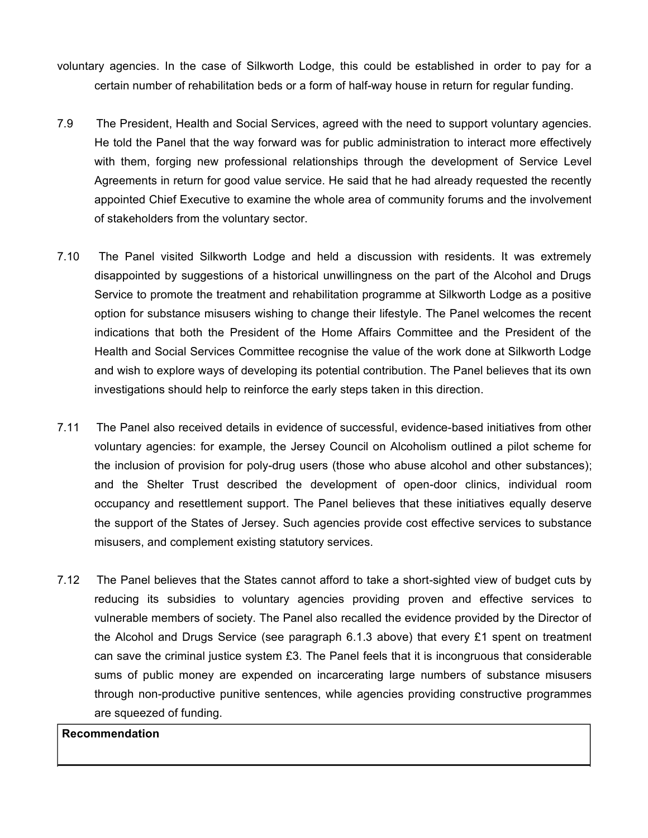- voluntary agencies. In the case of Silkworth Lodge, this could be established in order to pay for a certain number of rehabilitation beds or a form of half-way house in return for regular funding.
- 7.9 The President, Health and Social Services, agreed with the need to support voluntary agencies. He told the Panel that the way forward was for public administration to interact more effectively with them, forging new professional relationships through the development of Service Level Agreements in return for good value service. He said that he had already requested the recently appointed Chief Executive to examine the whole area of community forums and the involvement of stakeholders from the voluntary sector.
- 7.10 The Panel visited Silkworth Lodge and held a discussion with residents. It was extremely disappointed by suggestions of a historical unwillingness on the part of the Alcohol and Drugs Service to promote the treatment and rehabilitation programme at Silkworth Lodge as a positive option for substance misusers wishing to change their lifestyle. The Panel welcomes the recent indications that both the President of the Home Affairs Committee and the President of the Health and Social Services Committee recognise the value of the work done at Silkworth Lodge and wish to explore ways of developing its potential contribution. The Panel believes that its own investigations should help to reinforce the early steps taken in this direction.
- 7.11 The Panel also received details in evidence of successful, evidence-based initiatives from other voluntary agencies: for example, the Jersey Council on Alcoholism outlined a pilot scheme for the inclusion of provision for poly-drug users (those who abuse alcohol and other substances); and the Shelter Trust described the development of open-door clinics, individual room occupancy and resettlement support. The Panel believes that these initiatives equally deserve the support of the States of Jersey. Such agencies provide cost effective services to substance misusers, and complement existing statutory services.
- 7.12 The Panel believes that the States cannot afford to take a short-sighted view of budget cuts by reducing its subsidies to voluntary agencies providing proven and effective services to vulnerable members of society. The Panel also recalled the evidence provided by the Director of the Alcohol and Drugs Service (see paragraph 6.1.3 above) that every £1 spent on treatment can save the criminal justice system  $£3$ . The Panel feels that it is incongruous that considerable sums of public money are expended on incarcerating large numbers of substance misusers through non-productive punitive sentences, while agencies providing constructive programmes are squeezed of funding.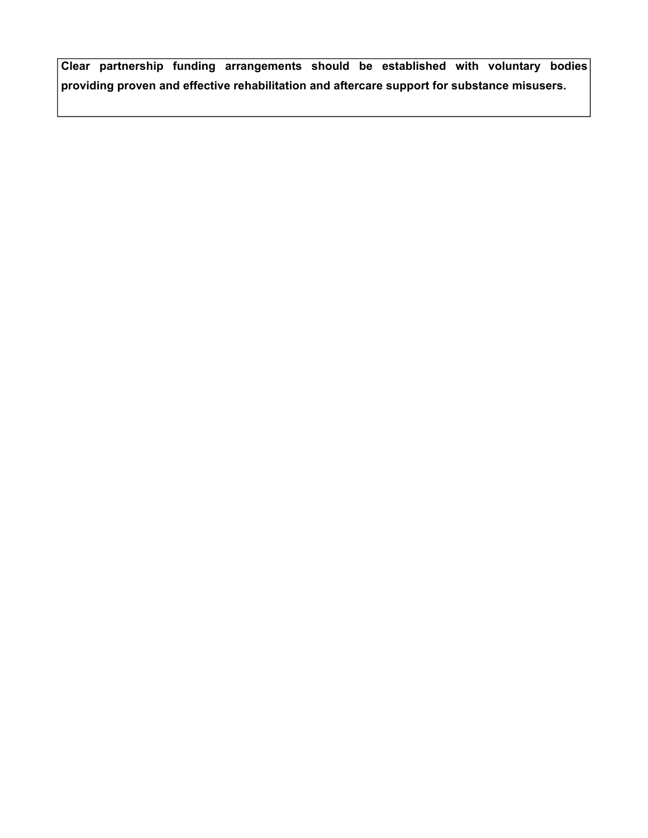**Clear partnership funding arrangements should be established with voluntary bodies providing proven and effective rehabilitation and aftercare support for substance misusers.**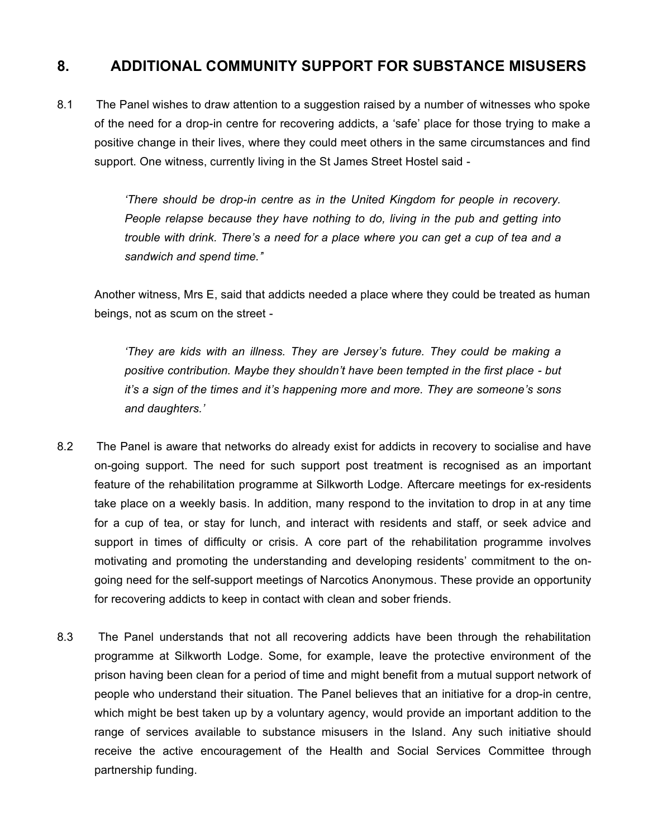# **8. ADDITIONAL COMMUNITY SUPPORT FOR SUBSTANCE MISUSERS**

8.1 The Panel wishes to draw attention to a suggestion raised by a number of witnesses who spoke of the need for a drop-in centre for recovering addicts, a 'safe' place for those trying to make a positive change in their lives, where they could meet others in the same circumstances and find support. One witness, currently living in the St James Street Hostel said -

> *'There should be drop-in centre as in the United Kingdom for people in recovery. People relapse because they have nothing to do, living in the pub and getting into trouble with drink. There's a need for a place where you can get a cup of tea and a sandwich and spend time.'*'

Another witness, Mrs E, said that addicts needed a place where they could be treated as human beings, not as scum on the street -

*'They are kids with an illness. They are Jersey's future. They could be making a positive contribution. Maybe they shouldn't have been tempted in the first place - but it's a sign of the times and it's happening more and more. They are someone's sons and daughters.'*

- 8.2 The Panel is aware that networks do already exist for addicts in recovery to socialise and have on-going support. The need for such support post treatment is recognised as an important feature of the rehabilitation programme at Silkworth Lodge. Aftercare meetings for ex-residents take place on a weekly basis. In addition, many respond to the invitation to drop in at any time for a cup of tea, or stay for lunch, and interact with residents and staff, or seek advice and support in times of difficulty or crisis. A core part of the rehabilitation programme involves motivating and promoting the understanding and developing residents' commitment to the ongoing need for the self-support meetings of Narcotics Anonymous. These provide an opportunity for recovering addicts to keep in contact with clean and sober friends.
- 8.3 The Panel understands that not all recovering addicts have been through the rehabilitation programme at Silkworth Lodge. Some, for example, leave the protective environment of the prison having been clean for a period of time and might benefit from a mutual support network of people who understand their situation. The Panel believes that an initiative for a drop-in centre, which might be best taken up by a voluntary agency, would provide an important addition to the range of services available to substance misusers in the Island. Any such initiative should receive the active encouragement of the Health and Social Services Committee through partnership funding.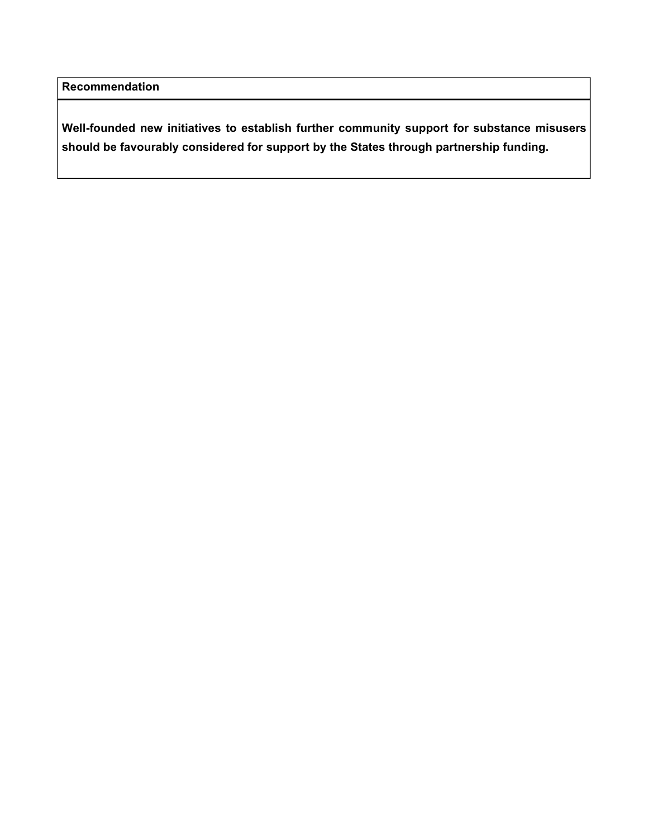**Well-founded new initiatives to establish further community support for substance misusers should be favourably considered for support by the States through partnership funding.**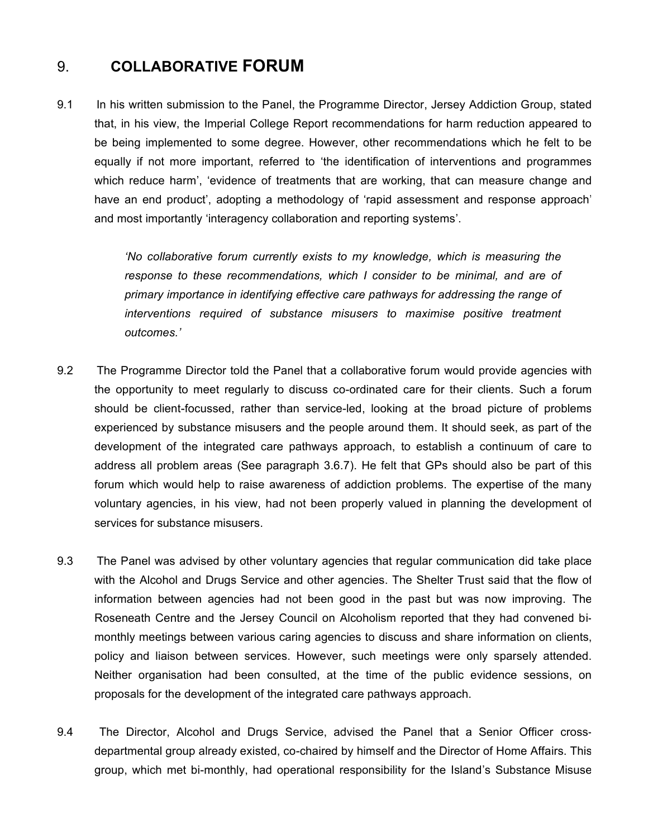# 9. **COLLABORATIVE FORUM**

9.1 In his written submission to the Panel, the Programme Director, Jersey Addiction Group, stated that, in his view, the Imperial College Report recommendations for harm reduction appeared to be being implemented to some degree. However, other recommendations which he felt to be equally if not more important, referred to 'the identification of interventions and programmes which reduce harm', 'evidence of treatments that are working, that can measure change and have an end product', adopting a methodology of 'rapid assessment and response approach' and most importantly 'interagency collaboration and reporting systems'.

> *'No collaborative forum currently exists to my knowledge, which is measuring the response to these recommendations, which I consider to be minimal, and are of primary importance in identifying effective care pathways for addressing the range of interventions required of substance misusers to maximise positive treatment outcomes.'*

- 9.2 The Programme Director told the Panel that a collaborative forum would provide agencies with the opportunity to meet regularly to discuss co-ordinated care for their clients. Such a forum should be client-focussed, rather than service-led, looking at the broad picture of problems experienced by substance misusers and the people around them. It should seek, as part of the development of the integrated care pathways approach, to establish a continuum of care to address all problem areas (See paragraph 3.6.7). He felt that GPs should also be part of this forum which would help to raise awareness of addiction problems. The expertise of the many voluntary agencies, in his view, had not been properly valued in planning the development of services for substance misusers.
- 9.3 The Panel was advised by other voluntary agencies that regular communication did take place with the Alcohol and Drugs Service and other agencies. The Shelter Trust said that the flow of information between agencies had not been good in the past but was now improving. The Roseneath Centre and the Jersey Council on Alcoholism reported that they had convened bimonthly meetings between various caring agencies to discuss and share information on clients, policy and liaison between services. However, such meetings were only sparsely attended. Neither organisation had been consulted, at the time of the public evidence sessions, on proposals for the development of the integrated care pathways approach.
- 9.4 The Director, Alcohol and Drugs Service, advised the Panel that a Senior Officer crossdepartmental group already existed, co-chaired by himself and the Director of Home Affairs. This group, which met bi-monthly, had operational responsibility for the Island's Substance Misuse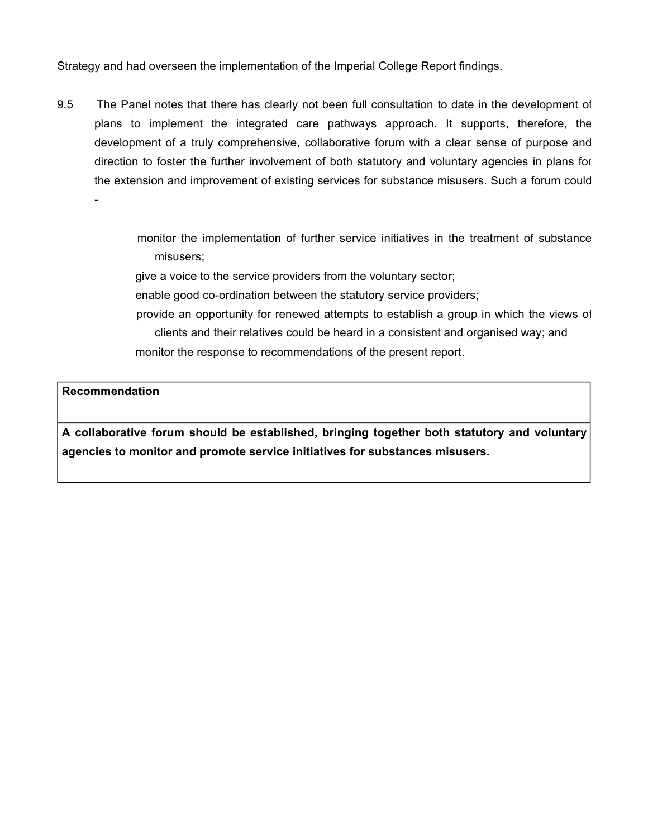Strategy and had overseen the implementation of the Imperial College Report findings.

9.5 The Panel notes that there has clearly not been full consultation to date in the development of plans to implement the integrated care pathways approach. It supports, therefore, the development of a truly comprehensive, collaborative forum with a clear sense of purpose and direction to foster the further involvement of both statutory and voluntary agencies in plans for the extension and improvement of existing services for substance misusers. Such a forum could

> monitor the implementation of further service initiatives in the treatment of substance misusers;

give a voice to the service providers from the voluntary sector;

enable good co-ordination between the statutory service providers;

 provide an opportunity for renewed attempts to establish a group in which the views of clients and their relatives could be heard in a consistent and organised way; and monitor the response to recommendations of the present report.

### **Recommendation**

-

**A collaborative forum should be established, bringing together both statutory and voluntary agencies to monitor and promote service initiatives for substances misusers.**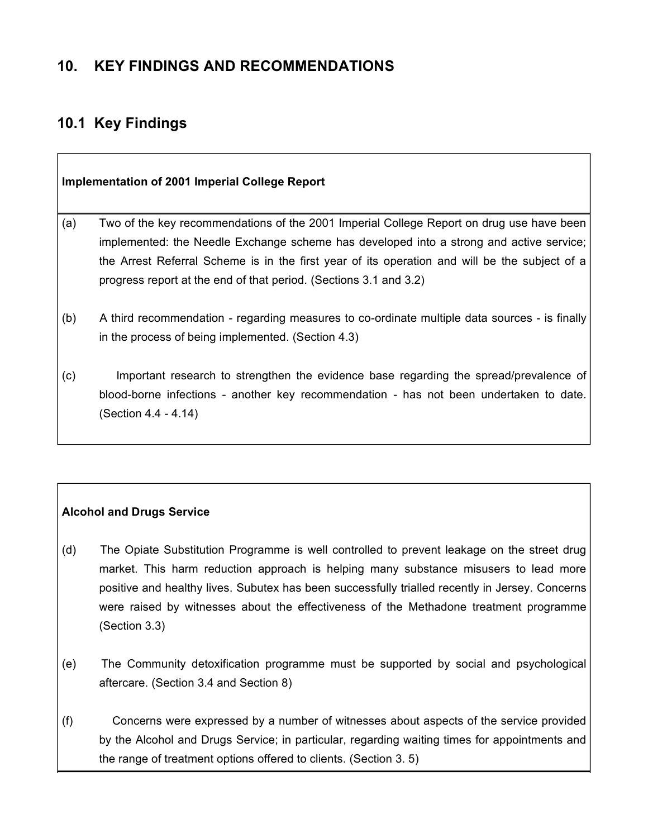### **10. KEY FINDINGS AND RECOMMENDATIONS**

### **10.1 Key Findings**

| <b>Implementation of 2001 Imperial College Report</b> |                                                                                                                                                                                                                                                                                                                                                           |
|-------------------------------------------------------|-----------------------------------------------------------------------------------------------------------------------------------------------------------------------------------------------------------------------------------------------------------------------------------------------------------------------------------------------------------|
| (a)                                                   | Two of the key recommendations of the 2001 Imperial College Report on drug use have been<br>implemented: the Needle Exchange scheme has developed into a strong and active service;<br>the Arrest Referral Scheme is in the first year of its operation and will be the subject of a<br>progress report at the end of that period. (Sections 3.1 and 3.2) |
| (b)                                                   | A third recommendation - regarding measures to co-ordinate multiple data sources - is finally<br>in the process of being implemented. (Section 4.3)                                                                                                                                                                                                       |
| (c)                                                   | Important research to strengthen the evidence base regarding the spread/prevalence of<br>blood-borne infections - another key recommendation - has not been undertaken to date.<br>(Section 4.4 - 4.14)                                                                                                                                                   |

#### **Alcohol and Drugs Service**

- (d) The Opiate Substitution Programme is well controlled to prevent leakage on the street drug market. This harm reduction approach is helping many substance misusers to lead more positive and healthy lives. Subutex has been successfully trialled recently in Jersey. Concerns were raised by witnesses about the effectiveness of the Methadone treatment programme (Section 3.3)
- (e) The Community detoxification programme must be supported by social and psychological aftercare. (Section 3.4 and Section 8)
- (f) Concerns were expressed by a number of witnesses about aspects of the service provided by the Alcohol and Drugs Service; in particular, regarding waiting times for appointments and the range of treatment options offered to clients. (Section 3. 5)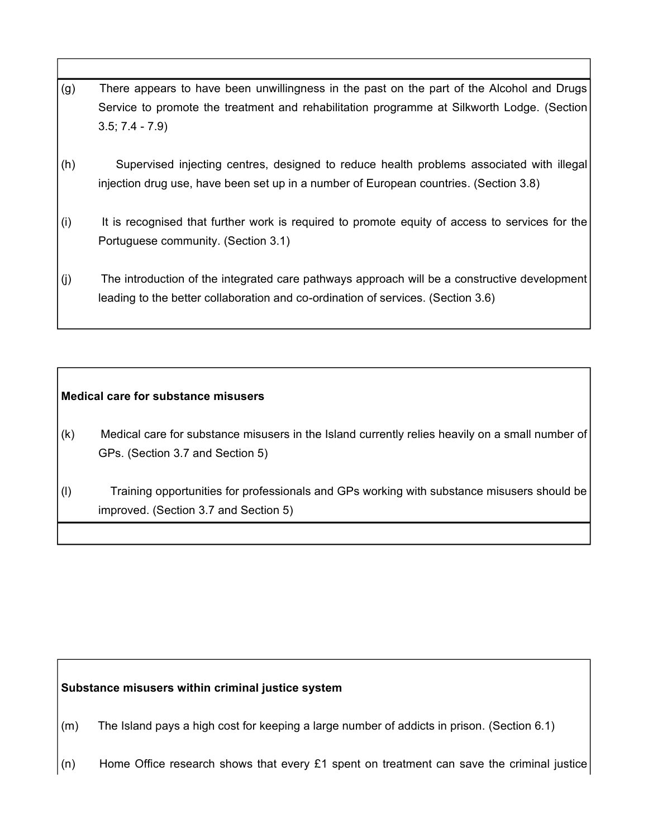- (g) There appears to have been unwillingness in the past on the part of the Alcohol and Drugs Service to promote the treatment and rehabilitation programme at Silkworth Lodge. (Section 3.5; 7.4 - 7.9)
- (h) Supervised injecting centres, designed to reduce health problems associated with illegal injection drug use, have been set up in a number of European countries. (Section 3.8)
- (i) It is recognised that further work is required to promote equity of access to services for the Portuguese community. (Section 3.1)
- (j) The introduction of the integrated care pathways approach will be a constructive development leading to the better collaboration and co-ordination of services. (Section 3.6)

#### **Medical care for substance misusers**

- (k) Medical care for substance misusers in the Island currently relies heavily on a small number of GPs. (Section 3.7 and Section 5)
- (l) Training opportunities for professionals and GPs working with substance misusers should be improved. (Section 3.7 and Section 5)

#### **Substance misusers within criminal justice system**

- (m) The Island pays a high cost for keeping a large number of addicts in prison. (Section 6.1)
- (n) Home Office research shows that every £1 spent on treatment can save the criminal justice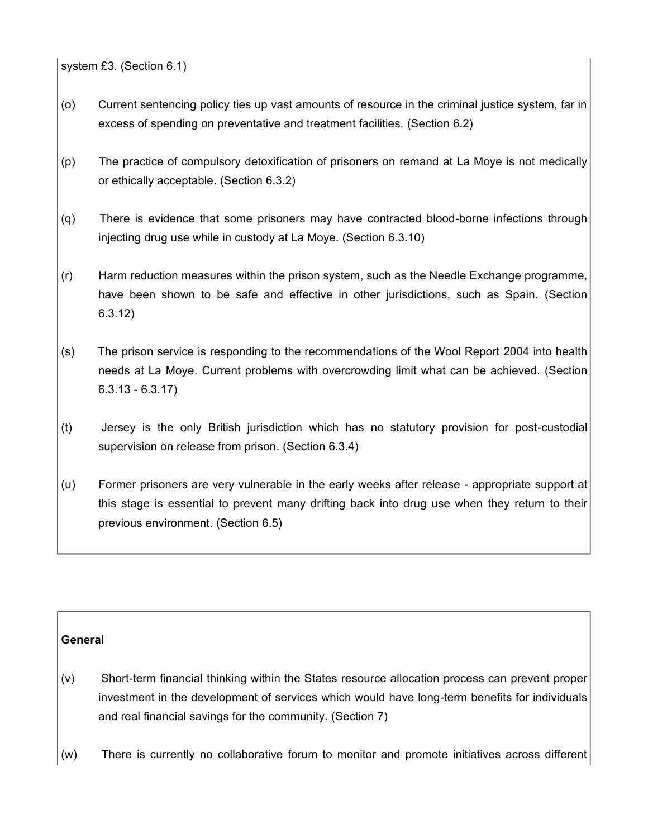system £3. (Section 6.1)

- (o) Current sentencing policy ties up vast amounts of resource in the criminal justice system, far in excess of spending on preventative and treatment facilities. (Section 6.2)
- (p) The practice of compulsory detoxification of prisoners on remand at La Moye is not medically or ethically acceptable. (Section 6.3.2)
- (q) There is evidence that some prisoners may have contracted blood-borne infections through injecting drug use while in custody at La Moye. (Section 6.3.10)
- (r) Harm reduction measures within the prison system, such as the Needle Exchange programme, have been shown to be safe and effective in other jurisdictions, such as Spain. (Section 6.3.12)
- (s) The prison service is responding to the recommendations of the Wool Report 2004 into health needs at La Moye. Current problems with overcrowding limit what can be achieved. (Section 6.3.13 - 6.3.17)
- (t) Jersey is the only British jurisdiction which has no statutory provision for post-custodial supervision on release from prison. (Section 6.3.4)
- (u) Former prisoners are very vulnerable in the early weeks after release appropriate support at this stage is essential to prevent many drifting back into drug use when they return to their previous environment. (Section 6.5)

#### **General**

- (v) Short-term financial thinking within the States resource allocation process can prevent proper investment in the development of services which would have long-term benefits for individuals and real financial savings for the community. (Section 7)
- (w) There is currently no collaborative forum to monitor and promote initiatives across different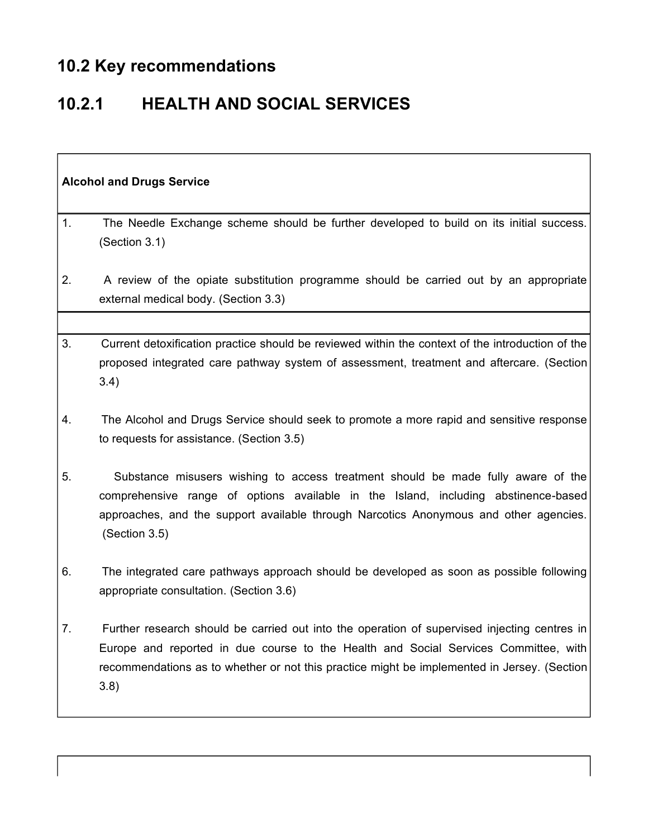# **10.2 Key recommendations**

 $\overline{\Gamma}$ 

# **10.2.1 HEALTH AND SOCIAL SERVICES**

| <b>Alcohol and Drugs Service</b> |                                                                                                                                                                                                                                                                                            |
|----------------------------------|--------------------------------------------------------------------------------------------------------------------------------------------------------------------------------------------------------------------------------------------------------------------------------------------|
| 1.                               | The Needle Exchange scheme should be further developed to build on its initial success.<br>(Section 3.1)                                                                                                                                                                                   |
| 2.                               | A review of the opiate substitution programme should be carried out by an appropriate<br>external medical body. (Section 3.3)                                                                                                                                                              |
|                                  |                                                                                                                                                                                                                                                                                            |
| 3.                               | Current detoxification practice should be reviewed within the context of the introduction of the<br>proposed integrated care pathway system of assessment, treatment and aftercare. (Section<br>3.4)                                                                                       |
| 4.                               | The Alcohol and Drugs Service should seek to promote a more rapid and sensitive response<br>to requests for assistance. (Section 3.5)                                                                                                                                                      |
| 5.                               | Substance misusers wishing to access treatment should be made fully aware of the<br>comprehensive range of options available in the Island, including abstinence-based<br>approaches, and the support available through Narcotics Anonymous and other agencies.<br>(Section 3.5)           |
| 6.                               | The integrated care pathways approach should be developed as soon as possible following<br>appropriate consultation. (Section 3.6)                                                                                                                                                         |
| 7.                               | Further research should be carried out into the operation of supervised injecting centres in<br>Europe and reported in due course to the Health and Social Services Committee, with<br>recommendations as to whether or not this practice might be implemented in Jersey. (Section<br>3.8) |

٦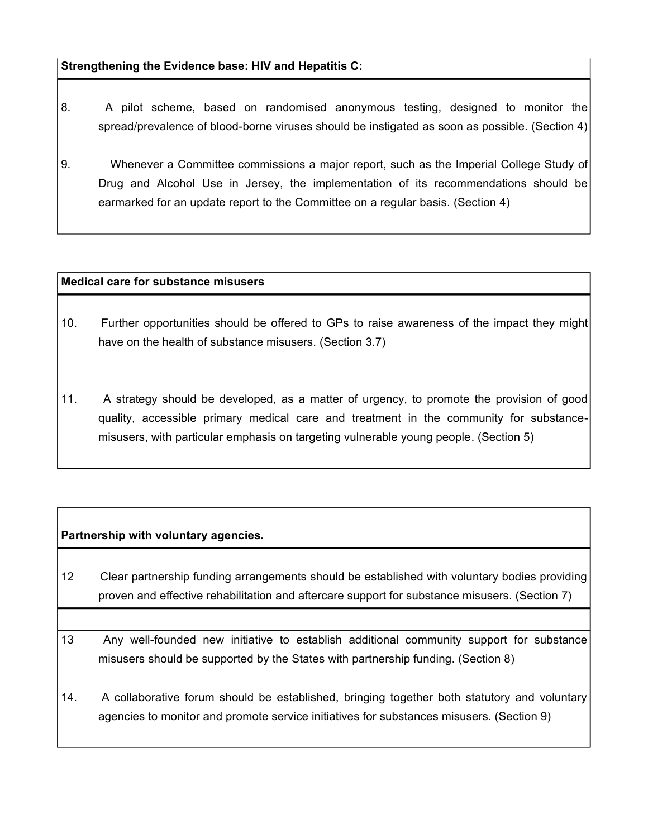**Strengthening the Evidence base: HIV and Hepatitis C:**

- 8. A pilot scheme, based on randomised anonymous testing, designed to monitor the spread/prevalence of blood-borne viruses should be instigated as soon as possible. (Section 4)
- 9. Whenever a Committee commissions a major report, such as the Imperial College Study of Drug and Alcohol Use in Jersey, the implementation of its recommendations should be earmarked for an update report to the Committee on a regular basis. (Section 4)

#### **Medical care for substance misusers**

- 10. Further opportunities should be offered to GPs to raise awareness of the impact they might have on the health of substance misusers. (Section 3.7)
- 11. A strategy should be developed, as a matter of urgency, to promote the provision of good quality, accessible primary medical care and treatment in the community for substancemisusers, with particular emphasis on targeting vulnerable young people. (Section 5)

#### **Partnership with voluntary agencies.**

- 12 Clear partnership funding arrangements should be established with voluntary bodies providing proven and effective rehabilitation and aftercare support for substance misusers. (Section 7)
- 13 Any well-founded new initiative to establish additional community support for substance misusers should be supported by the States with partnership funding. (Section 8)
- 14. A collaborative forum should be established, bringing together both statutory and voluntary agencies to monitor and promote service initiatives for substances misusers. (Section 9)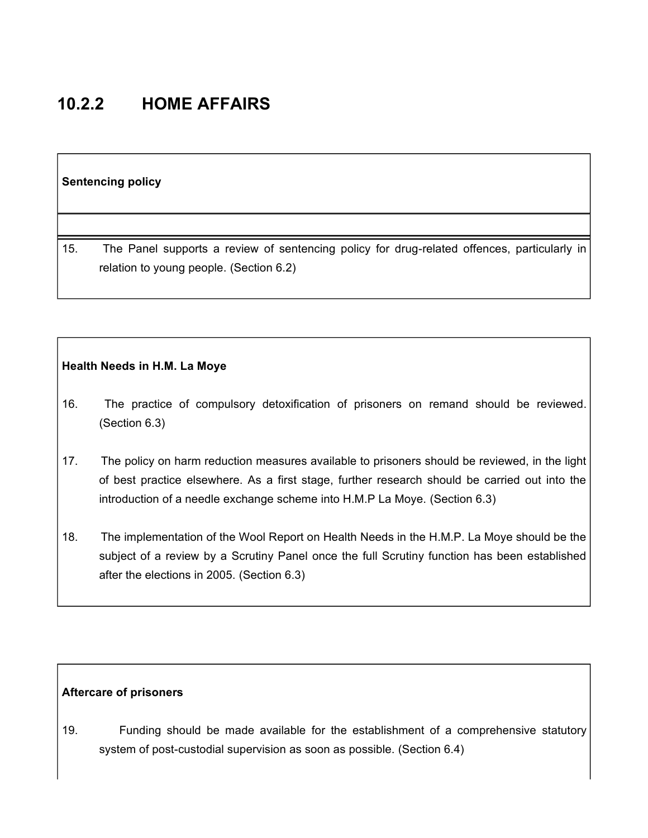## **10.2.2 HOME AFFAIRS**

#### **Sentencing policy**

15. The Panel supports a review of sentencing policy for drug-related offences, particularly in relation to young people. (Section 6.2)

#### **Health Needs in H.M. La Moye**

- 16. The practice of compulsory detoxification of prisoners on remand should be reviewed. (Section 6.3)
- 17. The policy on harm reduction measures available to prisoners should be reviewed, in the light of best practice elsewhere. As a first stage, further research should be carried out into the introduction of a needle exchange scheme into H.M.P La Moye. (Section 6.3)
- 18. The implementation of the Wool Report on Health Needs in the H.M.P. La Moye should be the subject of a review by a Scrutiny Panel once the full Scrutiny function has been established after the elections in 2005. (Section 6.3)

#### **Aftercare of prisoners**

19. Funding should be made available for the establishment of a comprehensive statutory system of post-custodial supervision as soon as possible. (Section 6.4)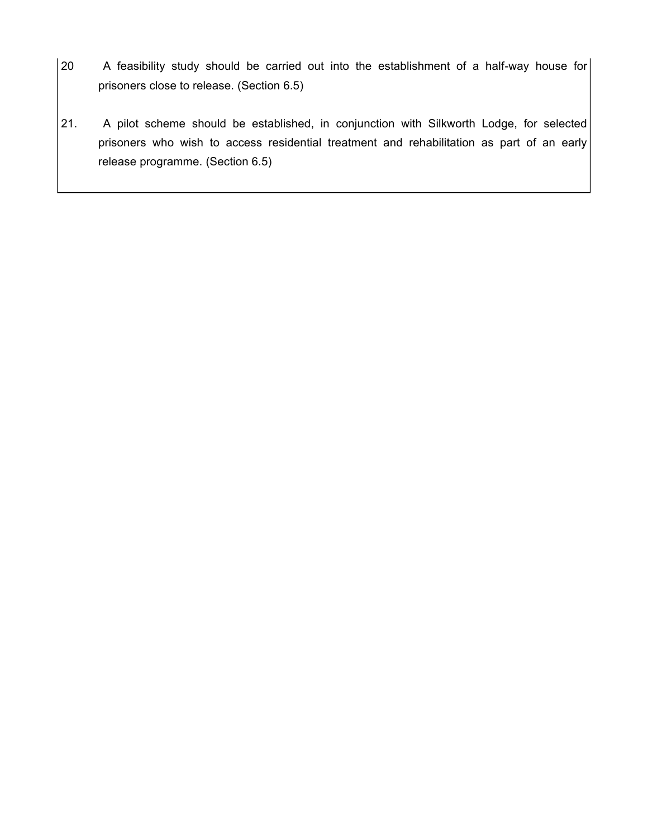- 20 A feasibility study should be carried out into the establishment of a half-way house for prisoners close to release. (Section 6.5)
- 21. A pilot scheme should be established, in conjunction with Silkworth Lodge, for selected prisoners who wish to access residential treatment and rehabilitation as part of an early release programme. (Section 6.5)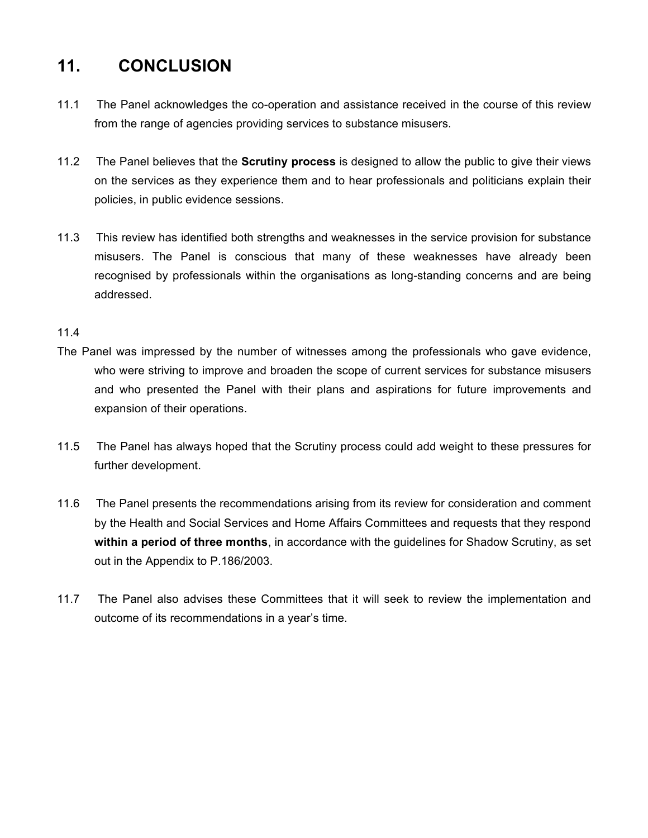## **11. CONCLUSION**

- 11.1 The Panel acknowledges the co-operation and assistance received in the course of this review from the range of agencies providing services to substance misusers.
- 11.2 The Panel believes that the **Scrutiny process** is designed to allow the public to give their views on the services as they experience them and to hear professionals and politicians explain their policies, in public evidence sessions.
- 11.3 This review has identified both strengths and weaknesses in the service provision for substance misusers. The Panel is conscious that many of these weaknesses have already been recognised by professionals within the organisations as long-standing concerns and are being addressed.

#### 11.4

- The Panel was impressed by the number of witnesses among the professionals who gave evidence, who were striving to improve and broaden the scope of current services for substance misusers and who presented the Panel with their plans and aspirations for future improvements and expansion of their operations.
- 11.5 The Panel has always hoped that the Scrutiny process could add weight to these pressures for further development.
- 11.6 The Panel presents the recommendations arising from its review for consideration and comment by the Health and Social Services and Home Affairs Committees and requests that they respond **within a period of three months**, in accordance with the guidelines for Shadow Scrutiny, as set out in the Appendix to P.186/2003.
- 11.7 The Panel also advises these Committees that it will seek to review the implementation and outcome of its recommendations in a year's time.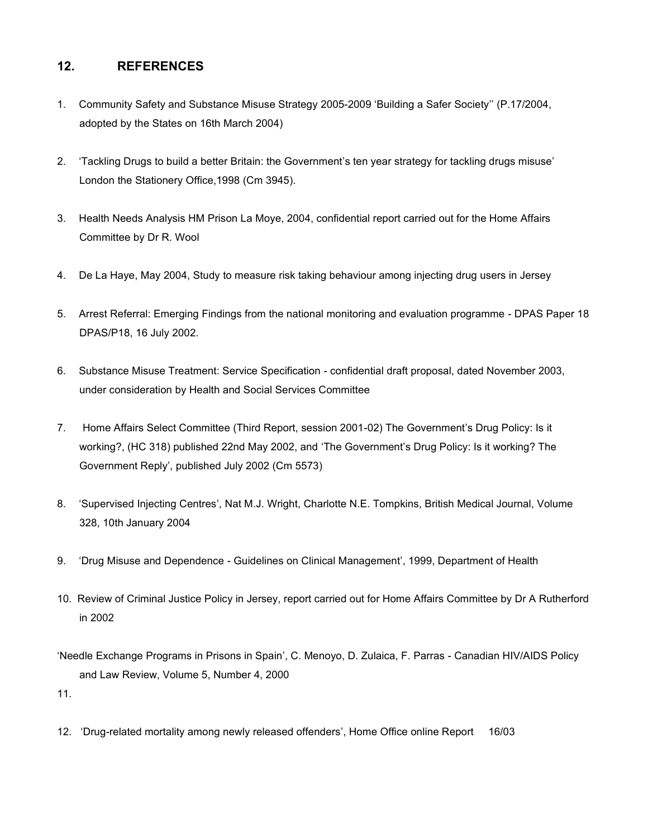#### **12. REFERENCES**

- 1. Community Safety and Substance Misuse Strategy 2005-2009 'Building a Safer Society'' (P.17/2004, adopted by the States on 16th March 2004)
- 2. 'Tackling Drugs to build a better Britain: the Government's ten year strategy for tackling drugs misuse' London the Stationery Office,1998 (Cm 3945).
- 3. Health Needs Analysis HM Prison La Moye, 2004, confidential report carried out for the Home Affairs Committee by Dr R. Wool
- 4. De La Haye, May 2004, Study to measure risk taking behaviour among injecting drug users in Jersey
- 5. Arrest Referral: Emerging Findings from the national monitoring and evaluation programme DPAS Paper 18 DPAS/P18, 16 July 2002.
- 6. Substance Misuse Treatment: Service Specification confidential draft proposal, dated November 2003, under consideration by Health and Social Services Committee
- 7. Home Affairs Select Committee (Third Report, session 2001-02) The Government's Drug Policy: Is it working?, (HC 318) published 22nd May 2002, and 'The Government's Drug Policy: Is it working? The Government Reply', published July 2002 (Cm 5573)
- 8. 'Supervised Injecting Centres', Nat M.J. Wright, Charlotte N.E. Tompkins, British Medical Journal, Volume 328, 10th January 2004
- 9. 'Drug Misuse and Dependence Guidelines on Clinical Management', 1999, Department of Health
- 10. Review of Criminal Justice Policy in Jersey, report carried out for Home Affairs Committee by Dr A Rutherford in 2002
- 'Needle Exchange Programs in Prisons in Spain', C. Menoyo, D. Zulaica, F. Parras Canadian HIV/AIDS Policy and Law Review, Volume 5, Number 4, 2000

11.

12. 'Drug-related mortality among newly released offenders', Home Office online Report 16/03